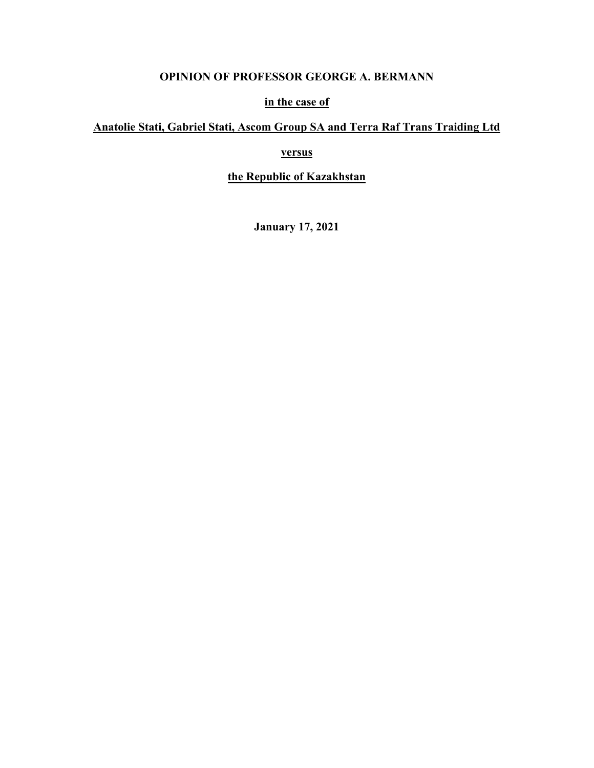# **OPINION OF PROFESSOR GEORGE A. BERMANN**

## **in the case of**

# **Anatolie Stati, Gabriel Stati, Ascom Group SA and Terra Raf Trans Traiding Ltd**

# **versus**

# **the Republic of Kazakhstan**

**January 17, 2021**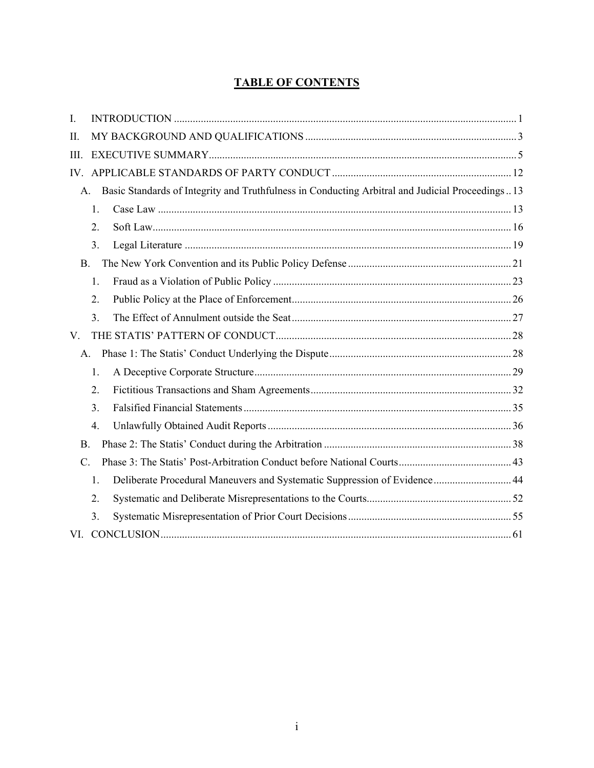# **TABLE OF CONTENTS**

| I.                                                                                                                |  |
|-------------------------------------------------------------------------------------------------------------------|--|
| II.                                                                                                               |  |
| Ш.                                                                                                                |  |
| IV.                                                                                                               |  |
| Basic Standards of Integrity and Truthfulness in Conducting Arbitral and Judicial Proceedings13<br>$\mathsf{A}$ . |  |
| 1.                                                                                                                |  |
| 2.                                                                                                                |  |
| 3.                                                                                                                |  |
| <b>B.</b>                                                                                                         |  |
| 1.                                                                                                                |  |
| 2.                                                                                                                |  |
| 3.                                                                                                                |  |
| V.                                                                                                                |  |
| A.                                                                                                                |  |
| 1.                                                                                                                |  |
| 2.                                                                                                                |  |
| 3.                                                                                                                |  |
| 4.                                                                                                                |  |
| <b>B.</b>                                                                                                         |  |
| $\mathbf{C}$ .                                                                                                    |  |
| Deliberate Procedural Maneuvers and Systematic Suppression of Evidence 44<br>1.                                   |  |
| 2.                                                                                                                |  |
| 3.                                                                                                                |  |
| VI.                                                                                                               |  |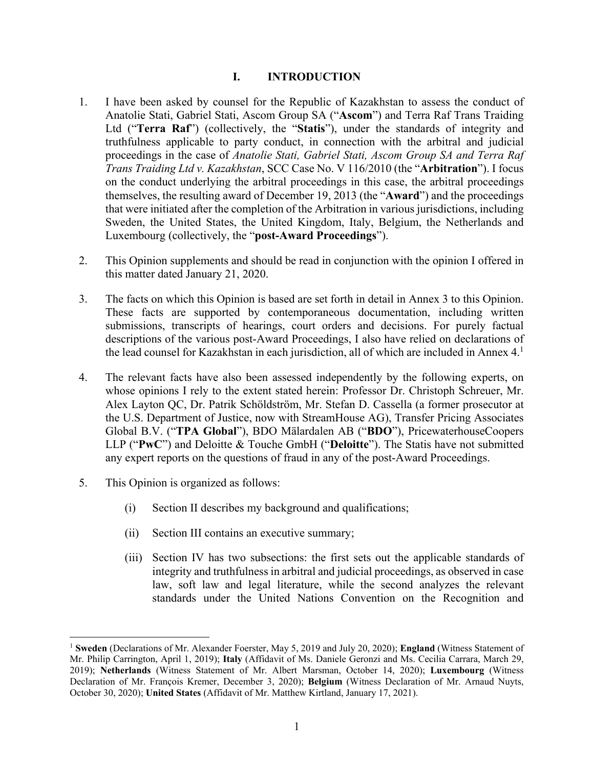#### **I. INTRODUCTION**

- 1. I have been asked by counsel for the Republic of Kazakhstan to assess the conduct of Anatolie Stati, Gabriel Stati, Ascom Group SA ("**Ascom**") and Terra Raf Trans Traiding Ltd ("**Terra Raf**") (collectively, the "**Statis**"), under the standards of integrity and truthfulness applicable to party conduct, in connection with the arbitral and judicial proceedings in the case of *Anatolie Stati, Gabriel Stati, Ascom Group SA and Terra Raf Trans Traiding Ltd v. Kazakhstan*, SCC Case No. V 116/2010 (the "**Arbitration**"). I focus on the conduct underlying the arbitral proceedings in this case, the arbitral proceedings themselves, the resulting award of December 19, 2013 (the "**Award**") and the proceedings that were initiated after the completion of the Arbitration in various jurisdictions, including Sweden, the United States, the United Kingdom, Italy, Belgium, the Netherlands and Luxembourg (collectively, the "**post-Award Proceedings**").
- 2. This Opinion supplements and should be read in conjunction with the opinion I offered in this matter dated January 21, 2020.
- 3. The facts on which this Opinion is based are set forth in detail in Annex 3 to this Opinion. These facts are supported by contemporaneous documentation, including written submissions, transcripts of hearings, court orders and decisions. For purely factual descriptions of the various post-Award Proceedings, I also have relied on declarations of the lead counsel for Kazakhstan in each jurisdiction, all of which are included in Annex  $4.1$
- 4. The relevant facts have also been assessed independently by the following experts, on whose opinions I rely to the extent stated herein: Professor Dr. Christoph Schreuer, Mr. Alex Layton QC, Dr. Patrik Schöldström, Mr. Stefan D. Cassella (a former prosecutor at the U.S. Department of Justice, now with StreamHouse AG), Transfer Pricing Associates Global B.V. ("**TPA Global**"), BDO Mälardalen AB ("**BDO**"), PricewaterhouseCoopers LLP ("**PwC**") and Deloitte & Touche GmbH ("**Deloitte**"). The Statis have not submitted any expert reports on the questions of fraud in any of the post-Award Proceedings.
- 5. This Opinion is organized as follows:

- (i) Section II describes my background and qualifications;
- (ii) Section III contains an executive summary;
- (iii) Section IV has two subsections: the first sets out the applicable standards of integrity and truthfulness in arbitral and judicial proceedings, as observed in case law, soft law and legal literature, while the second analyzes the relevant standards under the United Nations Convention on the Recognition and

<sup>1</sup> **Sweden** (Declarations of Mr. Alexander Foerster, May 5, 2019 and July 20, 2020); **England** (Witness Statement of Mr. Philip Carrington, April 1, 2019); **Italy** (Affidavit of Ms. Daniele Geronzi and Ms. Cecilia Carrara, March 29, 2019); **Netherlands** (Witness Statement of Mr. Albert Marsman, October 14, 2020); **Luxembourg** (Witness Declaration of Mr. François Kremer, December 3, 2020); **Belgium** (Witness Declaration of Mr. Arnaud Nuyts, October 30, 2020); **United States** (Affidavit of Mr. Matthew Kirtland, January 17, 2021).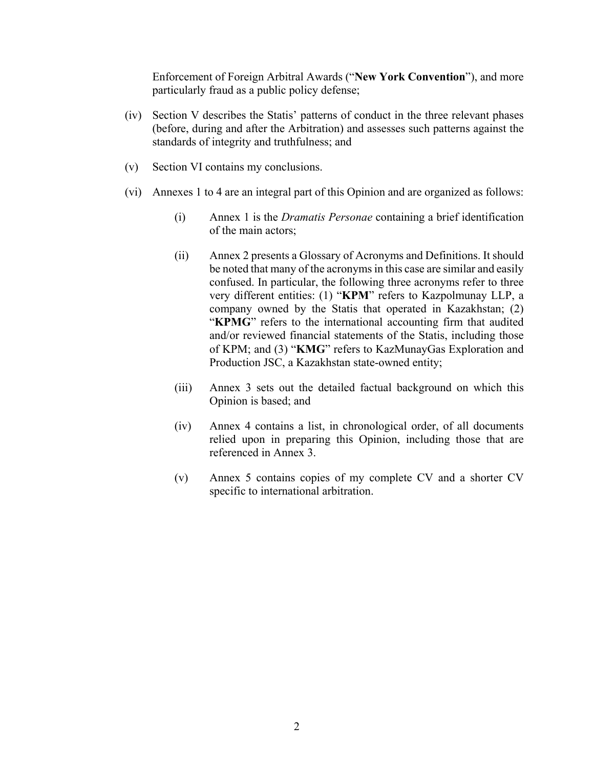Enforcement of Foreign Arbitral Awards ("**New York Convention**"), and more particularly fraud as a public policy defense;

- (iv) Section V describes the Statis' patterns of conduct in the three relevant phases (before, during and after the Arbitration) and assesses such patterns against the standards of integrity and truthfulness; and
- (v) Section VI contains my conclusions.
- (vi) Annexes 1 to 4 are an integral part of this Opinion and are organized as follows:
	- (i) Annex 1 is the *Dramatis Personae* containing a brief identification of the main actors;
	- (ii) Annex 2 presents a Glossary of Acronyms and Definitions. It should be noted that many of the acronyms in this case are similar and easily confused. In particular, the following three acronyms refer to three very different entities: (1) "**KPM**" refers to Kazpolmunay LLP, a company owned by the Statis that operated in Kazakhstan; (2) "**KPMG**" refers to the international accounting firm that audited and/or reviewed financial statements of the Statis, including those of KPM; and (3) "**KMG**" refers to KazMunayGas Exploration and Production JSC, a Kazakhstan state-owned entity;
	- (iii) Annex 3 sets out the detailed factual background on which this Opinion is based; and
	- (iv) Annex 4 contains a list, in chronological order, of all documents relied upon in preparing this Opinion, including those that are referenced in Annex 3.
	- (v) Annex 5 contains copies of my complete CV and a shorter CV specific to international arbitration.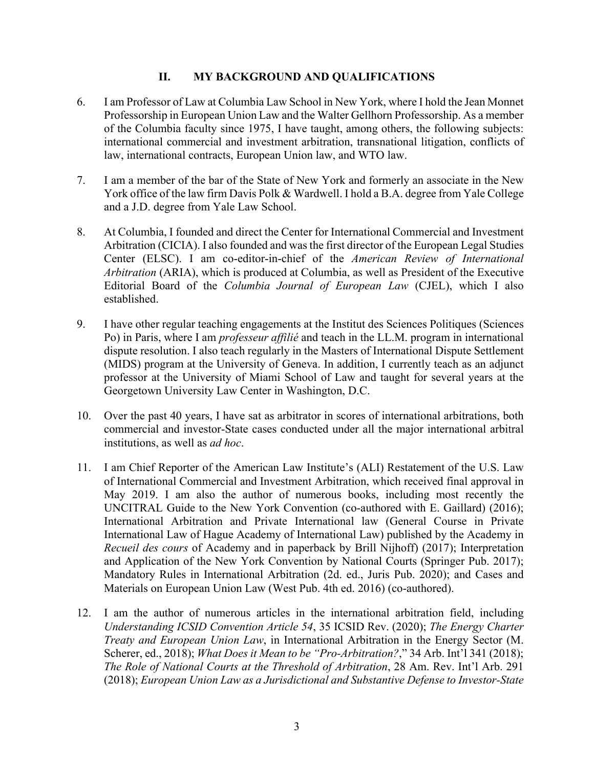#### **II. MY BACKGROUND AND QUALIFICATIONS**

- 6. I am Professor of Law at Columbia Law School in New York, where I hold the Jean Monnet Professorship in European Union Law and the Walter Gellhorn Professorship. As a member of the Columbia faculty since 1975, I have taught, among others, the following subjects: international commercial and investment arbitration, transnational litigation, conflicts of law, international contracts, European Union law, and WTO law.
- 7. I am a member of the bar of the State of New York and formerly an associate in the New York office of the law firm Davis Polk & Wardwell. I hold a B.A. degree from Yale College and a J.D. degree from Yale Law School.
- 8. At Columbia, I founded and direct the Center for International Commercial and Investment Arbitration (CICIA). I also founded and was the first director of the European Legal Studies Center (ELSC). I am co-editor-in-chief of the *American Review of International Arbitration* (ARIA), which is produced at Columbia, as well as President of the Executive Editorial Board of the *Columbia Journal of European Law* (CJEL), which I also established.
- 9. I have other regular teaching engagements at the Institut des Sciences Politiques (Sciences Po) in Paris, where I am *professeur affilié* and teach in the LL.M. program in international dispute resolution. I also teach regularly in the Masters of International Dispute Settlement (MIDS) program at the University of Geneva. In addition, I currently teach as an adjunct professor at the University of Miami School of Law and taught for several years at the Georgetown University Law Center in Washington, D.C.
- 10. Over the past 40 years, I have sat as arbitrator in scores of international arbitrations, both commercial and investor-State cases conducted under all the major international arbitral institutions, as well as *ad hoc*.
- 11. I am Chief Reporter of the American Law Institute's (ALI) Restatement of the U.S. Law of International Commercial and Investment Arbitration, which received final approval in May 2019. I am also the author of numerous books, including most recently the UNCITRAL Guide to the New York Convention (co-authored with E. Gaillard) (2016); International Arbitration and Private International law (General Course in Private International Law of Hague Academy of International Law) published by the Academy in *Recueil des cours* of Academy and in paperback by Brill Nijhoff) (2017); Interpretation and Application of the New York Convention by National Courts (Springer Pub. 2017); Mandatory Rules in International Arbitration (2d. ed., Juris Pub. 2020); and Cases and Materials on European Union Law (West Pub. 4th ed. 2016) (co-authored).
- 12. I am the author of numerous articles in the international arbitration field, including *Understanding ICSID Convention Article 54*, 35 ICSID Rev. (2020); *The Energy Charter Treaty and European Union Law*, in International Arbitration in the Energy Sector (M. Scherer, ed., 2018); *What Does it Mean to be "Pro-Arbitration?*," 34 Arb. Int'l 341 (2018); *The Role of National Courts at the Threshold of Arbitration*, 28 Am. Rev. Int'l Arb. 291 (2018); *European Union Law as a Jurisdictional and Substantive Defense to Investor-State*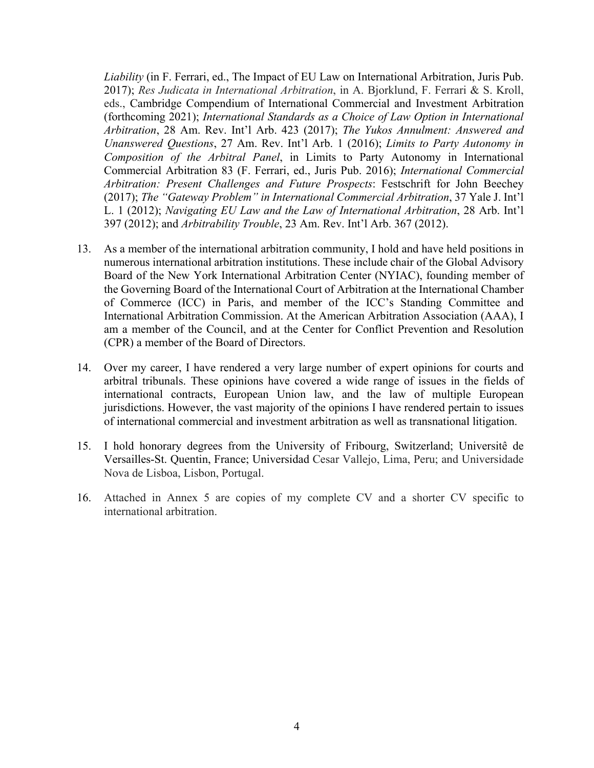*Liability* (in F. Ferrari, ed., The Impact of EU Law on International Arbitration, Juris Pub. 2017); *Res Judicata in International Arbitration*, in A. Bjorklund, F. Ferrari & S. Kroll, eds., Cambridge Compendium of International Commercial and Investment Arbitration (forthcoming 2021); *International Standards as a Choice of Law Option in International Arbitration*, 28 Am. Rev. Int'l Arb. 423 (2017); *The Yukos Annulment: Answered and Unanswered Questions*, 27 Am. Rev. Int'l Arb. 1 (2016); *Limits to Party Autonomy in Composition of the Arbitral Panel*, in Limits to Party Autonomy in International Commercial Arbitration 83 (F. Ferrari, ed., Juris Pub. 2016); *International Commercial Arbitration: Present Challenges and Future Prospects*: Festschrift for John Beechey (2017); *The "Gateway Problem" in International Commercial Arbitration*, 37 Yale J. Int'l L. 1 (2012); *Navigating EU Law and the Law of International Arbitration*, 28 Arb. Int'l 397 (2012); and *Arbitrability Trouble*, 23 Am. Rev. Int'l Arb. 367 (2012).

- 13. As a member of the international arbitration community, I hold and have held positions in numerous international arbitration institutions. These include chair of the Global Advisory Board of the New York International Arbitration Center (NYIAC), founding member of the Governing Board of the International Court of Arbitration at the International Chamber of Commerce (ICC) in Paris, and member of the ICC's Standing Committee and International Arbitration Commission. At the American Arbitration Association (AAA), I am a member of the Council, and at the Center for Conflict Prevention and Resolution (CPR) a member of the Board of Directors.
- 14. Over my career, I have rendered a very large number of expert opinions for courts and arbitral tribunals. These opinions have covered a wide range of issues in the fields of international contracts, European Union law, and the law of multiple European jurisdictions. However, the vast majority of the opinions I have rendered pertain to issues of international commercial and investment arbitration as well as transnational litigation.
- 15. I hold honorary degrees from the University of Fribourg, Switzerland; Universitê de Versailles-St. Quentin, France; Universidad Cesar Vallejo, Lima, Peru; and Universidade Nova de Lisboa, Lisbon, Portugal.
- 16. Attached in Annex 5 are copies of my complete CV and a shorter CV specific to international arbitration.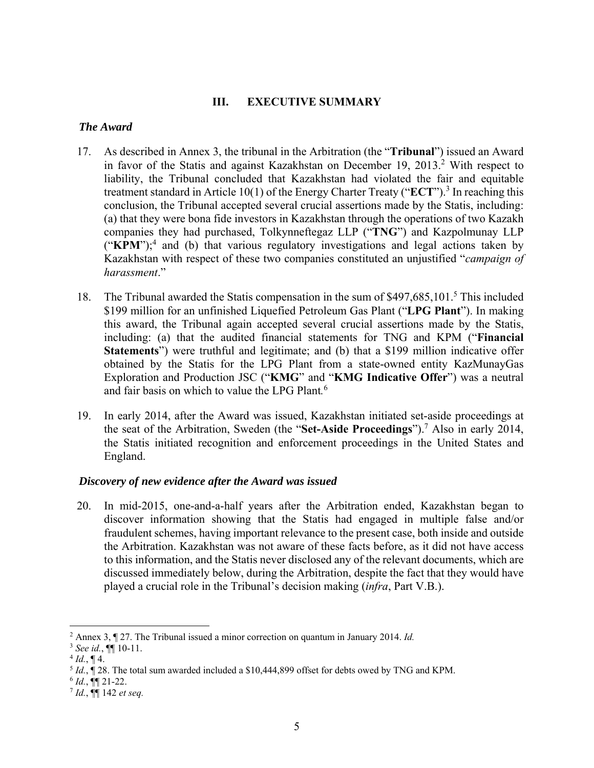#### **III. EXECUTIVE SUMMARY**

#### *The Award*

- 17. As described in Annex 3, the tribunal in the Arbitration (the "**Tribunal**") issued an Award in favor of the Statis and against Kazakhstan on December 19, 2013.<sup>2</sup> With respect to liability, the Tribunal concluded that Kazakhstan had violated the fair and equitable treatment standard in Article 10(1) of the Energy Charter Treaty ("ECT").<sup>3</sup> In reaching this conclusion, the Tribunal accepted several crucial assertions made by the Statis, including: (a) that they were bona fide investors in Kazakhstan through the operations of two Kazakh companies they had purchased, Tolkynneftegaz LLP ("**TNG**") and Kazpolmunay LLP ("KPM");<sup>4</sup> and (b) that various regulatory investigations and legal actions taken by Kazakhstan with respect of these two companies constituted an unjustified "*campaign of harassment*."
- 18. The Tribunal awarded the Statis compensation in the sum of \$497,685,101.<sup>5</sup> This included \$199 million for an unfinished Liquefied Petroleum Gas Plant ("**LPG Plant**"). In making this award, the Tribunal again accepted several crucial assertions made by the Statis, including: (a) that the audited financial statements for TNG and KPM ("**Financial Statements**") were truthful and legitimate; and (b) that a \$199 million indicative offer obtained by the Statis for the LPG Plant from a state-owned entity KazMunayGas Exploration and Production JSC ("**KMG**" and "**KMG Indicative Offer**") was a neutral and fair basis on which to value the LPG Plant*.* 6
- 19. In early 2014, after the Award was issued, Kazakhstan initiated set-aside proceedings at the seat of the Arbitration, Sweden (the "**Set-Aside Proceedings**").7 Also in early 2014, the Statis initiated recognition and enforcement proceedings in the United States and England.

#### *Discovery of new evidence after the Award was issued*

20. In mid-2015, one-and-a-half years after the Arbitration ended, Kazakhstan began to discover information showing that the Statis had engaged in multiple false and/or fraudulent schemes, having important relevance to the present case, both inside and outside the Arbitration. Kazakhstan was not aware of these facts before, as it did not have access to this information, and the Statis never disclosed any of the relevant documents, which are discussed immediately below, during the Arbitration, despite the fact that they would have played a crucial role in the Tribunal's decision making (*infra*, Part V.B.).

 2 Annex 3, ¶ 27. The Tribunal issued a minor correction on quantum in January 2014. *Id.*

<sup>&</sup>lt;sup>3</sup> See id.,  $\P$  10-11.<br>
<sup>4</sup> *Id.*,  $\P$  4.<br>
<sup>5</sup> *Id.*,  $\P$  28. The total sum awarded included a \$10,444,899 offset for debts owed by TNG and KPM.

<sup>6</sup> *Id.*, ¶¶ 21-22. 7 *Id.*, ¶¶ 142 *et seq.*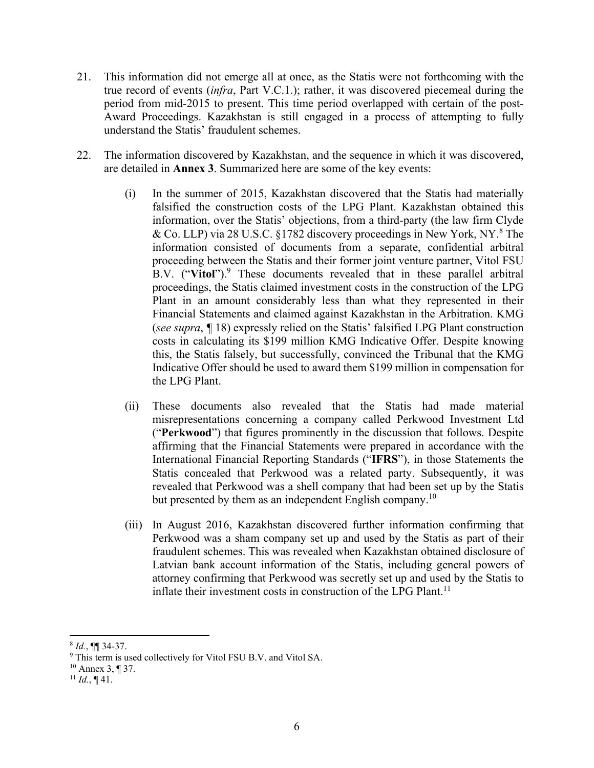- 21. This information did not emerge all at once, as the Statis were not forthcoming with the true record of events (*infra*, Part V.C.1.); rather, it was discovered piecemeal during the period from mid-2015 to present. This time period overlapped with certain of the post-Award Proceedings. Kazakhstan is still engaged in a process of attempting to fully understand the Statis' fraudulent schemes.
- 22. The information discovered by Kazakhstan, and the sequence in which it was discovered, are detailed in **Annex 3**. Summarized here are some of the key events:
	- (i) In the summer of 2015, Kazakhstan discovered that the Statis had materially falsified the construction costs of the LPG Plant. Kazakhstan obtained this information, over the Statis' objections, from a third-party (the law firm Clyde & Co. LLP) via 28 U.S.C. §1782 discovery proceedings in New York, NY.<sup>8</sup> The information consisted of documents from a separate, confidential arbitral proceeding between the Statis and their former joint venture partner, Vitol FSU B.V. ("Vitol").<sup>9</sup> These documents revealed that in these parallel arbitral proceedings, the Statis claimed investment costs in the construction of the LPG Plant in an amount considerably less than what they represented in their Financial Statements and claimed against Kazakhstan in the Arbitration. KMG (*see supra*, *¶* 18) expressly relied on the Statis' falsified LPG Plant construction costs in calculating its \$199 million KMG Indicative Offer. Despite knowing this, the Statis falsely, but successfully, convinced the Tribunal that the KMG Indicative Offer should be used to award them \$199 million in compensation for the LPG Plant.
	- (ii) These documents also revealed that the Statis had made material misrepresentations concerning a company called Perkwood Investment Ltd ("**Perkwood**") that figures prominently in the discussion that follows. Despite affirming that the Financial Statements were prepared in accordance with the International Financial Reporting Standards ("**IFRS**"), in those Statements the Statis concealed that Perkwood was a related party. Subsequently, it was revealed that Perkwood was a shell company that had been set up by the Statis but presented by them as an independent English company.<sup>10</sup>
	- (iii) In August 2016, Kazakhstan discovered further information confirming that Perkwood was a sham company set up and used by the Statis as part of their fraudulent schemes. This was revealed when Kazakhstan obtained disclosure of Latvian bank account information of the Statis, including general powers of attorney confirming that Perkwood was secretly set up and used by the Statis to inflate their investment costs in construction of the LPG Plant.<sup>11</sup>

<sup>8</sup> *Id.*, ¶¶ 34-37.

<sup>&</sup>lt;sup>9</sup> This term is used collectively for Vitol FSU B.V. and Vitol SA. <sup>10</sup> Annex 3,  $\P$  37.

 $11$  *Id.*, ¶ 41.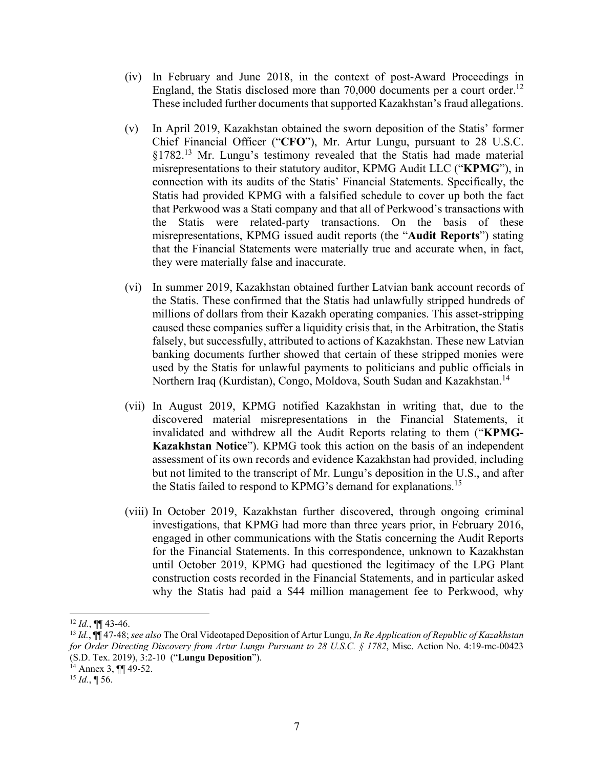- (iv) In February and June 2018, in the context of post-Award Proceedings in England, the Statis disclosed more than  $70,000$  documents per a court order.<sup>12</sup> These included further documents that supported Kazakhstan's fraud allegations.
- (v) In April 2019, Kazakhstan obtained the sworn deposition of the Statis' former Chief Financial Officer ("**CFO**"), Mr. Artur Lungu, pursuant to 28 U.S.C. §1782.<sup>13</sup> Mr. Lungu's testimony revealed that the Statis had made material misrepresentations to their statutory auditor, KPMG Audit LLC ("**KPMG**"), in connection with its audits of the Statis' Financial Statements. Specifically, the Statis had provided KPMG with a falsified schedule to cover up both the fact that Perkwood was a Stati company and that all of Perkwood's transactions with the Statis were related-party transactions. On the basis of these misrepresentations, KPMG issued audit reports (the "**Audit Reports**") stating that the Financial Statements were materially true and accurate when, in fact, they were materially false and inaccurate.
- (vi) In summer 2019, Kazakhstan obtained further Latvian bank account records of the Statis. These confirmed that the Statis had unlawfully stripped hundreds of millions of dollars from their Kazakh operating companies. This asset-stripping caused these companies suffer a liquidity crisis that, in the Arbitration, the Statis falsely, but successfully, attributed to actions of Kazakhstan. These new Latvian banking documents further showed that certain of these stripped monies were used by the Statis for unlawful payments to politicians and public officials in Northern Iraq (Kurdistan), Congo, Moldova, South Sudan and Kazakhstan.<sup>14</sup>
- (vii) In August 2019, KPMG notified Kazakhstan in writing that, due to the discovered material misrepresentations in the Financial Statements, it invalidated and withdrew all the Audit Reports relating to them ("**KPMG-Kazakhstan Notice**"). KPMG took this action on the basis of an independent assessment of its own records and evidence Kazakhstan had provided, including but not limited to the transcript of Mr. Lungu's deposition in the U.S., and after the Statis failed to respond to KPMG's demand for explanations.<sup>15</sup>
- (viii) In October 2019, Kazakhstan further discovered, through ongoing criminal investigations, that KPMG had more than three years prior, in February 2016, engaged in other communications with the Statis concerning the Audit Reports for the Financial Statements. In this correspondence, unknown to Kazakhstan until October 2019, KPMG had questioned the legitimacy of the LPG Plant construction costs recorded in the Financial Statements, and in particular asked why the Statis had paid a \$44 million management fee to Perkwood, why

 $12$  *Id.*, **¶** 43-46.

<sup>13</sup> *Id.*, ¶¶ 47-48; *see also* The Oral Videotaped Deposition of Artur Lungu, *In Re Application of Republic of Kazakhstan for Order Directing Discovery from Artur Lungu Pursuant to 28 U.S.C. § 1782*, Misc. Action No. 4:19-mc-00423 (S.D. Tex. 2019), 3:2-10 ("**Lungu Deposition**"). 14 Annex 3, ¶¶ 49-52.

 $^{15}$  *Id.*, ¶ 56.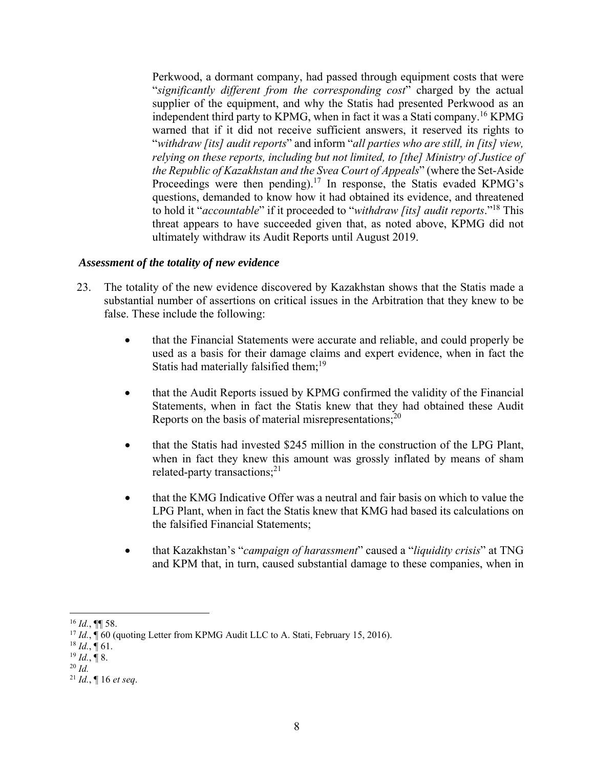Perkwood, a dormant company, had passed through equipment costs that were "*significantly different from the corresponding cost*" charged by the actual supplier of the equipment, and why the Statis had presented Perkwood as an independent third party to KPMG, when in fact it was a Stati company.<sup>16</sup> KPMG warned that if it did not receive sufficient answers, it reserved its rights to "*withdraw [its] audit reports*" and inform "*all parties who are still, in [its] view, relying on these reports, including but not limited, to [the] Ministry of Justice of the Republic of Kazakhstan and the Svea Court of Appeals*" (where the Set-Aside Proceedings were then pending).<sup>17</sup> In response, the Statis evaded KPMG's questions, demanded to know how it had obtained its evidence, and threatened to hold it "*accountable*" if it proceeded to "*withdraw [its] audit reports*."18 This threat appears to have succeeded given that, as noted above, KPMG did not ultimately withdraw its Audit Reports until August 2019.

#### *Assessment of the totality of new evidence*

- 23. The totality of the new evidence discovered by Kazakhstan shows that the Statis made a substantial number of assertions on critical issues in the Arbitration that they knew to be false. These include the following:
	- that the Financial Statements were accurate and reliable, and could properly be used as a basis for their damage claims and expert evidence, when in fact the Statis had materially falsified them;<sup>19</sup>
	- that the Audit Reports issued by KPMG confirmed the validity of the Financial Statements, when in fact the Statis knew that they had obtained these Audit Reports on the basis of material misrepresentations; $^{20}$
	- that the Statis had invested \$245 million in the construction of the LPG Plant, when in fact they knew this amount was grossly inflated by means of sham related-party transactions; $^{21}$
	- that the KMG Indicative Offer was a neutral and fair basis on which to value the LPG Plant, when in fact the Statis knew that KMG had based its calculations on the falsified Financial Statements;
	- that Kazakhstan's "*campaign of harassment*" caused a "*liquidity crisis*" at TNG and KPM that, in turn, caused substantial damage to these companies, when in

 <sup>16</sup> *Id.*, ¶¶ 58.

<sup>&</sup>lt;sup>17</sup> *Id.*,  $\int$  60 (quoting Letter from KPMG Audit LLC to A. Stati, February 15, 2016).

 $^{18}$  *Id.*, ¶ 61.

 $^{19}$  *Id.*, ¶ 8.

 $20$  *Id.* 

<sup>21</sup> *Id.*, ¶ 16 *et seq*.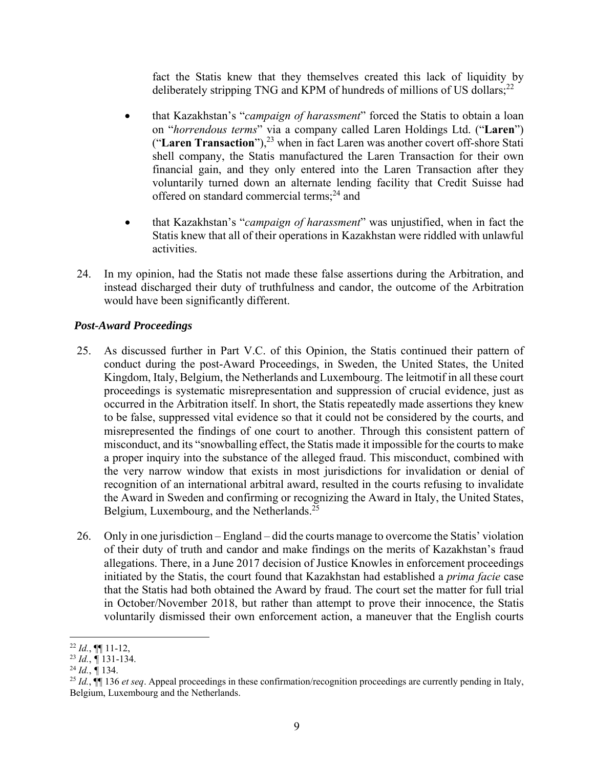fact the Statis knew that they themselves created this lack of liquidity by deliberately stripping TNG and KPM of hundreds of millions of US dollars; $^{22}$ 

- that Kazakhstan's "*campaign of harassment*" forced the Statis to obtain a loan on "*horrendous terms*" via a company called Laren Holdings Ltd. ("**Laren**") ("Laren Transaction"),<sup>23</sup> when in fact Laren was another covert off-shore Stati shell company, the Statis manufactured the Laren Transaction for their own financial gain, and they only entered into the Laren Transaction after they voluntarily turned down an alternate lending facility that Credit Suisse had offered on standard commercial terms;<sup>24</sup> and
- that Kazakhstan's "*campaign of harassment*" was unjustified, when in fact the Statis knew that all of their operations in Kazakhstan were riddled with unlawful activities.
- 24. In my opinion, had the Statis not made these false assertions during the Arbitration, and instead discharged their duty of truthfulness and candor, the outcome of the Arbitration would have been significantly different.

## *Post-Award Proceedings*

- 25. As discussed further in Part V.C. of this Opinion, the Statis continued their pattern of conduct during the post-Award Proceedings, in Sweden, the United States, the United Kingdom, Italy, Belgium, the Netherlands and Luxembourg. The leitmotif in all these court proceedings is systematic misrepresentation and suppression of crucial evidence, just as occurred in the Arbitration itself. In short, the Statis repeatedly made assertions they knew to be false, suppressed vital evidence so that it could not be considered by the courts, and misrepresented the findings of one court to another. Through this consistent pattern of misconduct, and its "snowballing effect, the Statis made it impossible for the courts to make a proper inquiry into the substance of the alleged fraud. This misconduct, combined with the very narrow window that exists in most jurisdictions for invalidation or denial of recognition of an international arbitral award, resulted in the courts refusing to invalidate the Award in Sweden and confirming or recognizing the Award in Italy, the United States, Belgium, Luxembourg, and the Netherlands.<sup>25</sup>
- 26. Only in one jurisdiction England did the courts manage to overcome the Statis' violation of their duty of truth and candor and make findings on the merits of Kazakhstan's fraud allegations. There, in a June 2017 decision of Justice Knowles in enforcement proceedings initiated by the Statis, the court found that Kazakhstan had established a *prima facie* case that the Statis had both obtained the Award by fraud. The court set the matter for full trial in October/November 2018, but rather than attempt to prove their innocence, the Statis voluntarily dismissed their own enforcement action, a maneuver that the English courts

<sup>22</sup> *Id.*, ¶¶ 11-12,

<sup>23</sup> *Id.*, *¶* 131-134. 24 *Id.*, *¶* 134.

<sup>25</sup> *Id.*, ¶¶ 136 *et seq*. Appeal proceedings in these confirmation/recognition proceedings are currently pending in Italy, Belgium, Luxembourg and the Netherlands.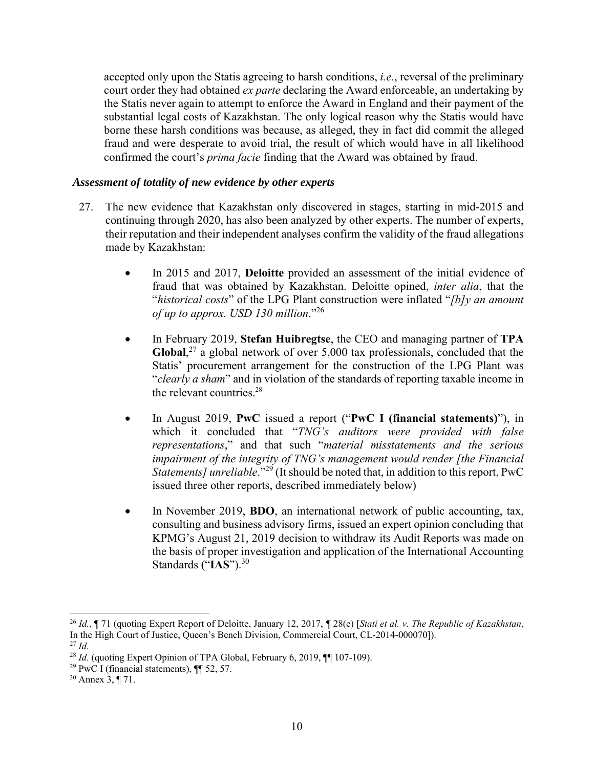accepted only upon the Statis agreeing to harsh conditions, *i.e.*, reversal of the preliminary court order they had obtained *ex parte* declaring the Award enforceable, an undertaking by the Statis never again to attempt to enforce the Award in England and their payment of the substantial legal costs of Kazakhstan. The only logical reason why the Statis would have borne these harsh conditions was because, as alleged, they in fact did commit the alleged fraud and were desperate to avoid trial, the result of which would have in all likelihood confirmed the court's *prima facie* finding that the Award was obtained by fraud.

#### *Assessment of totality of new evidence by other experts*

- 27. The new evidence that Kazakhstan only discovered in stages, starting in mid-2015 and continuing through 2020, has also been analyzed by other experts. The number of experts, their reputation and their independent analyses confirm the validity of the fraud allegations made by Kazakhstan:
	- In 2015 and 2017, **Deloitte** provided an assessment of the initial evidence of fraud that was obtained by Kazakhstan. Deloitte opined, *inter alia*, that the "*historical costs*" of the LPG Plant construction were inflated "*[b]y an amount of up to approx. USD 130 million*."26
	- In February 2019, **Stefan Huibregtse**, the CEO and managing partner of **TPA**  Global,<sup>27</sup> a global network of over 5,000 tax professionals, concluded that the Statis' procurement arrangement for the construction of the LPG Plant was "*clearly a sham*" and in violation of the standards of reporting taxable income in the relevant countries.28
	- In August 2019, **PwC** issued a report ("**PwC I (financial statements)**"), in which it concluded that "*TNG's auditors were provided with false representations*," and that such "*material misstatements and the serious impairment of the integrity of TNG's management would render [the Financial Statements] unreliable*."<sup>29</sup> (It should be noted that, in addition to this report, PwC issued three other reports, described immediately below)
	- In November 2019, **BDO**, an international network of public accounting, tax, consulting and business advisory firms, issued an expert opinion concluding that KPMG's August 21, 2019 decision to withdraw its Audit Reports was made on the basis of proper investigation and application of the International Accounting Standards ("**IAS**").30

<sup>26</sup> *Id.*, ¶ 71 (quoting Expert Report of Deloitte, January 12, 2017, *¶* 28(e) [*Stati et al. v. The Republic of Kazakhstan*, In the High Court of Justice, Queen's Bench Division, Commercial Court, CL-2014-000070]). <sup>27</sup> *Id.*

<sup>&</sup>lt;sup>28</sup> *Id.* (quoting Expert Opinion of TPA Global, February 6, 2019,  $\P$ [107-109).

<sup>&</sup>lt;sup>29</sup> PwC I (financial statements),  $\P$  52, 57.

<sup>30</sup> Annex 3, ¶ 71.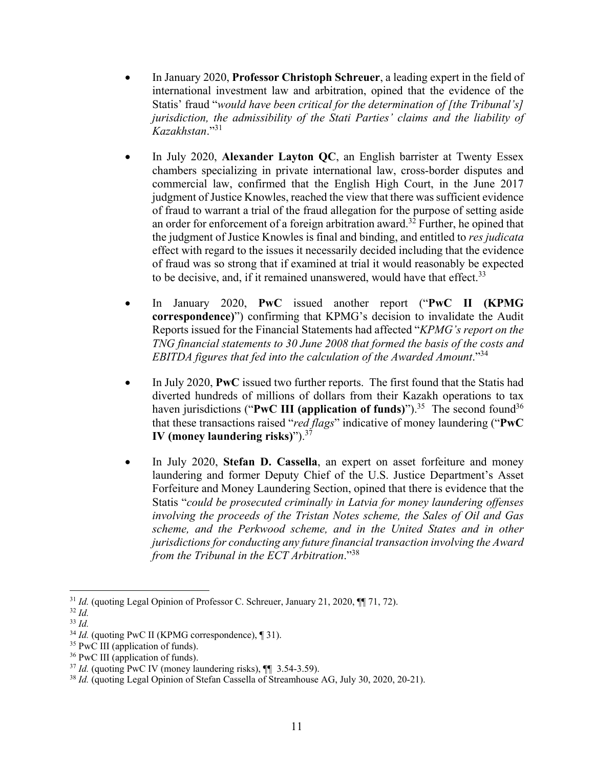- In January 2020, **Professor Christoph Schreuer**, a leading expert in the field of international investment law and arbitration, opined that the evidence of the Statis' fraud "*would have been critical for the determination of [the Tribunal's] jurisdiction, the admissibility of the Stati Parties' claims and the liability of Kazakhstan*."<sup>31</sup>
- In July 2020, **Alexander Layton QC**, an English barrister at Twenty Essex chambers specializing in private international law, cross-border disputes and commercial law, confirmed that the English High Court, in the June 2017 judgment of Justice Knowles, reached the view that there was sufficient evidence of fraud to warrant a trial of the fraud allegation for the purpose of setting aside an order for enforcement of a foreign arbitration award.<sup>32</sup> Further, he opined that the judgment of Justice Knowles is final and binding, and entitled to *res judicata* effect with regard to the issues it necessarily decided including that the evidence of fraud was so strong that if examined at trial it would reasonably be expected to be decisive, and, if it remained unanswered, would have that effect.<sup>33</sup>
- In January 2020, **PwC** issued another report ("**PwC II (KPMG correspondence)**") confirming that KPMG's decision to invalidate the Audit Reports issued for the Financial Statements had affected "*KPMG's report on the TNG financial statements to 30 June 2008 that formed the basis of the costs and EBITDA figures that fed into the calculation of the Awarded Amount*."<sup>34</sup>
- In July 2020, **PwC** issued two further reports. The first found that the Statis had diverted hundreds of millions of dollars from their Kazakh operations to tax haven jurisdictions ("PwC III (application of funds)").<sup>35</sup> The second found<sup>36</sup> that these transactions raised "*red flags*" indicative of money laundering ("**PwC IV (money laundering risks)**").37
- In July 2020, **Stefan D. Cassella**, an expert on asset forfeiture and money laundering and former Deputy Chief of the U.S. Justice Department's Asset Forfeiture and Money Laundering Section, opined that there is evidence that the Statis "*could be prosecuted criminally in Latvia for money laundering offenses involving the proceeds of the Tristan Notes scheme, the Sales of Oil and Gas scheme, and the Perkwood scheme, and in the United States and in other jurisdictions for conducting any future financial transaction involving the Award from the Tribunal in the ECT Arbitration*."38

<sup>&</sup>lt;sup>31</sup> *Id.* (quoting Legal Opinion of Professor C. Schreuer, January 21, 2020, ¶[ 71, 72).

<sup>32</sup> *Id.*

<sup>33</sup> *Id.*

<sup>&</sup>lt;sup>34</sup> *Id.* (quoting PwC II (KPMG correspondence), [31).

<sup>&</sup>lt;sup>35</sup> PwC III (application of funds).

<sup>&</sup>lt;sup>36</sup> PwC III (application of funds).

<sup>37</sup> *Id.* (quoting PwC IV (money laundering risks), ¶¶ 3.54-3.59).

<sup>&</sup>lt;sup>38</sup> *Id.* (quoting Legal Opinion of Stefan Cassella of Streamhouse AG, July 30, 2020, 20-21).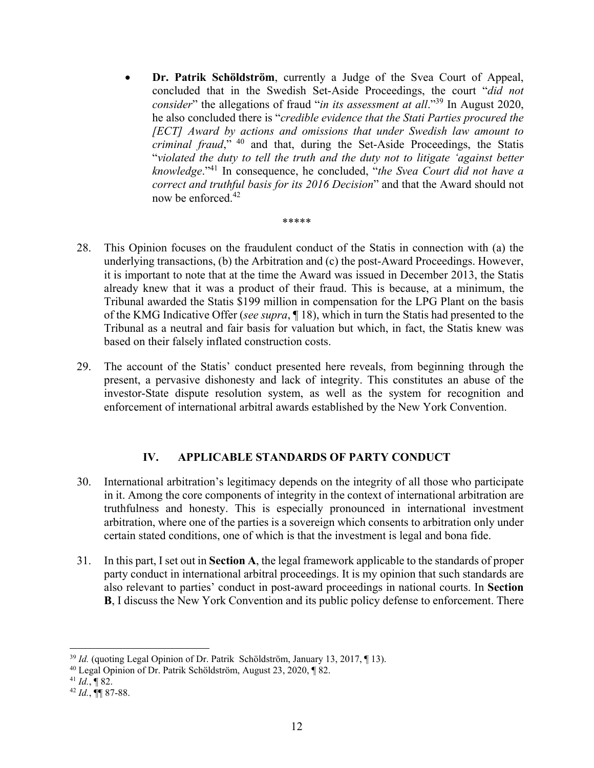**Dr. Patrik Schöldström**, currently a Judge of the Svea Court of Appeal, concluded that in the Swedish Set-Aside Proceedings, the court "*did not consider*" the allegations of fraud "*in its assessment at all*."<sup>39</sup> In August 2020, he also concluded there is "*credible evidence that the Stati Parties procured the [ECT] Award by actions and omissions that under Swedish law amount to criminal fraud*," 40 and that, during the Set-Aside Proceedings, the Statis "*violated the duty to tell the truth and the duty not to litigate 'against better knowledge*."41 In consequence, he concluded, "*the Svea Court did not have a correct and truthful basis for its 2016 Decision*" and that the Award should not now be enforced.<sup>42</sup>

#### \*\*\*\*\*

- 28. This Opinion focuses on the fraudulent conduct of the Statis in connection with (a) the underlying transactions, (b) the Arbitration and (c) the post-Award Proceedings. However, it is important to note that at the time the Award was issued in December 2013, the Statis already knew that it was a product of their fraud. This is because, at a minimum, the Tribunal awarded the Statis \$199 million in compensation for the LPG Plant on the basis of the KMG Indicative Offer (*see supra*, ¶ 18), which in turn the Statis had presented to the Tribunal as a neutral and fair basis for valuation but which, in fact, the Statis knew was based on their falsely inflated construction costs.
- 29. The account of the Statis' conduct presented here reveals, from beginning through the present, a pervasive dishonesty and lack of integrity. This constitutes an abuse of the investor-State dispute resolution system, as well as the system for recognition and enforcement of international arbitral awards established by the New York Convention.

#### **IV. APPLICABLE STANDARDS OF PARTY CONDUCT**

- 30. International arbitration's legitimacy depends on the integrity of all those who participate in it. Among the core components of integrity in the context of international arbitration are truthfulness and honesty. This is especially pronounced in international investment arbitration, where one of the parties is a sovereign which consents to arbitration only under certain stated conditions, one of which is that the investment is legal and bona fide.
- 31. In this part, I set out in **Section A**, the legal framework applicable to the standards of proper party conduct in international arbitral proceedings. It is my opinion that such standards are also relevant to parties' conduct in post-award proceedings in national courts. In **Section B**, I discuss the New York Convention and its public policy defense to enforcement. There

<sup>39</sup> *Id.* (quoting Legal Opinion of Dr. Patrik Schöldström, January 13, 2017, ¶ 13).

<sup>40</sup> Legal Opinion of Dr. Patrik Schöldström, August 23, 2020, ¶ 82. 41 *Id.*, ¶ 82. 42 *Id.*, ¶¶ 87-88.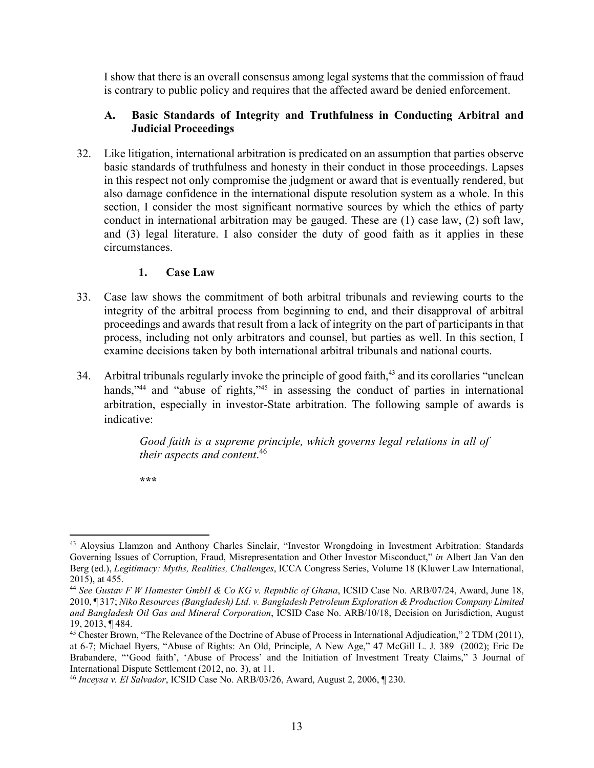I show that there is an overall consensus among legal systems that the commission of fraud is contrary to public policy and requires that the affected award be denied enforcement.

#### **A. Basic Standards of Integrity and Truthfulness in Conducting Arbitral and Judicial Proceedings**

32. Like litigation, international arbitration is predicated on an assumption that parties observe basic standards of truthfulness and honesty in their conduct in those proceedings. Lapses in this respect not only compromise the judgment or award that is eventually rendered, but also damage confidence in the international dispute resolution system as a whole. In this section, I consider the most significant normative sources by which the ethics of party conduct in international arbitration may be gauged. These are (1) case law, (2) soft law, and (3) legal literature. I also consider the duty of good faith as it applies in these circumstances.

#### **1. Case Law**

- 33. Case law shows the commitment of both arbitral tribunals and reviewing courts to the integrity of the arbitral process from beginning to end, and their disapproval of arbitral proceedings and awards that result from a lack of integrity on the part of participants in that process, including not only arbitrators and counsel, but parties as well. In this section, I examine decisions taken by both international arbitral tribunals and national courts.
- 34. Arbitral tribunals regularly invoke the principle of good faith, 43 and its corollaries "unclean hands,"<sup>44</sup> and "abuse of rights,"<sup>45</sup> in assessing the conduct of parties in international arbitration, especially in investor-State arbitration. The following sample of awards is indicative:

*Good faith is a supreme principle, which governs legal relations in all of their aspects and content*. 46

**\*\*\*** 

 43 Aloysius Llamzon and Anthony Charles Sinclair, "Investor Wrongdoing in Investment Arbitration: Standards Governing Issues of Corruption, Fraud, Misrepresentation and Other Investor Misconduct," *in* Albert Jan Van den Berg (ed.), *Legitimacy: Myths, Realities, Challenges*, ICCA Congress Series, Volume 18 (Kluwer Law International, 2015), at 455.

<sup>44</sup> *See Gustav F W Hamester GmbH & Co KG v. Republic of Ghana*, ICSID Case No. ARB/07/24, Award, June 18, 2010, ¶ 317; *Niko Resources (Bangladesh) Ltd. v. Bangladesh Petroleum Exploration & Production Company Limited and Bangladesh Oil Gas and Mineral Corporation*, ICSID Case No. ARB/10/18, Decision on Jurisdiction, August 19, 2013, ¶ 484.

<sup>&</sup>lt;sup>45</sup> Chester Brown, "The Relevance of the Doctrine of Abuse of Process in International Adjudication," 2 TDM (2011), at 6-7; Michael Byers, "Abuse of Rights: An Old, Principle, A New Age," 47 McGill L. J. 389 (2002); Eric De Brabandere, "'Good faith', 'Abuse of Process' and the Initiation of Investment Treaty Claims," 3 Journal of International Dispute Settlement (2012, no. 3), at 11.

<sup>46</sup> *Inceysa v. El Salvador*, ICSID Case No. ARB/03/26, Award, August 2, 2006, ¶ 230.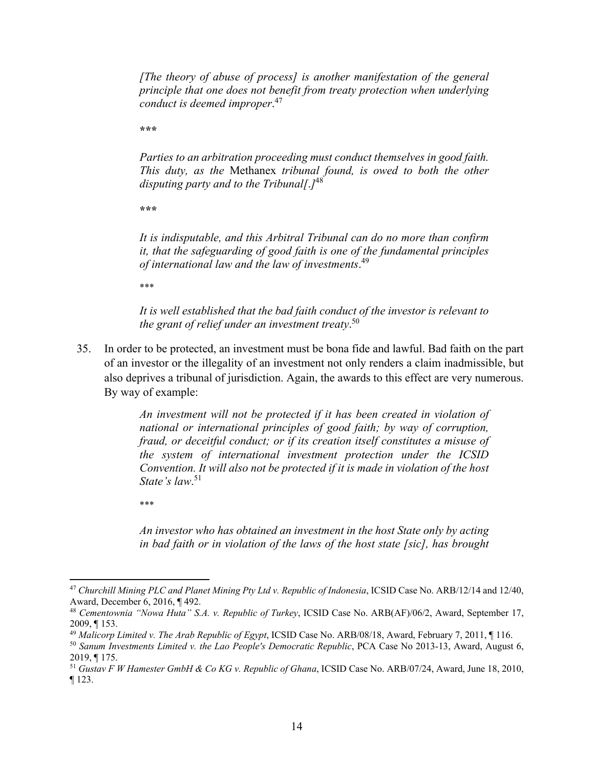*[The theory of abuse of process] is another manifestation of the general principle that one does not benefit from treaty protection when underlying conduct is deemed improper*. 47

**\*\*\*** 

*Parties to an arbitration proceeding must conduct themselves in good faith. This duty, as the* Methanex *tribunal found, is owed to both the other disputing party and to the Tribunal[*.*]*48

**\*\*\*** 

*It is indisputable, and this Arbitral Tribunal can do no more than confirm it, that the safeguarding of good faith is one of the fundamental principles of international law and the law of investments*. 49

\*\*\*

*It is well established that the bad faith conduct of the investor is relevant to the grant of relief under an investment treaty*. 50

35. In order to be protected, an investment must be bona fide and lawful. Bad faith on the part of an investor or the illegality of an investment not only renders a claim inadmissible, but also deprives a tribunal of jurisdiction. Again, the awards to this effect are very numerous. By way of example:

> *An investment will not be protected if it has been created in violation of national or international principles of good faith; by way of corruption, fraud, or deceitful conduct; or if its creation itself constitutes a misuse of the system of international investment protection under the ICSID Convention. It will also not be protected if it is made in violation of the host State's law*. 51

\*\*\*

*An investor who has obtained an investment in the host State only by acting in bad faith or in violation of the laws of the host state [sic], has brought* 

<sup>47</sup> *Churchill Mining PLC and Planet Mining Pty Ltd v. Republic of Indonesia*, ICSID Case No. ARB/12/14 and 12/40, Award, December 6, 2016, ¶ 492.

<sup>48</sup> *Cementownia "Nowa Huta" S.A. v. Republic of Turkey*, ICSID Case No. ARB(AF)/06/2, Award, September 17, 2009, ¶ 153.

<sup>49</sup> *Malicorp Limited v. The Arab Republic of Egypt*, ICSID Case No. ARB/08/18, Award, February 7, 2011, ¶ 116.

<sup>50</sup> *Sanum Investments Limited v. the Lao People's Democratic Republic*, PCA Case No 2013-13, Award, August 6, 2019, ¶ 175.

<sup>51</sup> *Gustav F W Hamester GmbH & Co KG v. Republic of Ghana*, ICSID Case No. ARB/07/24, Award, June 18, 2010, ¶ 123.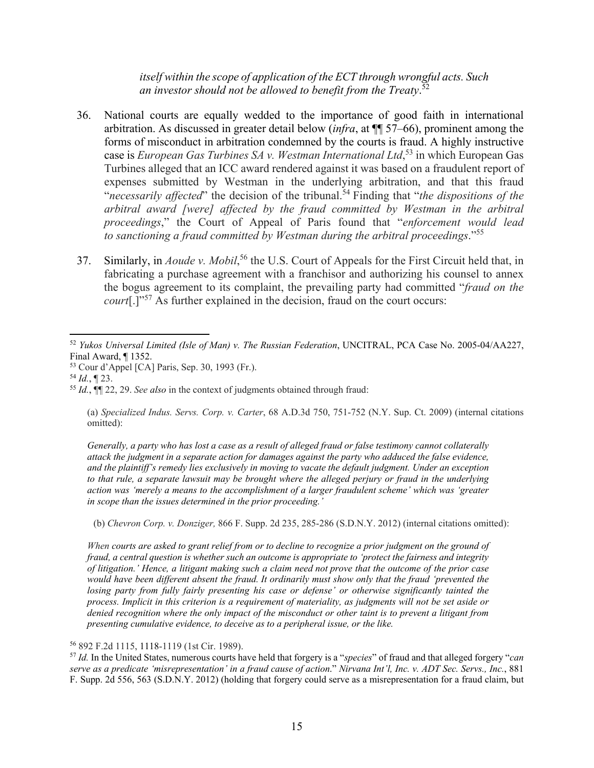*itself within the scope of application of the ECT through wrongful acts. Such an investor should not be allowed to benefit from the Treaty*. 52

- 36. National courts are equally wedded to the importance of good faith in international arbitration. As discussed in greater detail below (*infra*, at ¶¶ 57–66), prominent among the forms of misconduct in arbitration condemned by the courts is fraud. A highly instructive case is *European Gas Turbines SA v. Westman International Ltd*, 53 in which European Gas Turbines alleged that an ICC award rendered against it was based on a fraudulent report of expenses submitted by Westman in the underlying arbitration, and that this fraud "*necessarily affected*" the decision of the tribunal.<sup>54</sup> Finding that "*the dispositions of the arbitral award [were] affected by the fraud committed by Westman in the arbitral proceedings*," the Court of Appeal of Paris found that "*enforcement would lead to sanctioning a fraud committed by Westman during the arbitral proceedings*."55
- 37. Similarly, in *Aoude v. Mobil*,<sup>56</sup> the U.S. Court of Appeals for the First Circuit held that, in fabricating a purchase agreement with a franchisor and authorizing his counsel to annex the bogus agreement to its complaint, the prevailing party had committed "*fraud on the court*[.]"<sup>57</sup> As further explained in the decision, fraud on the court occurs:

*Generally, a party who has lost a case as a result of alleged fraud or false testimony cannot collaterally attack the judgment in a separate action for damages against the party who adduced the false evidence, and the plaintiff's remedy lies exclusively in moving to vacate the default judgment. Under an exception to that rule, a separate lawsuit may be brought where the alleged perjury or fraud in the underlying action was 'merely a means to the accomplishment of a larger fraudulent scheme' which was 'greater in scope than the issues determined in the prior proceeding.'* 

(b) *Chevron Corp. v. Donziger,* 866 F. Supp. 2d 235, 285-286 (S.D.N.Y. 2012) (internal citations omitted):

*When courts are asked to grant relief from or to decline to recognize a prior judgment on the ground of fraud, a central question is whether such an outcome is appropriate to 'protect the fairness and integrity of litigation.' Hence, a litigant making such a claim need not prove that the outcome of the prior case would have been different absent the fraud. It ordinarily must show only that the fraud 'prevented the losing party from fully fairly presenting his case or defense' or otherwise significantly tainted the process. Implicit in this criterion is a requirement of materiality, as judgments will not be set aside or denied recognition where the only impact of the misconduct or other taint is to prevent a litigant from presenting cumulative evidence, to deceive as to a peripheral issue, or the like.* 

#### <sup>56</sup> 892 F.2d 1115, 1118-1119 (1st Cir. 1989).

<sup>57</sup> *Id.* In the United States, numerous courts have held that forgery is a "*species*" of fraud and that alleged forgery "*can serve as a predicate 'misrepresentation' in a fraud cause of action*." *Nirvana Int'l, Inc. v. ADT Sec. Servs., Inc.*, 881 F. Supp. 2d 556, 563 (S.D.N.Y. 2012) (holding that forgery could serve as a misrepresentation for a fraud claim, but

 <sup>52</sup> *Yukos Universal Limited (Isle of Man) v. The Russian Federation*, UNCITRAL, PCA Case No. 2005-04/AA227, Final Award, ¶ 1352.

<sup>53</sup> Cour d'Appel [CA] Paris, Sep. 30, 1993 (Fr.).

<sup>54</sup> *Id.*, ¶ 23.

<sup>55</sup> *Id.*, ¶¶ 22, 29. *See also* in the context of judgments obtained through fraud:

<sup>(</sup>a) *Specialized Indus. Servs. Corp. v. Carter*, 68 A.D.3d 750, 751-752 (N.Y. Sup. Ct. 2009) (internal citations omitted):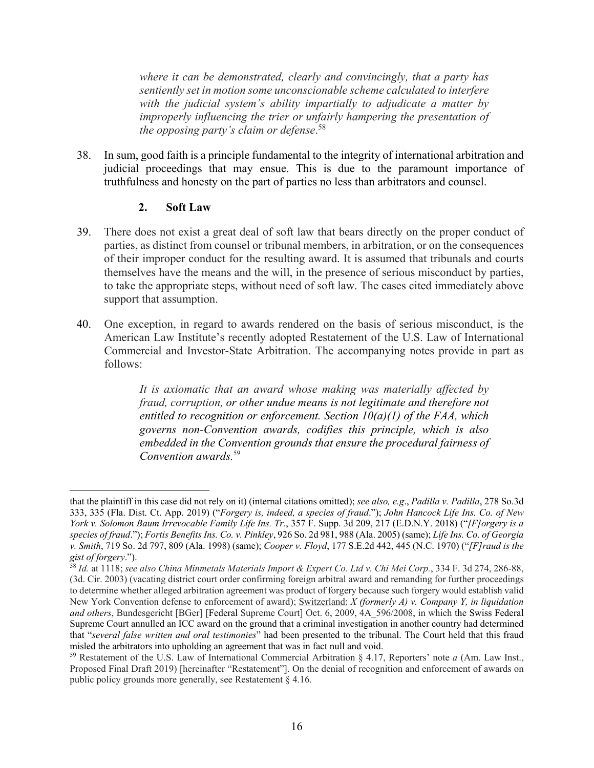*where it can be demonstrated, clearly and convincingly, that a party has sentiently set in motion some unconscionable scheme calculated to interfere with the judicial system's ability impartially to adjudicate a matter by improperly influencing the trier or unfairly hampering the presentation of the opposing party's claim or defense*. 58

38. In sum, good faith is a principle fundamental to the integrity of international arbitration and judicial proceedings that may ensue. This is due to the paramount importance of truthfulness and honesty on the part of parties no less than arbitrators and counsel.

#### **2. Soft Law**

- 39. There does not exist a great deal of soft law that bears directly on the proper conduct of parties, as distinct from counsel or tribunal members, in arbitration, or on the consequences of their improper conduct for the resulting award. It is assumed that tribunals and courts themselves have the means and the will, in the presence of serious misconduct by parties, to take the appropriate steps, without need of soft law. The cases cited immediately above support that assumption.
- 40. One exception, in regard to awards rendered on the basis of serious misconduct, is the American Law Institute's recently adopted Restatement of the U.S. Law of International Commercial and Investor-State Arbitration. The accompanying notes provide in part as follows:

*It is axiomatic that an award whose making was materially affected by fraud, corruption, or other undue means is not legitimate and therefore not entitled to recognition or enforcement. Section 10(a)(1) of the FAA, which governs non-Convention awards, codifies this principle, which is also embedded in the Convention grounds that ensure the procedural fairness of Convention awards.*<sup>59</sup>

that the plaintiff in this case did not rely on it) (internal citations omitted); *see also, e.g*., *Padilla v. Padilla*, 278 So.3d 333, 335 (Fla. Dist. Ct. App. 2019) ("*Forgery is, indeed, a species of fraud*."); *John Hancock Life Ins. Co. of New York v. Solomon Baum Irrevocable Family Life Ins. Tr.*, 357 F. Supp. 3d 209, 217 (E.D.N.Y. 2018) ("*[F]orgery is a species of fraud*."); *Fortis Benefits Ins. Co. v. Pinkley*, 926 So. 2d 981, 988 (Ala. 2005) (same); *Life Ins. Co. of Georgia v. Smith*, 719 So. 2d 797, 809 (Ala. 1998) (same); *Cooper v. Floyd*, 177 S.E.2d 442, 445 (N.C. 1970) ("*[F]raud is the gist of forgery*.").

<sup>58</sup> *Id.* at 1118; *see also China Minmetals Materials Import & Expert Co. Ltd v. Chi Mei Corp.*, 334 F. 3d 274, 286-88, (3d. Cir. 2003) (vacating district court order confirming foreign arbitral award and remanding for further proceedings to determine whether alleged arbitration agreement was product of forgery because such forgery would establish valid New York Convention defense to enforcement of award); Switzerland: *X (formerly A) v. Company Y, in liquidation and others*, Bundesgericht [BGer] [Federal Supreme Court] Oct. 6, 2009, 4A\_596/2008, in which the Swiss Federal Supreme Court annulled an ICC award on the ground that a criminal investigation in another country had determined that "*several false written and oral testimonies*" had been presented to the tribunal. The Court held that this fraud misled the arbitrators into upholding an agreement that was in fact null and void.

<sup>59</sup> Restatement of the U.S. Law of International Commercial Arbitration § 4.17, Reporters' note *a* (Am. Law Inst., Proposed Final Draft 2019) [hereinafter "Restatement"]. On the denial of recognition and enforcement of awards on public policy grounds more generally, see Restatement § 4.16.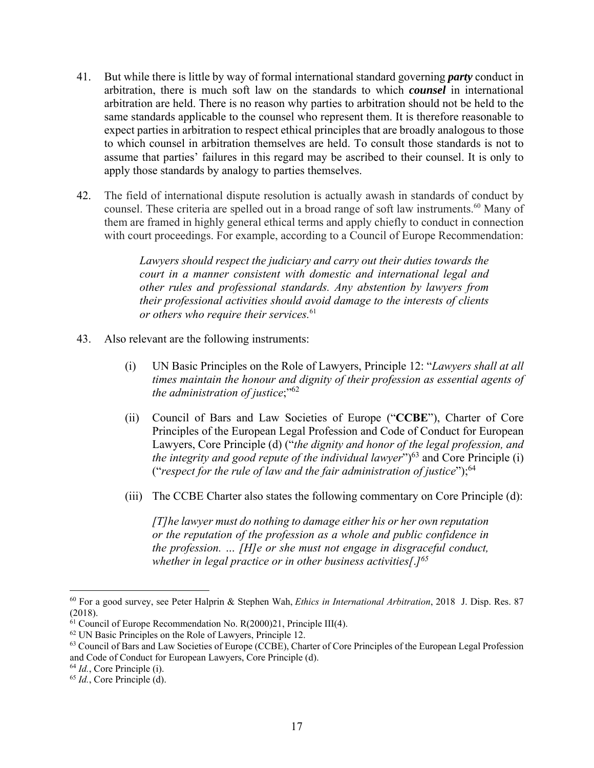- 41. But while there is little by way of formal international standard governing *party* conduct in arbitration, there is much soft law on the standards to which *counsel* in international arbitration are held. There is no reason why parties to arbitration should not be held to the same standards applicable to the counsel who represent them. It is therefore reasonable to expect parties in arbitration to respect ethical principles that are broadly analogous to those to which counsel in arbitration themselves are held. To consult those standards is not to assume that parties' failures in this regard may be ascribed to their counsel. It is only to apply those standards by analogy to parties themselves.
- 42. The field of international dispute resolution is actually awash in standards of conduct by counsel. These criteria are spelled out in a broad range of soft law instruments.<sup>60</sup> Many of them are framed in highly general ethical terms and apply chiefly to conduct in connection with court proceedings. For example, according to a Council of Europe Recommendation:

*Lawyers should respect the judiciary and carry out their duties towards the court in a manner consistent with domestic and international legal and other rules and professional standards. Any abstention by lawyers from their professional activities should avoid damage to the interests of clients or others who require their services.*<sup>61</sup>

- 43. Also relevant are the following instruments:
	- (i) UN Basic Principles on the Role of Lawyers, Principle 12: "*Lawyers shall at all times maintain the honour and dignity of their profession as essential agents of the administration of justice*;"62
	- (ii) Council of Bars and Law Societies of Europe ("**CCBE**"), Charter of Core Principles of the European Legal Profession and Code of Conduct for European Lawyers, Core Principle (d) ("*the dignity and honor of the legal profession, and the integrity and good repute of the individual lawyer*" $)^{63}$  and Core Principle (i) ("*respect for the rule of law and the fair administration of justice*");64
	- (iii) The CCBE Charter also states the following commentary on Core Principle (d):

*[T]he lawyer must do nothing to damage either his or her own reputation or the reputation of the profession as a whole and public confidence in the profession. … [H]e or she must not engage in disgraceful conduct, whether in legal practice or in other business activities[*.*]65*

<sup>60</sup> For a good survey, see Peter Halprin & Stephen Wah, *Ethics in International Arbitration*, 2018 J. Disp. Res. 87 (2018).

 $61$  Council of Europe Recommendation No. R(2000)21, Principle III(4).

<sup>62</sup> UN Basic Principles on the Role of Lawyers, Principle 12.

<sup>63</sup> Council of Bars and Law Societies of Europe (CCBE), Charter of Core Principles of the European Legal Profession and Code of Conduct for European Lawyers, Core Principle (d).

<sup>64</sup> *Id.*, Core Principle (i).

<sup>65</sup> *Id.*, Core Principle (d).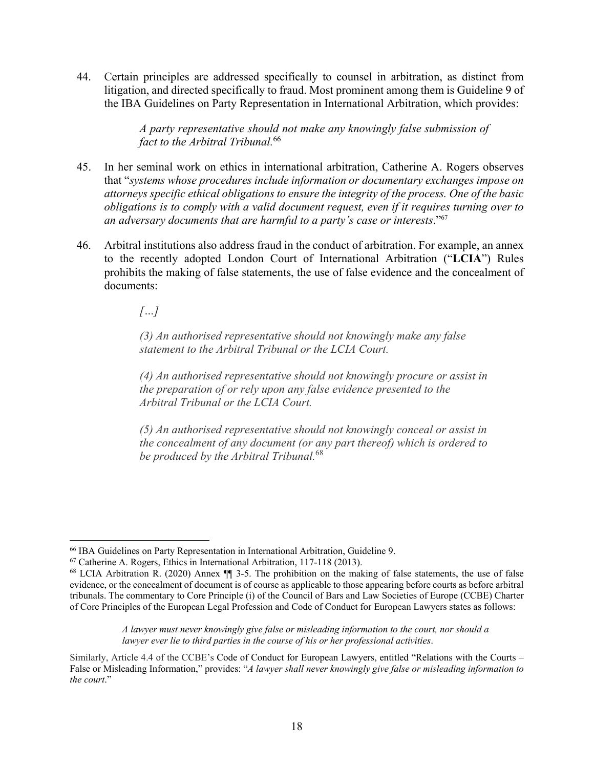44. Certain principles are addressed specifically to counsel in arbitration, as distinct from litigation, and directed specifically to fraud. Most prominent among them is Guideline 9 of the IBA Guidelines on Party Representation in International Arbitration, which provides:

> *A party representative should not make any knowingly false submission of fact to the Arbitral Tribunal.*<sup>66</sup>

- 45. In her seminal work on ethics in international arbitration, Catherine A. Rogers observes that "*systems whose procedures include information or documentary exchanges impose on attorneys specific ethical obligations to ensure the integrity of the process. One of the basic obligations is to comply with a valid document request, even if it requires turning over to an adversary documents that are harmful to a party's case or interests*."67
- 46. Arbitral institutions also address fraud in the conduct of arbitration. For example, an annex to the recently adopted London Court of International Arbitration ("**LCIA**") Rules prohibits the making of false statements, the use of false evidence and the concealment of documents:

*[…]*

*(3) An authorised representative should not knowingly make any false statement to the Arbitral Tribunal or the LCIA Court.*

*(4) An authorised representative should not knowingly procure or assist in the preparation of or rely upon any false evidence presented to the Arbitral Tribunal or the LCIA Court.* 

*(5) An authorised representative should not knowingly conceal or assist in the concealment of any document (or any part thereof) which is ordered to be produced by the Arbitral Tribunal.*<sup>68</sup>

*A lawyer must never knowingly give false or misleading information to the court, nor should a lawyer ever lie to third parties in the course of his or her professional activities*.

 66 IBA Guidelines on Party Representation in International Arbitration, Guideline 9.

<sup>67</sup> Catherine A. Rogers, Ethics in International Arbitration, 117-118 (2013).

<sup>68</sup> LCIA Arbitration R. (2020) Annex ¶¶ 3-5. The prohibition on the making of false statements, the use of false evidence, or the concealment of document is of course as applicable to those appearing before courts as before arbitral tribunals. The commentary to Core Principle (i) of the Council of Bars and Law Societies of Europe (CCBE) Charter of Core Principles of the European Legal Profession and Code of Conduct for European Lawyers states as follows:

Similarly, Article 4.4 of the CCBE's Code of Conduct for European Lawyers, entitled "Relations with the Courts – False or Misleading Information," provides: "*A lawyer shall never knowingly give false or misleading information to the court*."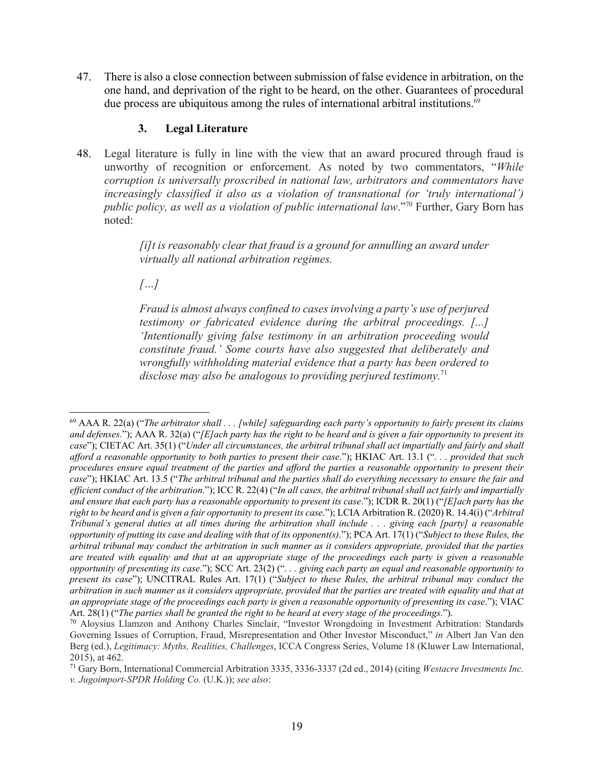47. There is also a close connection between submission of false evidence in arbitration, on the one hand, and deprivation of the right to be heard, on the other. Guarantees of procedural due process are ubiquitous among the rules of international arbitral institutions.<sup>69</sup>

#### **3. Legal Literature**

48. Legal literature is fully in line with the view that an award procured through fraud is unworthy of recognition or enforcement. As noted by two commentators, "*While corruption is universally proscribed in national law, arbitrators and commentators have increasingly classified it also as a violation of transnational (or 'truly international') public policy, as well as a violation of public international law*."70 Further, Gary Born has noted:

> *[i]t is reasonably clear that fraud is a ground for annulling an award under virtually all national arbitration regimes.*

*[…]*

*Fraud is almost always confined to cases involving a party's use of perjured testimony or fabricated evidence during the arbitral proceedings. [...] 'Intentionally giving false testimony in an arbitration proceeding would constitute fraud.' Some courts have also suggested that deliberately and wrongfully withholding material evidence that a party has been ordered to disclose may also be analogous to providing perjured testimony.*71

 69 AAA R. 22(a) ("*The arbitrator shall . . . [while] safeguarding each party's opportunity to fairly present its claims and defenses.*"); AAA R. 32(a) ("*[E]ach party has the right to be heard and is given a fair opportunity to present its case*"); CIETAC Art. 35(1) ("*Under all circumstances, the arbitral tribunal shall act impartially and fairly and shall afford a reasonable opportunity to both parties to present their case*."); HKIAC Art. 13.1 ("*. . . provided that such procedures ensure equal treatment of the parties and afford the parties a reasonable opportunity to present their case*"); HKIAC Art. 13.5 ("*The arbitral tribunal and the parties shall do everything necessary to ensure the fair and efficient conduct of the arbitration*."); ICC R. 22(4) ("*In all cases, the arbitral tribunal shall act fairly and impartially and ensure that each party has a reasonable opportunity to present its case*."); ICDR R. 20(1) ("*[E]ach party has the right to be heard and is given a fair opportunity to present its case*."); LCIA Arbitration R. (2020) R. 14.4(i) ("*Arbitral Tribunal's general duties at all times during the arbitration shall include . . . giving each [party] a reasonable opportunity of putting its case and dealing with that of its opponent(s)*."); PCA Art. 17(1) ("*Subject to these Rules, the arbitral tribunal may conduct the arbitration in such manner as it considers appropriate, provided that the parties are treated with equality and that at an appropriate stage of the proceedings each party is given a reasonable opportunity of presenting its case*."); SCC Art. 23(2) ("*. . . giving each party an equal and reasonable opportunity to present its case*"); UNCITRAL Rules Art. 17(1) ("*Subject to these Rules, the arbitral tribunal may conduct the arbitration in such manner as it considers appropriate, provided that the parties are treated with equality and that at an appropriate stage of the proceedings each party is given a reasonable opportunity of presenting its case*."); VIAC Art. 28(1) ("*The parties shall be granted the right to be heard at every stage of the proceedings*.").

<sup>70</sup> Aloysius Llamzon and Anthony Charles Sinclair, "Investor Wrongdoing in Investment Arbitration: Standards Governing Issues of Corruption, Fraud, Misrepresentation and Other Investor Misconduct," *in* Albert Jan Van den Berg (ed.), *Legitimacy: Myths, Realities, Challenges*, ICCA Congress Series, Volume 18 (Kluwer Law International, 2015), at 462.

<sup>71</sup> Gary Born, International Commercial Arbitration 3335, 3336-3337 (2d ed., 2014) (citing *Westacre Investments Inc. v. Jugoimport-SPDR Holding Co.* (U.K.)); *see also*: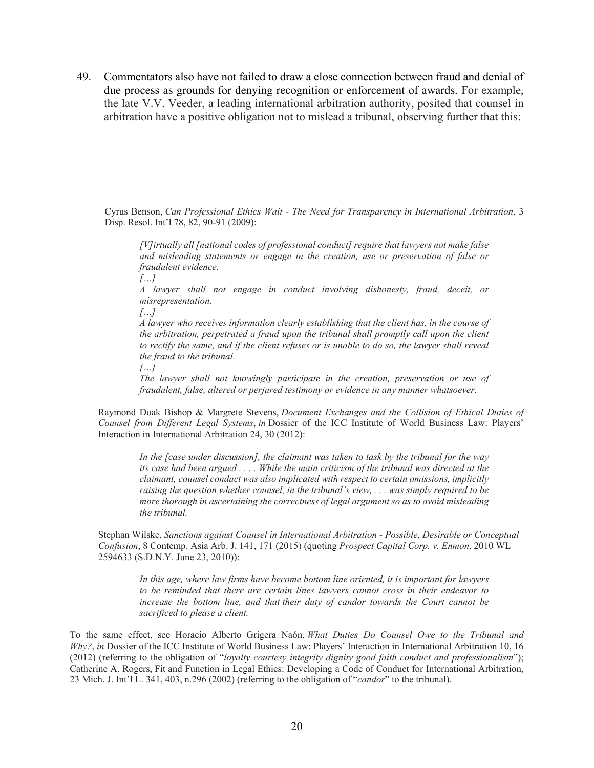49. Commentators also have not failed to draw a close connection between fraud and denial of due process as grounds for denying recognition or enforcement of awards. For example, the late V.V. Veeder, a leading international arbitration authority, posited that counsel in arbitration have a positive obligation not to mislead a tribunal, observing further that this:

Cyrus Benson, *Can Professional Ethics Wait - The Need for Transparency in International Arbitration*, 3 Disp. Resol. Int'l 78, 82, 90-91 (2009):

*[V]irtually all [national codes of professional conduct] require that lawyers not make false and misleading statements or engage in the creation, use or preservation of false or fraudulent evidence.* 

*[…]* 

*A lawyer shall not engage in conduct involving dishonesty, fraud, deceit, or misrepresentation.* 

*[…]* 

*A lawyer who receives information clearly establishing that the client has, in the course of the arbitration, perpetrated a fraud upon the tribunal shall promptly call upon the client to rectify the same, and if the client refuses or is unable to do so, the lawyer shall reveal the fraud to the tribunal.* 

*[…]* 

*The lawyer shall not knowingly participate in the creation, preservation or use of fraudulent, false, altered or perjured testimony or evidence in any manner whatsoever.*

Raymond Doak Bishop & Margrete Stevens, *Document Exchanges and the Collision of Ethical Duties of Counsel from Different Legal Systems*, *in* Dossier of the ICC Institute of World Business Law: Players' Interaction in International Arbitration 24, 30 (2012):

*In the [case under discussion], the claimant was taken to task by the tribunal for the way its case had been argued . . . . While the main criticism of the tribunal was directed at the claimant, counsel conduct was also implicated with respect to certain omissions, implicitly raising the question whether counsel, in the tribunal's view, . . . was simply required to be more thorough in ascertaining the correctness of legal argument so as to avoid misleading the tribunal.* 

Stephan Wilske, *Sanctions against Counsel in International Arbitration - Possible, Desirable or Conceptual Confusion*, 8 Contemp. Asia Arb. J. 141, 171 (2015) (quoting *Prospect Capital Corp. v. Enmon*, 2010 WL 2594633 (S.D.N.Y. June 23, 2010)):

*In this age, where law firms have become bottom line oriented, it is important for lawyers to be reminded that there are certain lines lawyers cannot cross in their endeavor to increase the bottom line, and that their duty of candor towards the Court cannot be sacrificed to please a client.* 

To the same effect, see Horacio Alberto Grigera Naón, *What Duties Do Counsel Owe to the Tribunal and Why?*, *in* Dossier of the ICC Institute of World Business Law: Players' Interaction in International Arbitration 10, 16 (2012) (referring to the obligation of "*loyalty courtesy integrity dignity good faith conduct and professionalism*"); Catherine A. Rogers, Fit and Function in Legal Ethics: Developing a Code of Conduct for International Arbitration, 23 Mich. J. Int'l L. 341, 403, n.296 (2002) (referring to the obligation of "*candor*" to the tribunal).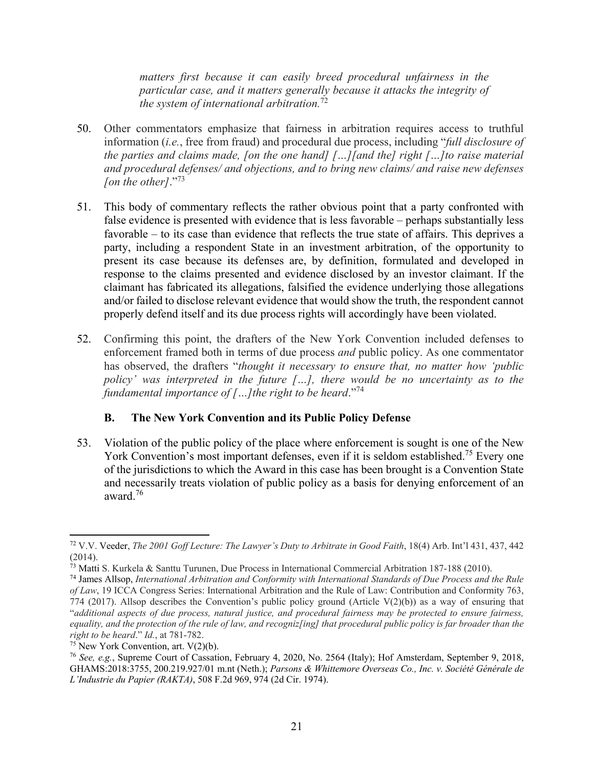*matters first because it can easily breed procedural unfairness in the particular case, and it matters generally because it attacks the integrity of the system of international arbitration.*<sup>72</sup>

- 50. Other commentators emphasize that fairness in arbitration requires access to truthful information (*i.e.*, free from fraud) and procedural due process, including "*full disclosure of the parties and claims made, [on the one hand] […][and the] right […]to raise material and procedural defenses/ and objections, and to bring new claims/ and raise new defenses fon the other]*."<sup>73</sup>
- 51. This body of commentary reflects the rather obvious point that a party confronted with false evidence is presented with evidence that is less favorable – perhaps substantially less favorable – to its case than evidence that reflects the true state of affairs. This deprives a party, including a respondent State in an investment arbitration, of the opportunity to present its case because its defenses are, by definition, formulated and developed in response to the claims presented and evidence disclosed by an investor claimant. If the claimant has fabricated its allegations, falsified the evidence underlying those allegations and/or failed to disclose relevant evidence that would show the truth, the respondent cannot properly defend itself and its due process rights will accordingly have been violated.
- 52. Confirming this point, the drafters of the New York Convention included defenses to enforcement framed both in terms of due process *and* public policy. As one commentator has observed, the drafters "*thought it necessary to ensure that, no matter how 'public policy' was interpreted in the future […], there would be no uncertainty as to the fundamental importance of […]the right to be heard*."<sup>74</sup>

#### **B. The New York Convention and its Public Policy Defense**

53. Violation of the public policy of the place where enforcement is sought is one of the New York Convention's most important defenses, even if it is seldom established.<sup>75</sup> Every one of the jurisdictions to which the Award in this case has been brought is a Convention State and necessarily treats violation of public policy as a basis for denying enforcement of an award.76

<sup>72</sup> V.V. Veeder, *The 2001 Goff Lecture: The Lawyer's Duty to Arbitrate in Good Faith*, 18(4) Arb. Int'l 431, 437, 442  $(2014).$ 

 $\frac{73}{13}$  Matti S. Kurkela & Santtu Turunen, Due Process in International Commercial Arbitration 187-188 (2010).

<sup>74</sup> James Allsop, *International Arbitration and Conformity with International Standards of Due Process and the Rule of Law*, 19 ICCA Congress Series: International Arbitration and the Rule of Law: Contribution and Conformity 763, 774 (2017). Allsop describes the Convention's public policy ground (Article V(2)(b)) as a way of ensuring that "*additional aspects of due process, natural justice, and procedural fairness may be protected to ensure fairness,*  equality, and the protection of the rule of law, and recogniz[ing] that procedural public policy is far broader than the *right to be heard.*" *Id.*, at 781-782.<br><sup>75</sup> New York Convention, art. V(2)(b).

<sup>76</sup> *See, e.g.*, Supreme Court of Cassation, February 4, 2020, No. 2564 (Italy); Hof Amsterdam, September 9, 2018, GHAMS:2018:3755, 200.219.927/01 m.nt (Neth.); *Parsons & Whittemore Overseas Co., Inc. v. Société Générale de L'Industrie du Papier (RAKTA)*, 508 F.2d 969, 974 (2d Cir. 1974).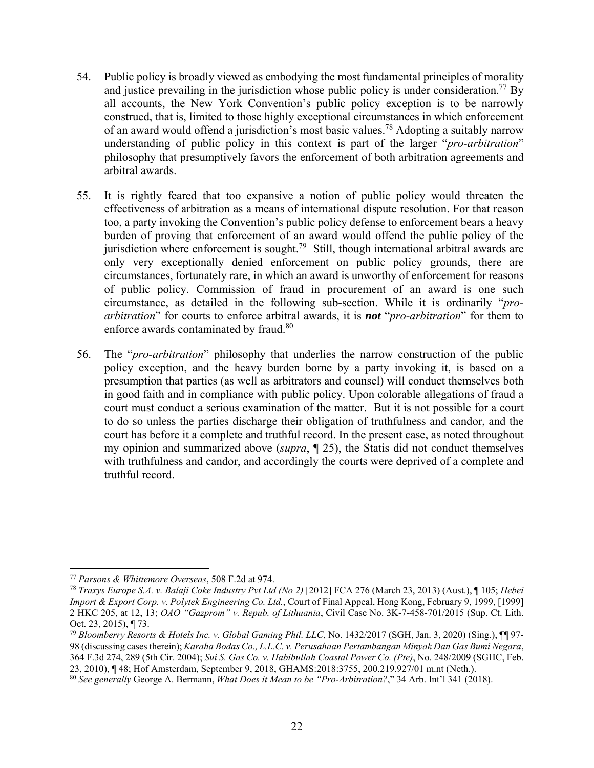- 54. Public policy is broadly viewed as embodying the most fundamental principles of morality and justice prevailing in the jurisdiction whose public policy is under consideration.<sup>77</sup> By all accounts, the New York Convention's public policy exception is to be narrowly construed, that is, limited to those highly exceptional circumstances in which enforcement of an award would offend a jurisdiction's most basic values.78 Adopting a suitably narrow understanding of public policy in this context is part of the larger "*pro-arbitration*" philosophy that presumptively favors the enforcement of both arbitration agreements and arbitral awards.
- 55. It is rightly feared that too expansive a notion of public policy would threaten the effectiveness of arbitration as a means of international dispute resolution. For that reason too, a party invoking the Convention's public policy defense to enforcement bears a heavy burden of proving that enforcement of an award would offend the public policy of the jurisdiction where enforcement is sought.<sup>79</sup> Still, though international arbitral awards are only very exceptionally denied enforcement on public policy grounds, there are circumstances, fortunately rare, in which an award is unworthy of enforcement for reasons of public policy. Commission of fraud in procurement of an award is one such circumstance, as detailed in the following sub-section. While it is ordinarily "*proarbitration*" for courts to enforce arbitral awards, it is *not* "*pro-arbitration*" for them to enforce awards contaminated by fraud.<sup>80</sup>
- 56. The "*pro-arbitration*" philosophy that underlies the narrow construction of the public policy exception, and the heavy burden borne by a party invoking it, is based on a presumption that parties (as well as arbitrators and counsel) will conduct themselves both in good faith and in compliance with public policy. Upon colorable allegations of fraud a court must conduct a serious examination of the matter. But it is not possible for a court to do so unless the parties discharge their obligation of truthfulness and candor, and the court has before it a complete and truthful record. In the present case, as noted throughout my opinion and summarized above (*supra*, ¶ 25), the Statis did not conduct themselves with truthfulness and candor, and accordingly the courts were deprived of a complete and truthful record.

 <sup>77</sup> *Parsons & Whittemore Overseas*, 508 F.2d at 974.

<sup>78</sup> *Traxys Europe S.A. v. Balaji Coke Industry Pvt Ltd (No 2)* [2012] FCA 276 (March 23, 2013) (Aust.), ¶ 105; *Hebei Import & Export Corp. v. Polytek Engineering Co. Ltd.*, Court of Final Appeal, Hong Kong, February 9, 1999, [1999] 2 HKC 205, at 12, 13; *OAO "Gazprom" v. Repub. of Lithuania*, Civil Case No. 3K‐7‐458‐701/2015 (Sup. Ct. Lith. Oct. 23, 2015), ¶ 73.

<sup>79</sup> *Bloomberry Resorts & Hotels Inc. v. Global Gaming Phil. LLC*, No. 1432/2017 (SGH, Jan. 3, 2020) (Sing.), ¶¶ 97- 98 (discussing cases therein); *Karaha Bodas Co., L.L.C. v. Perusahaan Pertambangan Minyak Dan Gas Bumi Negara*, 364 F.3d 274, 289 (5th Cir. 2004); *Sui S. Gas Co. v. Habibullah Coastal Power Co. (Pte)*, No. 248/2009 (SGHC, Feb. 23, 2010), ¶ 48; Hof Amsterdam, September 9, 2018, GHAMS:2018:3755, 200.219.927/01 m.nt (Neth.).

<sup>80</sup> *See generally* George A. Bermann, *What Does it Mean to be "Pro-Arbitration?*," 34 Arb. Int'l 341 (2018).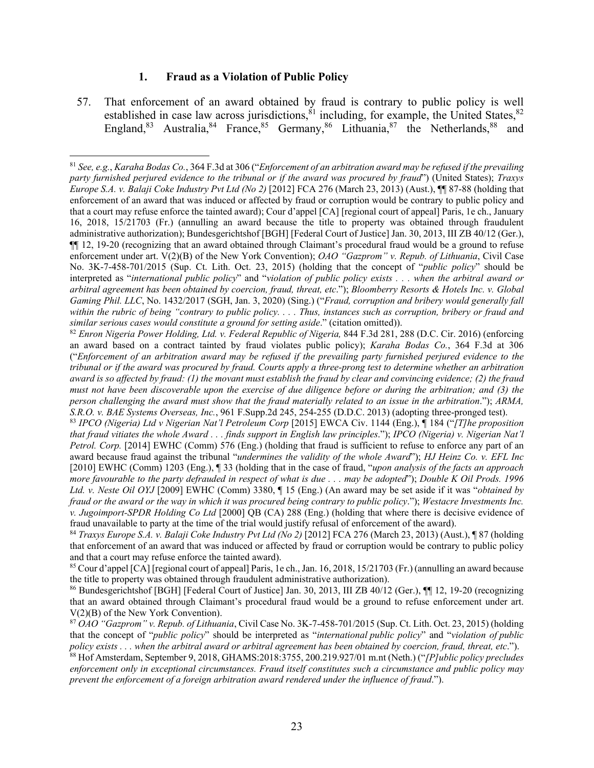#### **1. Fraud as a Violation of Public Policy**

57. That enforcement of an award obtained by fraud is contrary to public policy is well established in case law across jurisdictions,  $81$  including, for example, the United States,  $82$ England,  $83$  Australia,  $84$  France,  $85$  Germany,  $86$  Lithuania,  $87$  the Netherlands,  $88$  and

<sup>82</sup> *Enron Nigeria Power Holding, Ltd. v. Federal Republic of Nigeria,* 844 F.3d 281, 288 (D.C. Cir. 2016) (enforcing an award based on a contract tainted by fraud violates public policy); *Karaha Bodas Co.*, 364 F.3d at 306 ("*Enforcement of an arbitration award may be refused if the prevailing party furnished perjured evidence to the tribunal or if the award was procured by fraud. Courts apply a three-prong test to determine whether an arbitration award is so affected by fraud: (1) the movant must establish the fraud by clear and convincing evidence; (2) the fraud must not have been discoverable upon the exercise of due diligence before or during the arbitration; and (3) the person challenging the award must show that the fraud materially related to an issue in the arbitration*."); *ARMA, S.R.O. v. BAE Systems Overseas, Inc.*, 961 F.Supp.2d 245, 254-255 (D.D.C. 2013) (adopting three-pronged test).

84 *Traxys Europe S.A. v. Balaji Coke Industry Pvt Ltd (No 2)* [2012] FCA 276 (March 23, 2013) (Aust.), ¶ 87 (holding that enforcement of an award that was induced or affected by fraud or corruption would be contrary to public policy and that a court may refuse enforce the tainted award).

85 Cour d'appel [CA] [regional court of appeal] Paris, 1e ch., Jan. 16, 2018, 15/21703 (Fr.) (annulling an award because the title to property was obtained through fraudulent administrative authorization).

86 Bundesgerichtshof [BGH] [Federal Court of Justice] Jan. 30, 2013, III ZB 40/12 (Ger.), ¶¶ 12, 19-20 (recognizing that an award obtained through Claimant's procedural fraud would be a ground to refuse enforcement under art. V(2)(B) of the New York Convention).

<sup>87</sup> *OAO "Gazprom" v. Repub. of Lithuania*, Civil Case No. 3K-7-458-701/2015 (Sup. Ct. Lith. Oct. 23, 2015) (holding that the concept of "*public policy*" should be interpreted as "*international public policy*" and "*violation of public policy exists . . . when the arbitral award or arbitral agreement has been obtained by coercion, fraud, threat, etc*.").

88 Hof Amsterdam, September 9, 2018, GHAMS:2018:3755, 200.219.927/01 m.nt (Neth.) ("*[P]ublic policy precludes enforcement only in exceptional circumstances. Fraud itself constitutes such a circumstance and public policy may prevent the enforcement of a foreign arbitration award rendered under the influence of fraud*.").

<sup>81</sup> *See, e.g.*, *Karaha Bodas Co.*, 364 F.3d at 306 ("*Enforcement of an arbitration award may be refused if the prevailing party furnished perjured evidence to the tribunal or if the award was procured by fraud*") (United States); *Traxys Europe S.A. v. Balaji Coke Industry Pvt Ltd (No 2)* [2012] FCA 276 (March 23, 2013) (Aust.), ¶¶ 87-88 (holding that enforcement of an award that was induced or affected by fraud or corruption would be contrary to public policy and that a court may refuse enforce the tainted award); Cour d'appel [CA] [regional court of appeal] Paris, 1e ch., January 16, 2018, 15/21703 (Fr.) (annulling an award because the title to property was obtained through fraudulent administrative authorization); Bundesgerichtshof [BGH] [Federal Court of Justice] Jan. 30, 2013, III ZB 40/12 (Ger.), ¶¶ 12, 19-20 (recognizing that an award obtained through Claimant's procedural fraud would be a ground to refuse enforcement under art. V(2)(B) of the New York Convention); *OAO "Gazprom" v. Repub. of Lithuania*, Civil Case No. 3K‐7‐458‐701/2015 (Sup. Ct. Lith. Oct. 23, 2015) (holding that the concept of "*public policy*" should be interpreted as "*international public policy*" and "*violation of public policy exists . . . when the arbitral award or arbitral agreement has been obtained by coercion, fraud, threat, etc*."); *Bloomberry Resorts & Hotels Inc. v. Global Gaming Phil. LLC*, No. 1432/2017 (SGH, Jan. 3, 2020) (Sing.) ("*Fraud, corruption and bribery would generally fall within the rubric of being "contrary to public policy. . . . Thus, instances such as corruption, bribery or fraud and similar serious cases would constitute a ground for setting aside*." (citation omitted)).

<sup>83</sup> *IPCO (Nigeria) Ltd v Nigerian Nat'l Petroleum Corp* [2015] EWCA Civ. 1144 (Eng.), ¶ 184 ("*[T]he proposition that fraud vitiates the whole Award . . . finds support in English law principles*."); *IPCO (Nigeria) v. Nigerian Nat'l Petrol. Corp.* [2014] EWHC (Comm) 576 (Eng.) (holding that fraud is sufficient to refuse to enforce any part of an award because fraud against the tribunal "*undermines the validity of the whole Award*"); *HJ Heinz Co. v. EFL Inc* [2010] EWHC (Comm) 1203 (Eng.), ¶ 33 (holding that in the case of fraud, "*upon analysis of the facts an approach more favourable to the party defrauded in respect of what is due . . . may be adopted*"); *Double K Oil Prods. 1996 Ltd. v. Neste Oil OYJ* [2009] EWHC (Comm) 3380, ¶ 15 (Eng.) (An award may be set aside if it was "*obtained by fraud or the award or the way in which it was procured being contrary to public policy*."); *Westacre Investments Inc. v. Jugoimport-SPDR Holding Co Ltd* [2000] QB (CA) 288 (Eng.) (holding that where there is decisive evidence of fraud unavailable to party at the time of the trial would justify refusal of enforcement of the award).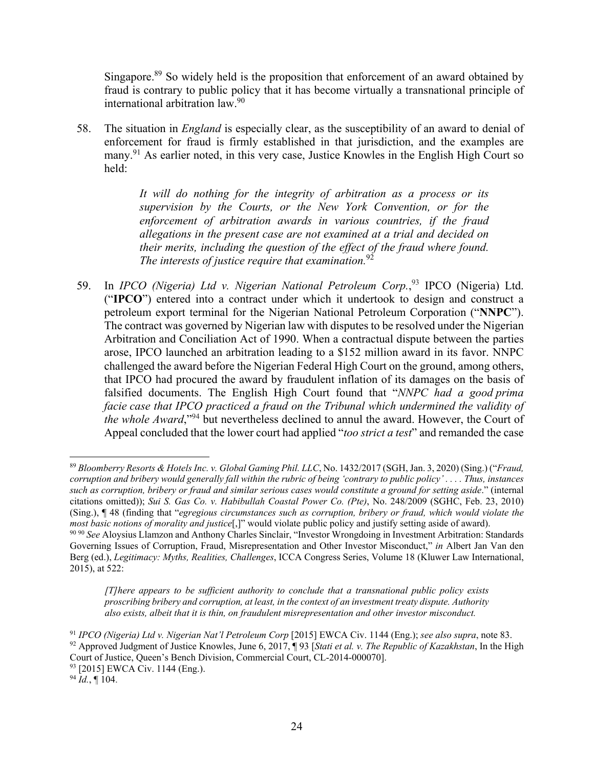Singapore.<sup>89</sup> So widely held is the proposition that enforcement of an award obtained by fraud is contrary to public policy that it has become virtually a transnational principle of international arbitration law.90

58. The situation in *England* is especially clear, as the susceptibility of an award to denial of enforcement for fraud is firmly established in that jurisdiction, and the examples are many.<sup>91</sup> As earlier noted, in this very case, Justice Knowles in the English High Court so held:

> *It will do nothing for the integrity of arbitration as a process or its supervision by the Courts, or the New York Convention, or for the enforcement of arbitration awards in various countries, if the fraud allegations in the present case are not examined at a trial and decided on their merits, including the question of the effect of the fraud where found. The interests of justice require that examination.*<sup>92</sup>

59. In *IPCO (Nigeria) Ltd v. Nigerian National Petroleum Corp.*<sup>93</sup> IPCO (Nigeria) Ltd. ("**IPCO**") entered into a contract under which it undertook to design and construct a petroleum export terminal for the Nigerian National Petroleum Corporation ("**NNPC**"). The contract was governed by Nigerian law with disputes to be resolved under the Nigerian Arbitration and Conciliation Act of 1990. When a contractual dispute between the parties arose, IPCO launched an arbitration leading to a \$152 million award in its favor. NNPC challenged the award before the Nigerian Federal High Court on the ground, among others, that IPCO had procured the award by fraudulent inflation of its damages on the basis of falsified documents. The English High Court found that "*NNPC had a good prima facie case that IPCO practiced a fraud on the Tribunal which undermined the validity of the whole Award*,"94 but nevertheless declined to annul the award. However, the Court of Appeal concluded that the lower court had applied "*too strict a test*" and remanded the case

 <sup>89</sup> *Bloomberry Resorts & Hotels Inc. v. Global Gaming Phil. LLC*, No. 1432/2017 (SGH, Jan. 3, 2020) (Sing.) ("*Fraud, corruption and bribery would generally fall within the rubric of being 'contrary to public policy' . . . . Thus, instances such as corruption, bribery or fraud and similar serious cases would constitute a ground for setting aside*." (internal citations omitted)); *Sui S. Gas Co. v. Habibullah Coastal Power Co. (Pte)*, No. 248/2009 (SGHC, Feb. 23, 2010) (Sing.), ¶ 48 (finding that "*egregious circumstances such as corruption, bribery or fraud, which would violate the most basic notions of morality and justice*[,]" would violate public policy and justify setting aside of award). <sup>90</sup> <sup>90</sup> *See* Aloysius Llamzon and Anthony Charles Sinclair, "Investor Wrongdoing in Investment Arbitration: Standards

Governing Issues of Corruption, Fraud, Misrepresentation and Other Investor Misconduct," *in* Albert Jan Van den Berg (ed.), *Legitimacy: Myths, Realities, Challenges*, ICCA Congress Series, Volume 18 (Kluwer Law International, 2015), at 522:

*<sup>[</sup>T]here appears to be sufficient authority to conclude that a transnational public policy exists proscribing bribery and corruption, at least, in the context of an investment treaty dispute. Authority also exists, albeit that it is thin, on fraudulent misrepresentation and other investor misconduct.* 

<sup>91</sup> *IPCO (Nigeria) Ltd v. Nigerian Nat'l Petroleum Corp* [2015] EWCA Civ. 1144 (Eng.); *see also supra*, note 83. 92 Approved Judgment of Justice Knowles, June 6, 2017, ¶ 93 [*Stati et al. v. The Republic of Kazakhstan*, In the High Court of Justice, Queen's Bench Division, Commercial Court, CL-2014-000070].

<sup>93 [2015]</sup> EWCA Civ. 1144 (Eng.).

 $^{94}$  *Id.*, ¶ 104.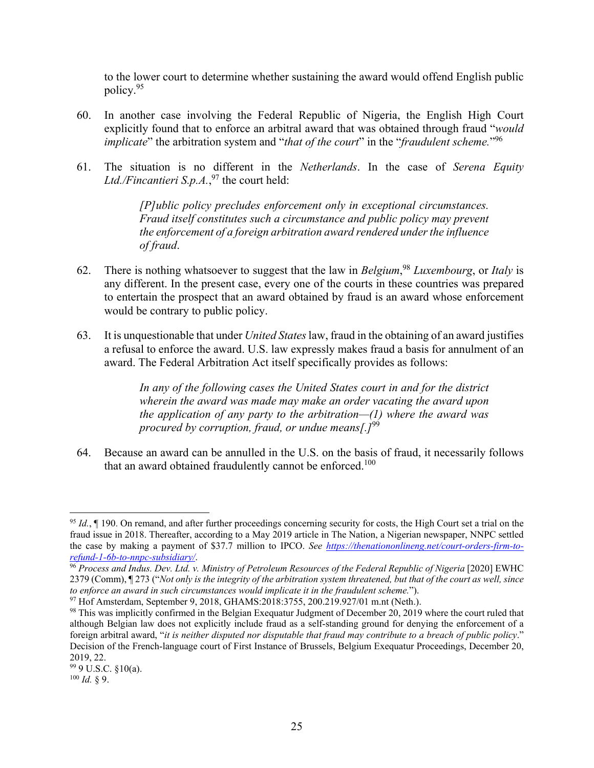to the lower court to determine whether sustaining the award would offend English public policy.95

- 60. In another case involving the Federal Republic of Nigeria, the English High Court explicitly found that to enforce an arbitral award that was obtained through fraud "*would implicate*" the arbitration system and "*that of the court*" in the "*fraudulent scheme.*"96
- 61. The situation is no different in the *Netherlands*. In the case of *Serena Equity Ltd./Fincantieri S.p.A.*, 97 the court held:

*[P]ublic policy precludes enforcement only in exceptional circumstances. Fraud itself constitutes such a circumstance and public policy may prevent the enforcement of a foreign arbitration award rendered under the influence of fraud*.

- 62. There is nothing whatsoever to suggest that the law in *Belgium*, <sup>98</sup> *Luxembourg*, or *Italy* is any different. In the present case, every one of the courts in these countries was prepared to entertain the prospect that an award obtained by fraud is an award whose enforcement would be contrary to public policy.
- 63. It is unquestionable that under *United States* law, fraud in the obtaining of an award justifies a refusal to enforce the award. U.S. law expressly makes fraud a basis for annulment of an award. The Federal Arbitration Act itself specifically provides as follows:

*In any of the following cases the United States court in and for the district wherein the award was made may make an order vacating the award upon the application of any party to the arbitration—(1) where the award was procured by corruption, fraud, or undue means[.]*<sup>99</sup>

64. Because an award can be annulled in the U.S. on the basis of fraud, it necessarily follows that an award obtained fraudulently cannot be enforced.<sup>100</sup>

 <sup>95</sup> *Id.*, ¶ 190. On remand, and after further proceedings concerning security for costs, the High Court set a trial on the fraud issue in 2018. Thereafter, according to a May 2019 article in The Nation, a Nigerian newspaper, NNPC settled the case by making a payment of \$37.7 million to IPCO. *See https://thenationonlineng.net/court-orders-firm-to-*<br>refund-1-6b-to-nnpc-subsidiary/.

<sup>&</sup>lt;sup>96</sup> Process and Indus. Dev. Ltd. v. Ministry of Petroleum Resources of the Federal Republic of Nigeria [2020] EWHC 2379 (Comm), ¶ 273 ("*Not only is the integrity of the arbitration system threatened, but that of the court as well, since to enforce an award in such circumstances would implicate it in the fraudulent scheme.*").

<sup>97</sup> Hof Amsterdam, September 9, 2018, GHAMS:2018:3755, 200.219.927/01 m.nt (Neth.).

<sup>&</sup>lt;sup>98</sup> This was implicitly confirmed in the Belgian Exequatur Judgment of December 20, 2019 where the court ruled that although Belgian law does not explicitly include fraud as a self-standing ground for denying the enforcement of a foreign arbitral award, "*it is neither disputed nor disputable that fraud may contribute to a breach of public policy*." Decision of the French-language court of First Instance of Brussels, Belgium Exequatur Proceedings, December 20, 2019, 22.

<sup>99 9</sup> U.S.C. §10(a).

<sup>100</sup> *Id.* § 9.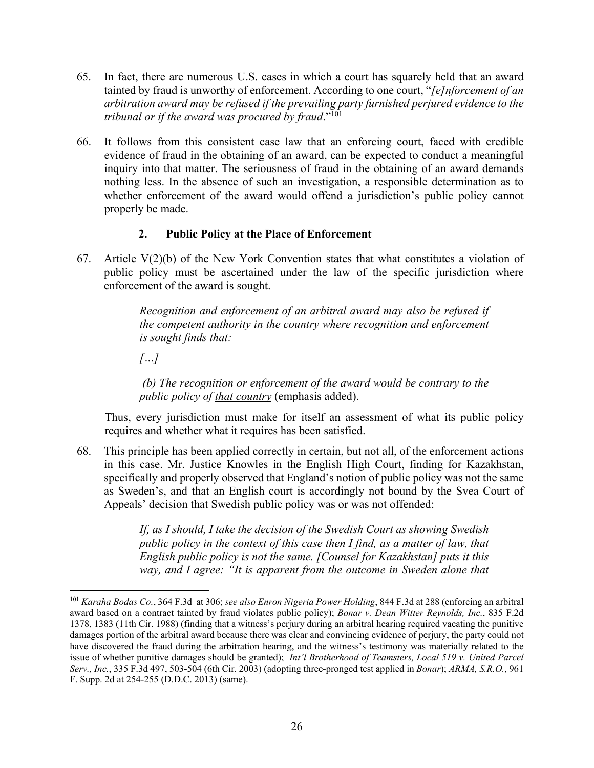- 65. In fact, there are numerous U.S. cases in which a court has squarely held that an award tainted by fraud is unworthy of enforcement. According to one court, "*[e]nforcement of an arbitration award may be refused if the prevailing party furnished perjured evidence to the tribunal or if the award was procured by fraud*."101
- 66. It follows from this consistent case law that an enforcing court, faced with credible evidence of fraud in the obtaining of an award, can be expected to conduct a meaningful inquiry into that matter. The seriousness of fraud in the obtaining of an award demands nothing less. In the absence of such an investigation, a responsible determination as to whether enforcement of the award would offend a jurisdiction's public policy cannot properly be made.

#### **2. Public Policy at the Place of Enforcement**

67. Article  $V(2)(b)$  of the New York Convention states that what constitutes a violation of public policy must be ascertained under the law of the specific jurisdiction where enforcement of the award is sought.

> *Recognition and enforcement of an arbitral award may also be refused if the competent authority in the country where recognition and enforcement is sought finds that:*

*[…]* 

 *(b) The recognition or enforcement of the award would be contrary to the public policy of that country* (emphasis added).

Thus, every jurisdiction must make for itself an assessment of what its public policy requires and whether what it requires has been satisfied.

68. This principle has been applied correctly in certain, but not all, of the enforcement actions in this case. Mr. Justice Knowles in the English High Court, finding for Kazakhstan, specifically and properly observed that England's notion of public policy was not the same as Sweden's, and that an English court is accordingly not bound by the Svea Court of Appeals' decision that Swedish public policy was or was not offended:

> *If, as I should, I take the decision of the Swedish Court as showing Swedish public policy in the context of this case then I find, as a matter of law, that English public policy is not the same. [Counsel for Kazakhstan] puts it this way, and I agree: "It is apparent from the outcome in Sweden alone that*

<sup>101</sup> *Karaha Bodas Co.*, 364 F.3d at 306; *see also Enron Nigeria Power Holding*, 844 F.3d at 288 (enforcing an arbitral award based on a contract tainted by fraud violates public policy); *Bonar v. Dean Witter Reynolds, Inc.*, 835 F.2d 1378, 1383 (11th Cir. 1988) (finding that a witness's perjury during an arbitral hearing required vacating the punitive damages portion of the arbitral award because there was clear and convincing evidence of perjury, the party could not have discovered the fraud during the arbitration hearing, and the witness's testimony was materially related to the issue of whether punitive damages should be granted); *Int'l Brotherhood of Teamsters, Local 519 v. United Parcel Serv., Inc.*, 335 F.3d 497, 503-504 (6th Cir. 2003) (adopting three-pronged test applied in *Bonar*); *ARMA, S.R.O.*, 961 F. Supp. 2d at 254-255 (D.D.C. 2013) (same).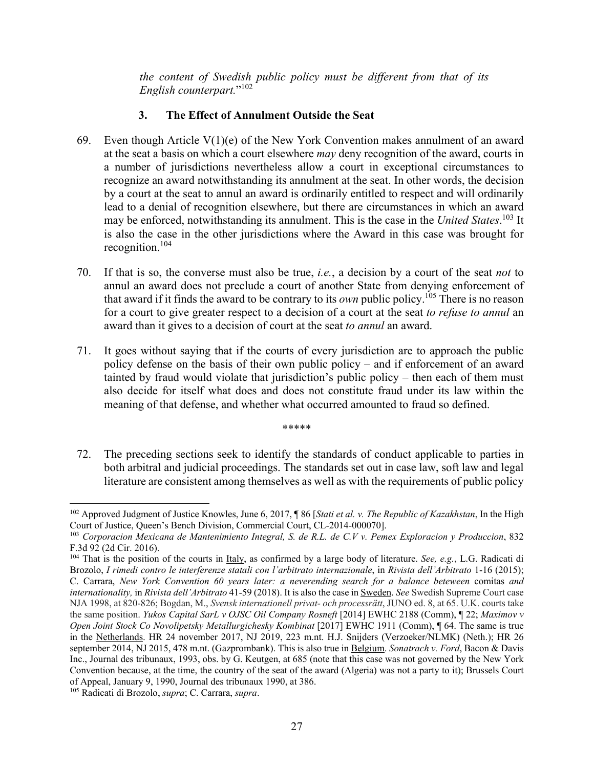*the content of Swedish public policy must be different from that of its English counterpart.*"102

## **3. The Effect of Annulment Outside the Seat**

- 69. Even though Article  $V(1)(e)$  of the New York Convention makes annulment of an award at the seat a basis on which a court elsewhere *may* deny recognition of the award, courts in a number of jurisdictions nevertheless allow a court in exceptional circumstances to recognize an award notwithstanding its annulment at the seat. In other words, the decision by a court at the seat to annul an award is ordinarily entitled to respect and will ordinarily lead to a denial of recognition elsewhere, but there are circumstances in which an award may be enforced, notwithstanding its annulment. This is the case in the *United States*. 103 It is also the case in the other jurisdictions where the Award in this case was brought for recognition.104
- 70. If that is so, the converse must also be true, *i.e.*, a decision by a court of the seat *not* to annul an award does not preclude a court of another State from denying enforcement of that award if it finds the award to be contrary to its *own* public policy.105 There is no reason for a court to give greater respect to a decision of a court at the seat *to refuse to annul* an award than it gives to a decision of court at the seat *to annul* an award.
- 71. It goes without saying that if the courts of every jurisdiction are to approach the public policy defense on the basis of their own public policy – and if enforcement of an award tainted by fraud would violate that jurisdiction's public policy – then each of them must also decide for itself what does and does not constitute fraud under its law within the meaning of that defense, and whether what occurred amounted to fraud so defined.

\*\*\*\*\*

72. The preceding sections seek to identify the standards of conduct applicable to parties in both arbitral and judicial proceedings. The standards set out in case law, soft law and legal literature are consistent among themselves as well as with the requirements of public policy

 102 Approved Judgment of Justice Knowles, June 6, 2017, ¶ 86 [*Stati et al. v. The Republic of Kazakhstan*, In the High Court of Justice, Queen's Bench Division, Commercial Court, CL-2014-000070].

<sup>103</sup> *Corporacion Mexicana de Mantenimiento Integral, S. de R.L. de C.V v. Pemex Exploracion y Produccion*, 832 F.3d 92 (2d Cir. 2016).

<sup>104</sup> That is the position of the courts in Italy, as confirmed by a large body of literature. *See, e.g.*, L.G. Radicati di Brozolo, *I rimedi contro le interferenze statali con l'arbitrato internazionale*, in *Rivista dell'Arbitrato* 1-16 (2015); C. Carrara, *New York Convention 60 years later: a neverending search for a balance beteween* comitas *and internationality,* in *Rivista dell'Arbitrato* 41-59 (2018). It is also the case in Sweden. *See* Swedish Supreme Court case NJA 1998, at 820-826; Bogdan, M., *Svensk internationell privat- och processrätt*, JUNO ed. 8, at 65. U.K. courts take the same position. *Yukos Capital SarL v OJSC Oil Company Rosneft* [2014] EWHC 2188 (Comm), ¶ 22; *Maximov v Open Joint Stock Co Novolipetsky Metallurgichesky Kombinat* [2017] EWHC 1911 (Comm), ¶ 64. The same is true in the Netherlands. HR 24 november 2017, NJ 2019, 223 m.nt. H.J. Snijders (Verzoeker/NLMK) (Neth.); HR 26 september 2014, NJ 2015, 478 m.nt. (Gazprombank). This is also true in Belgium. *Sonatrach v. Ford*, Bacon & Davis Inc., Journal des tribunaux, 1993, obs. by G. Keutgen, at 685 (note that this case was not governed by the New York Convention because, at the time, the country of the seat of the award (Algeria) was not a party to it); Brussels Court of Appeal, January 9, 1990, Journal des tribunaux 1990, at 386.

<sup>105</sup> Radicati di Brozolo, *supra*; C. Carrara, *supra*.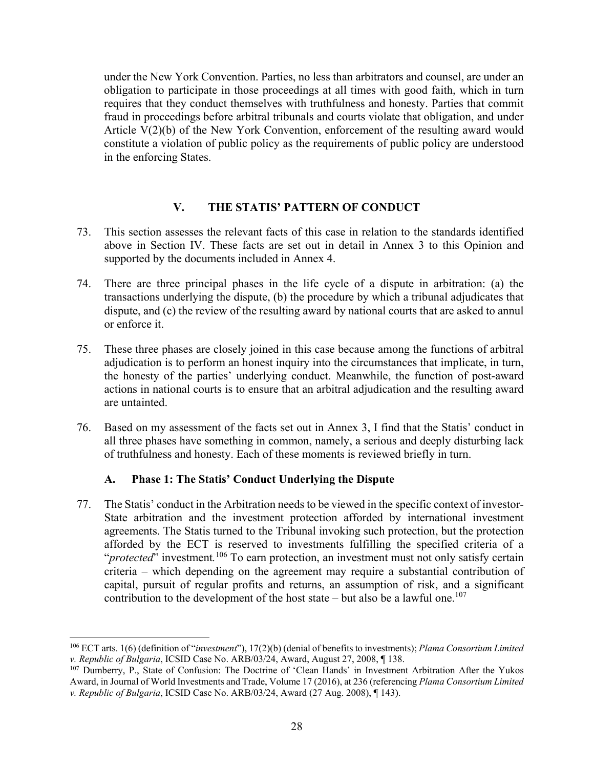under the New York Convention. Parties, no less than arbitrators and counsel, are under an obligation to participate in those proceedings at all times with good faith, which in turn requires that they conduct themselves with truthfulness and honesty. Parties that commit fraud in proceedings before arbitral tribunals and courts violate that obligation, and under Article V(2)(b) of the New York Convention, enforcement of the resulting award would constitute a violation of public policy as the requirements of public policy are understood in the enforcing States.

#### **V. THE STATIS' PATTERN OF CONDUCT**

- 73. This section assesses the relevant facts of this case in relation to the standards identified above in Section IV. These facts are set out in detail in Annex 3 to this Opinion and supported by the documents included in Annex 4.
- 74. There are three principal phases in the life cycle of a dispute in arbitration: (a) the transactions underlying the dispute, (b) the procedure by which a tribunal adjudicates that dispute, and (c) the review of the resulting award by national courts that are asked to annul or enforce it.
- 75. These three phases are closely joined in this case because among the functions of arbitral adjudication is to perform an honest inquiry into the circumstances that implicate, in turn, the honesty of the parties' underlying conduct. Meanwhile, the function of post-award actions in national courts is to ensure that an arbitral adjudication and the resulting award are untainted.
- 76. Based on my assessment of the facts set out in Annex 3, I find that the Statis' conduct in all three phases have something in common, namely, a serious and deeply disturbing lack of truthfulness and honesty. Each of these moments is reviewed briefly in turn.

#### **A. Phase 1: The Statis' Conduct Underlying the Dispute**

77. The Statis' conduct in the Arbitration needs to be viewed in the specific context of investor-State arbitration and the investment protection afforded by international investment agreements. The Statis turned to the Tribunal invoking such protection, but the protection afforded by the ECT is reserved to investments fulfilling the specified criteria of a "*protected*" investment.<sup>106</sup> To earn protection, an investment must not only satisfy certain criteria – which depending on the agreement may require a substantial contribution of capital, pursuit of regular profits and returns, an assumption of risk, and a significant contribution to the development of the host state – but also be a lawful one.<sup>107</sup>

<sup>106</sup> ECT arts. 1(6) (definition of "*investment*"), 17(2)(b) (denial of benefits to investments); *Plama Consortium Limited v. Republic of Bulgaria*, ICSID Case No. ARB/03/24, Award, August 27, 2008, ¶ 138.

<sup>107</sup> Dumberry, P., State of Confusion: The Doctrine of 'Clean Hands' in Investment Arbitration After the Yukos Award, in Journal of World Investments and Trade, Volume 17 (2016), at 236 (referencing *Plama Consortium Limited v. Republic of Bulgaria*, ICSID Case No. ARB/03/24, Award (27 Aug. 2008), ¶ 143).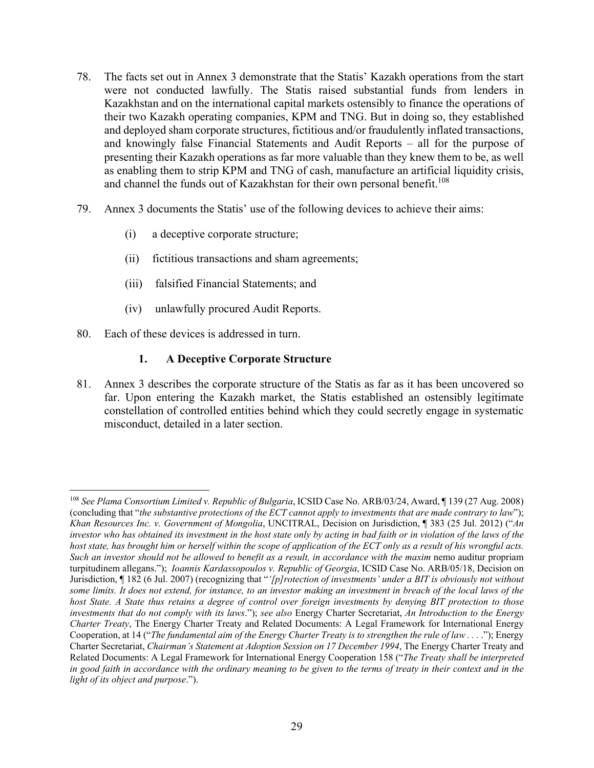- 78. The facts set out in Annex 3 demonstrate that the Statis' Kazakh operations from the start were not conducted lawfully. The Statis raised substantial funds from lenders in Kazakhstan and on the international capital markets ostensibly to finance the operations of their two Kazakh operating companies, KPM and TNG. But in doing so, they established and deployed sham corporate structures, fictitious and/or fraudulently inflated transactions, and knowingly false Financial Statements and Audit Reports – all for the purpose of presenting their Kazakh operations as far more valuable than they knew them to be, as well as enabling them to strip KPM and TNG of cash, manufacture an artificial liquidity crisis, and channel the funds out of Kazakhstan for their own personal benefit.<sup>108</sup>
- 79. Annex 3 documents the Statis' use of the following devices to achieve their aims:
	- (i) a deceptive corporate structure;
	- (ii) fictitious transactions and sham agreements;
	- (iii) falsified Financial Statements; and
	- (iv) unlawfully procured Audit Reports.
- 80. Each of these devices is addressed in turn.

#### **1. A Deceptive Corporate Structure**

81. Annex 3 describes the corporate structure of the Statis as far as it has been uncovered so far. Upon entering the Kazakh market, the Statis established an ostensibly legitimate constellation of controlled entities behind which they could secretly engage in systematic misconduct, detailed in a later section.

 <sup>108</sup> *See Plama Consortium Limited v. Republic of Bulgaria*, ICSID Case No. ARB/03/24, Award, ¶ 139 (27 Aug. 2008) (concluding that "*the substantive protections of the ECT cannot apply to investments that are made contrary to law*"); *Khan Resources Inc. v. Government of Mongolia*, UNCITRAL, Decision on Jurisdiction, ¶ 383 (25 Jul. 2012) ("*An investor who has obtained its investment in the host state only by acting in bad faith or in violation of the laws of the host state, has brought him or herself within the scope of application of the ECT only as a result of his wrongful acts. Such an investor should not be allowed to benefit as a result, in accordance with the maxim* nemo auditur propriam turpitudinem allegans."); *Ioannis Kardassopoulos v. Republic of Georgia*, ICSID Case No. ARB/05/18, Decision on Jurisdiction, ¶ 182 (6 Jul. 2007) (recognizing that "*'[p]rotection of investments' under a BIT is obviously not without*  some limits. It does not extend, for instance, to an investor making an investment in breach of the local laws of the *host State. A State thus retains a degree of control over foreign investments by denying BIT protection to those investments that do not comply with its laws*."); *see also* Energy Charter Secretariat, *An Introduction to the Energy Charter Treaty*, The Energy Charter Treaty and Related Documents: A Legal Framework for International Energy Cooperation, at 14 ("*The fundamental aim of the Energy Charter Treaty is to strengthen the rule of law . . .* ."); Energy Charter Secretariat, *Chairman's Statement at Adoption Session on 17 December 1994*, The Energy Charter Treaty and Related Documents: A Legal Framework for International Energy Cooperation 158 ("*The Treaty shall be interpreted*  in good faith in accordance with the ordinary meaning to be given to the terms of treaty in their context and in the *light of its object and purpose*.").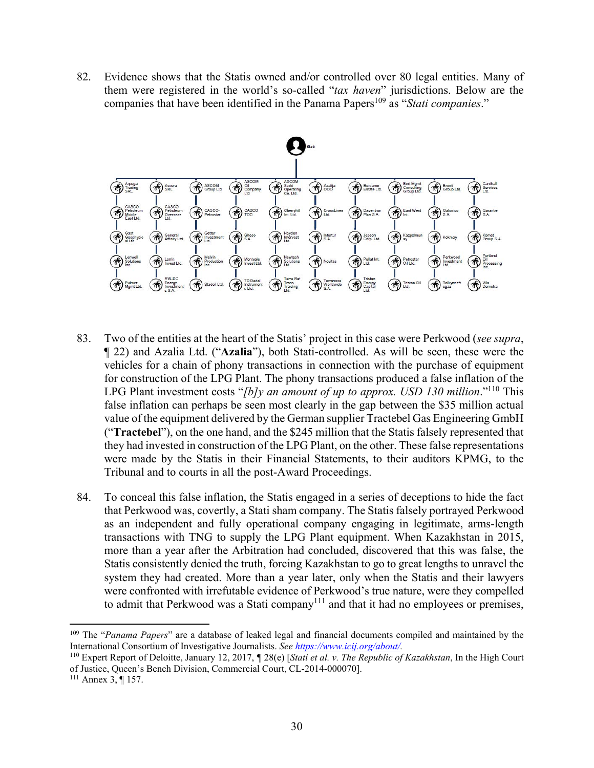82. Evidence shows that the Statis owned and/or controlled over 80 legal entities. Many of them were registered in the world's so-called "*tax haven*" jurisdictions. Below are the companies that have been identified in the Panama Papers<sup>109</sup> as "*Stati companies*."



- 83. Two of the entities at the heart of the Statis' project in this case were Perkwood (*see supra*, ¶ 22) and Azalia Ltd. ("**Azalia**"), both Stati-controlled. As will be seen, these were the vehicles for a chain of phony transactions in connection with the purchase of equipment for construction of the LPG Plant. The phony transactions produced a false inflation of the LPG Plant investment costs "*[b]y an amount of up to approx. USD 130 million*."<sup>110</sup> This false inflation can perhaps be seen most clearly in the gap between the \$35 million actual value of the equipment delivered by the German supplier Tractebel Gas Engineering GmbH ("**Tractebel**"), on the one hand, and the \$245 million that the Statis falsely represented that they had invested in construction of the LPG Plant, on the other. These false representations were made by the Statis in their Financial Statements, to their auditors KPMG, to the Tribunal and to courts in all the post-Award Proceedings.
- 84. To conceal this false inflation, the Statis engaged in a series of deceptions to hide the fact that Perkwood was, covertly, a Stati sham company. The Statis falsely portrayed Perkwood as an independent and fully operational company engaging in legitimate, arms-length transactions with TNG to supply the LPG Plant equipment. When Kazakhstan in 2015, more than a year after the Arbitration had concluded, discovered that this was false, the Statis consistently denied the truth, forcing Kazakhstan to go to great lengths to unravel the system they had created. More than a year later, only when the Statis and their lawyers were confronted with irrefutable evidence of Perkwood's true nature, were they compelled to admit that Perkwood was a Stati company<sup>111</sup> and that it had no employees or premises,

<sup>109</sup> The "*Panama Papers*" are a database of leaked legal and financial documents compiled and maintained by the International Consortium of Investigative Journalists. *See https://www.icij.org/about/.*

<sup>110</sup> Expert Report of Deloitte, January 12, 2017, *¶* 28(e) [*Stati et al. v. The Republic of Kazakhstan*, In the High Court of Justice, Queen's Bench Division, Commercial Court, CL-2014-000070]. 111 Annex 3, ¶ 157.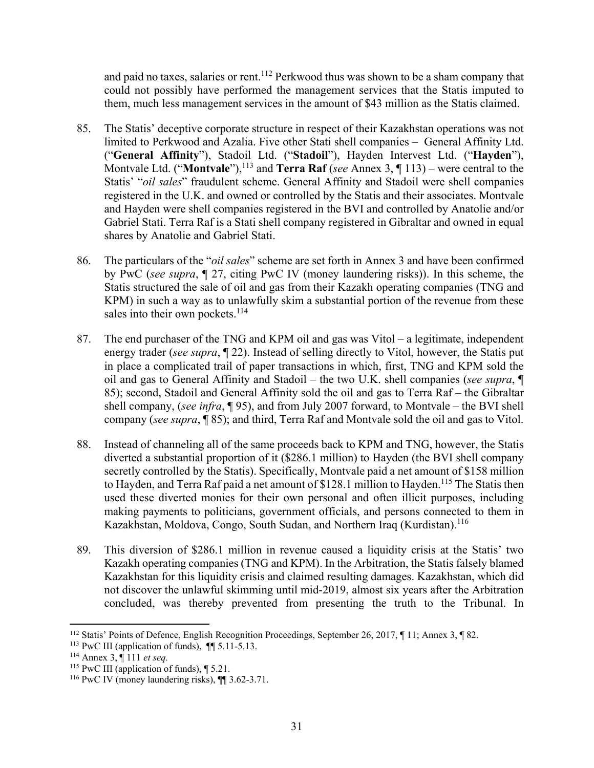and paid no taxes, salaries or rent.<sup>112</sup> Perkwood thus was shown to be a sham company that could not possibly have performed the management services that the Statis imputed to them, much less management services in the amount of \$43 million as the Statis claimed.

- 85. The Statis' deceptive corporate structure in respect of their Kazakhstan operations was not limited to Perkwood and Azalia. Five other Stati shell companies – General Affinity Ltd. ("**General Affinity**"), Stadoil Ltd. ("**Stadoil**"), Hayden Intervest Ltd. ("**Hayden**"), Montvale Ltd. ("**Montvale**"),<sup>113</sup> and **Terra Raf** (*see* Annex 3, ¶ 113) – were central to the Statis' "*oil sales*" fraudulent scheme. General Affinity and Stadoil were shell companies registered in the U.K. and owned or controlled by the Statis and their associates. Montvale and Hayden were shell companies registered in the BVI and controlled by Anatolie and/or Gabriel Stati. Terra Raf is a Stati shell company registered in Gibraltar and owned in equal shares by Anatolie and Gabriel Stati.
- 86. The particulars of the "*oil sales*" scheme are set forth in Annex 3 and have been confirmed by PwC (*see supra*, ¶ 27, citing PwC IV (money laundering risks)). In this scheme, the Statis structured the sale of oil and gas from their Kazakh operating companies (TNG and KPM) in such a way as to unlawfully skim a substantial portion of the revenue from these sales into their own pockets.<sup>114</sup>
- 87. The end purchaser of the TNG and KPM oil and gas was Vitol a legitimate, independent energy trader (*see supra*, ¶ 22). Instead of selling directly to Vitol, however, the Statis put in place a complicated trail of paper transactions in which, first, TNG and KPM sold the oil and gas to General Affinity and Stadoil – the two U.K. shell companies (*see supra*, ¶ 85); second, Stadoil and General Affinity sold the oil and gas to Terra Raf – the Gibraltar shell company, (*see infra*, ¶ 95), and from July 2007 forward, to Montvale – the BVI shell company (*see supra*, ¶ 85); and third, Terra Raf and Montvale sold the oil and gas to Vitol.
- 88. Instead of channeling all of the same proceeds back to KPM and TNG, however, the Statis diverted a substantial proportion of it (\$286.1 million) to Hayden (the BVI shell company secretly controlled by the Statis). Specifically, Montvale paid a net amount of \$158 million to Hayden, and Terra Raf paid a net amount of \$128.1 million to Hayden.<sup>115</sup> The Statis then used these diverted monies for their own personal and often illicit purposes, including making payments to politicians, government officials, and persons connected to them in Kazakhstan, Moldova, Congo, South Sudan, and Northern Iraq (Kurdistan).<sup>116</sup>
- 89. This diversion of \$286.1 million in revenue caused a liquidity crisis at the Statis' two Kazakh operating companies (TNG and KPM). In the Arbitration, the Statis falsely blamed Kazakhstan for this liquidity crisis and claimed resulting damages. Kazakhstan, which did not discover the unlawful skimming until mid-2019, almost six years after the Arbitration concluded, was thereby prevented from presenting the truth to the Tribunal. In

<sup>112</sup> Statis' Points of Defence, English Recognition Proceedings, September 26, 2017, ¶ 11; Annex 3, ¶ 82.

<sup>113</sup> PwC III (application of funds), ¶¶ 5.11-5.13. 114 Annex 3, ¶ 111 *et seq.*

<sup>&</sup>lt;sup>115</sup> PwC III (application of funds), ¶ 5.21.

<sup>&</sup>lt;sup>116</sup> PwC IV (money laundering risks),  $\P$  3.62-3.71.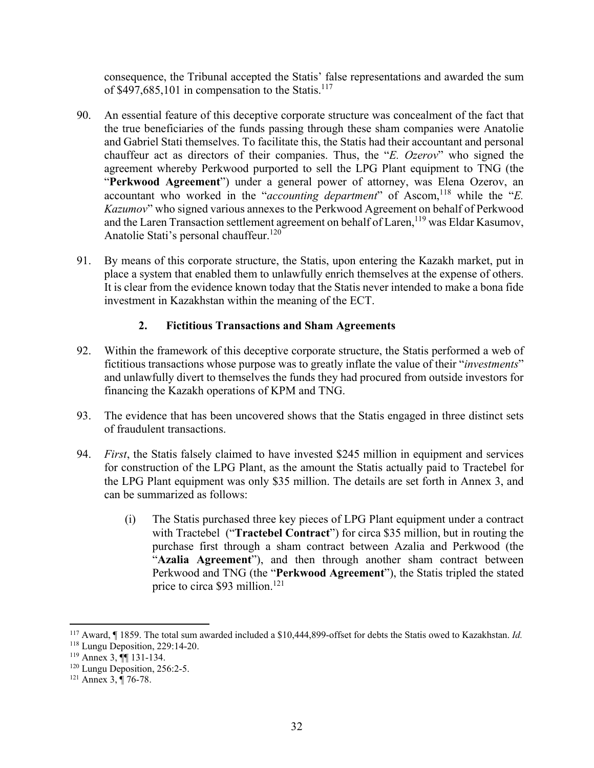consequence, the Tribunal accepted the Statis' false representations and awarded the sum of  $$497,685,101$  in compensation to the Statis.<sup>117</sup>

- 90. An essential feature of this deceptive corporate structure was concealment of the fact that the true beneficiaries of the funds passing through these sham companies were Anatolie and Gabriel Stati themselves. To facilitate this, the Statis had their accountant and personal chauffeur act as directors of their companies. Thus, the "*E. Ozerov*" who signed the agreement whereby Perkwood purported to sell the LPG Plant equipment to TNG (the "**Perkwood Agreement**") under a general power of attorney, was Elena Ozerov, an accountant who worked in the "*accounting department*" of Ascom,<sup>118</sup> while the "*E*. *Kazumov*" who signed various annexes to the Perkwood Agreement on behalf of Perkwood and the Laren Transaction settlement agreement on behalf of Laren,<sup>119</sup> was Eldar Kasumov, Anatolie Stati's personal chauffeur.<sup>120</sup>
- 91. By means of this corporate structure, the Statis, upon entering the Kazakh market, put in place a system that enabled them to unlawfully enrich themselves at the expense of others. It is clear from the evidence known today that the Statis never intended to make a bona fide investment in Kazakhstan within the meaning of the ECT.

#### **2. Fictitious Transactions and Sham Agreements**

- 92. Within the framework of this deceptive corporate structure, the Statis performed a web of fictitious transactions whose purpose was to greatly inflate the value of their "*investments*" and unlawfully divert to themselves the funds they had procured from outside investors for financing the Kazakh operations of KPM and TNG.
- 93. The evidence that has been uncovered shows that the Statis engaged in three distinct sets of fraudulent transactions.
- 94. *First*, the Statis falsely claimed to have invested \$245 million in equipment and services for construction of the LPG Plant, as the amount the Statis actually paid to Tractebel for the LPG Plant equipment was only \$35 million. The details are set forth in Annex 3, and can be summarized as follows:
	- (i) The Statis purchased three key pieces of LPG Plant equipment under a contract with Tractebel ("**Tractebel Contract**") for circa \$35 million, but in routing the purchase first through a sham contract between Azalia and Perkwood (the "**Azalia Agreement**"), and then through another sham contract between Perkwood and TNG (the "**Perkwood Agreement**"), the Statis tripled the stated price to circa \$93 million.<sup>121</sup>

<sup>117</sup> Award, ¶ 1859. The total sum awarded included a \$10,444,899-offset for debts the Statis owed to Kazakhstan. *Id.*

<sup>118</sup> Lungu Deposition, 229:14-20.

<sup>119</sup> Annex 3, ¶¶ 131-134.

<sup>&</sup>lt;sup>120</sup> Lungu Deposition, 256:2-5.<br><sup>121</sup> Annex 3, ¶ 76-78.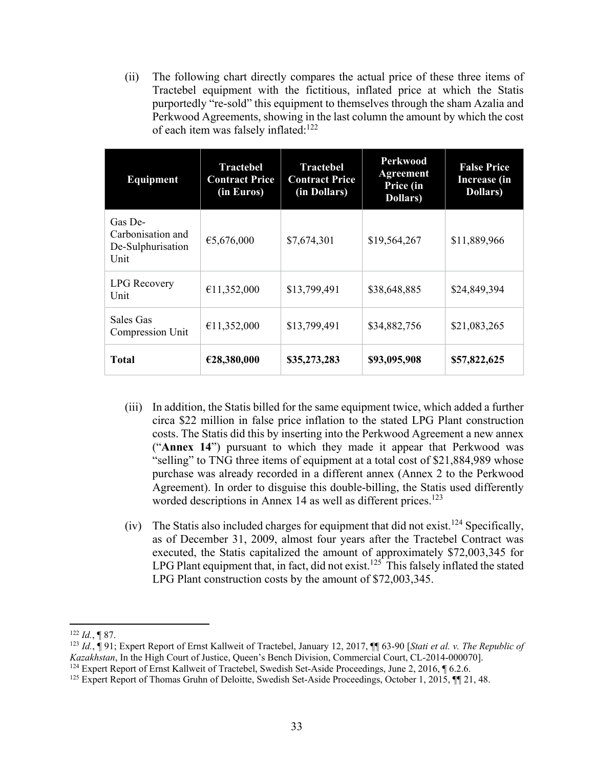(ii) The following chart directly compares the actual price of these three items of Tractebel equipment with the fictitious, inflated price at which the Statis purportedly "re-sold" this equipment to themselves through the sham Azalia and Perkwood Agreements, showing in the last column the amount by which the cost of each item was falsely inflated: $122$ 

| Equipment                                                 | <b>Tractebel</b><br><b>Contract Price</b><br>(in Euros) | <b>Tractebel</b><br><b>Contract Price</b><br>(in Dollars) | <b>Perkwood</b><br><b>Agreement</b><br>Price (in<br>Dollars) | <b>False Price</b><br><b>Increase</b> (in<br><b>Dollars</b> ) |
|-----------------------------------------------------------|---------------------------------------------------------|-----------------------------------------------------------|--------------------------------------------------------------|---------------------------------------------------------------|
| Gas De-<br>Carbonisation and<br>De-Sulphurisation<br>Unit | €5,676,000                                              | \$7,674,301                                               | \$19,564,267                                                 | \$11,889,966                                                  |
| <b>LPG</b> Recovery<br>Unit                               | €11,352,000                                             | \$13,799,491                                              | \$38,648,885                                                 | \$24,849,394                                                  |
| Sales Gas<br>Compression Unit                             | €11,352,000                                             | \$13,799,491                                              | \$34,882,756                                                 | \$21,083,265                                                  |
| Total                                                     | €28,380,000                                             | \$35,273,283                                              | \$93,095,908                                                 | \$57,822,625                                                  |

- (iii) In addition, the Statis billed for the same equipment twice, which added a further circa \$22 million in false price inflation to the stated LPG Plant construction costs. The Statis did this by inserting into the Perkwood Agreement a new annex ("**Annex 14**") pursuant to which they made it appear that Perkwood was "selling" to TNG three items of equipment at a total cost of \$21,884,989 whose purchase was already recorded in a different annex (Annex 2 to the Perkwood Agreement). In order to disguise this double-billing, the Statis used differently worded descriptions in Annex 14 as well as different prices.<sup>123</sup>
- (iv) The Statis also included charges for equipment that did not exist.<sup>124</sup> Specifically, as of December 31, 2009, almost four years after the Tractebel Contract was executed, the Statis capitalized the amount of approximately \$72,003,345 for LPG Plant equipment that, in fact, did not exist.<sup>125</sup> This falsely inflated the stated LPG Plant construction costs by the amount of \$72,003,345.

  $122$  *Id.*, **[87.**]

<sup>123</sup> *Id.*, ¶ 91; Expert Report of Ernst Kallweit of Tractebel, January 12, 2017, ¶¶ 63-90 [*Stati et al. v. The Republic of Kazakhstan*, In the High Court of Justice, Queen's Bench Division, Commercial Court, CL-2014-000070].<br><sup>124</sup> Expert Report of Ernst Kallweit of Tractebel, Swedish Set-Aside Proceedings, June 2, 2016, ¶ 6.2.6.

<sup>&</sup>lt;sup>125</sup> Expert Report of Thomas Gruhn of Deloitte, Swedish Set-Aside Proceedings, October 1, 2015, ¶¶ 21, 48.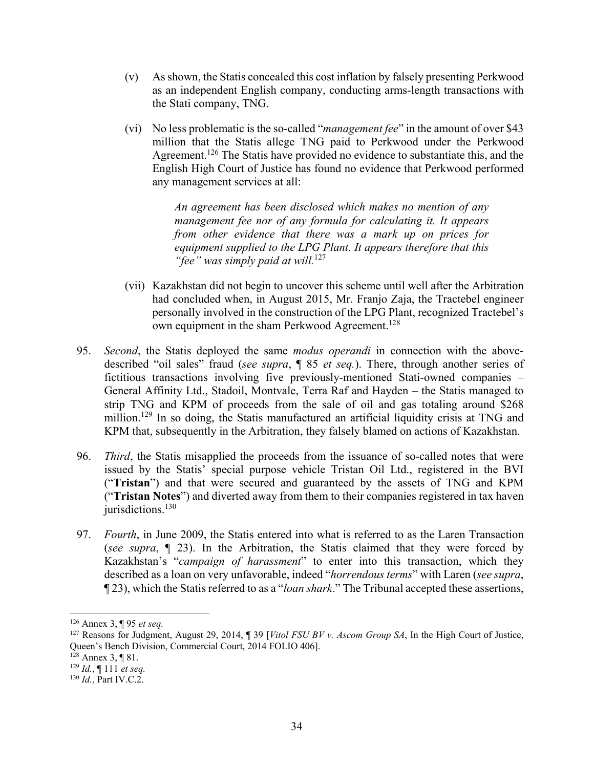- (v) As shown, the Statis concealed this cost inflation by falsely presenting Perkwood as an independent English company, conducting arms-length transactions with the Stati company, TNG.
- (vi) No less problematic is the so-called "*management fee*" in the amount of over \$43 million that the Statis allege TNG paid to Perkwood under the Perkwood Agreement.<sup>126</sup> The Statis have provided no evidence to substantiate this, and the English High Court of Justice has found no evidence that Perkwood performed any management services at all:

*An agreement has been disclosed which makes no mention of any management fee nor of any formula for calculating it. It appears from other evidence that there was a mark up on prices for equipment supplied to the LPG Plant. It appears therefore that this "fee" was simply paid at will.*<sup>127</sup>

- (vii) Kazakhstan did not begin to uncover this scheme until well after the Arbitration had concluded when, in August 2015, Mr. Franjo Zaja, the Tractebel engineer personally involved in the construction of the LPG Plant, recognized Tractebel's own equipment in the sham Perkwood Agreement.<sup>128</sup>
- 95. *Second*, the Statis deployed the same *modus operandi* in connection with the abovedescribed "oil sales" fraud (*see supra*, ¶ 85 *et seq.*). There, through another series of fictitious transactions involving five previously-mentioned Stati-owned companies – General Affinity Ltd., Stadoil, Montvale, Terra Raf and Hayden – the Statis managed to strip TNG and KPM of proceeds from the sale of oil and gas totaling around \$268 million.129 In so doing, the Statis manufactured an artificial liquidity crisis at TNG and KPM that, subsequently in the Arbitration, they falsely blamed on actions of Kazakhstan.
- 96. *Third*, the Statis misapplied the proceeds from the issuance of so-called notes that were issued by the Statis' special purpose vehicle Tristan Oil Ltd., registered in the BVI ("**Tristan**") and that were secured and guaranteed by the assets of TNG and KPM ("**Tristan Notes**") and diverted away from them to their companies registered in tax haven  $j$ iurisdictions.<sup>130</sup>
- 97. *Fourth*, in June 2009, the Statis entered into what is referred to as the Laren Transaction (*see supra*, ¶ 23). In the Arbitration, the Statis claimed that they were forced by Kazakhstan's "*campaign of harassment*" to enter into this transaction, which they described as a loan on very unfavorable, indeed "*horrendous terms*" with Laren (*see supra*, ¶ 23), which the Statis referred to as a "*loan shark*." The Tribunal accepted these assertions,

 $128$  Annex 3, ¶ 81.

<sup>126</sup> Annex 3, ¶ 95 *et seq.*

<sup>127</sup> Reasons for Judgment, August 29, 2014, ¶ 39 [*Vitol FSU BV v. Ascom Group SA*, In the High Court of Justice, Queen's Bench Division, Commercial Court, 2014 FOLIO 406].

<sup>129</sup> *Id.*, ¶ 111 *et seq.*

<sup>130</sup> *Id.*, Part IV.C.2.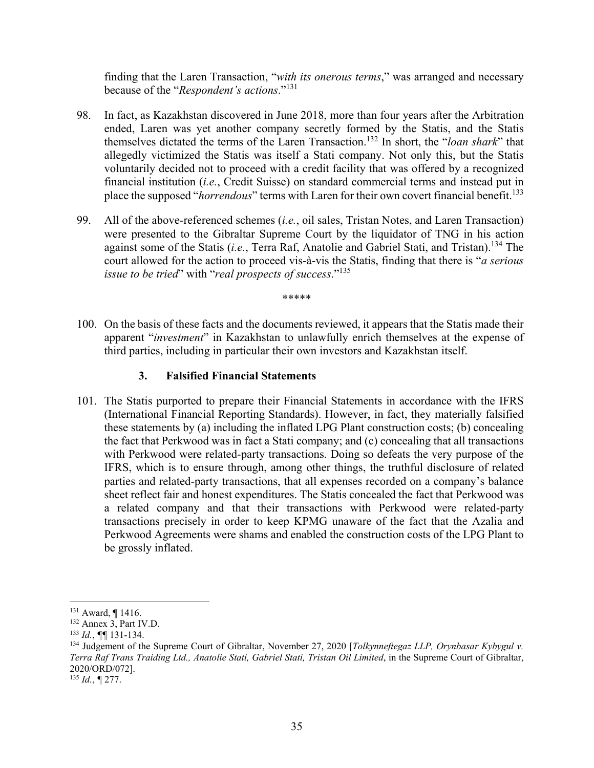finding that the Laren Transaction, "*with its onerous terms*," was arranged and necessary because of the "*Respondent's actions*."131

- 98. In fact, as Kazakhstan discovered in June 2018, more than four years after the Arbitration ended, Laren was yet another company secretly formed by the Statis, and the Statis themselves dictated the terms of the Laren Transaction.132 In short, the "*loan shark*" that allegedly victimized the Statis was itself a Stati company. Not only this, but the Statis voluntarily decided not to proceed with a credit facility that was offered by a recognized financial institution (*i.e.*, Credit Suisse) on standard commercial terms and instead put in place the supposed "*horrendous*" terms with Laren for their own covert financial benefit.<sup>133</sup>
- 99. All of the above-referenced schemes (*i.e.*, oil sales, Tristan Notes, and Laren Transaction) were presented to the Gibraltar Supreme Court by the liquidator of TNG in his action against some of the Statis (*i.e.*, Terra Raf, Anatolie and Gabriel Stati, and Tristan).134 The court allowed for the action to proceed vis-à-vis the Statis, finding that there is "*a serious issue to be tried*" with "*real prospects of success*."135

\*\*\*\*\*

100. On the basis of these facts and the documents reviewed, it appears that the Statis made their apparent "*investment*" in Kazakhstan to unlawfully enrich themselves at the expense of third parties, including in particular their own investors and Kazakhstan itself.

#### **3. Falsified Financial Statements**

101. The Statis purported to prepare their Financial Statements in accordance with the IFRS (International Financial Reporting Standards). However, in fact, they materially falsified these statements by (a) including the inflated LPG Plant construction costs; (b) concealing the fact that Perkwood was in fact a Stati company; and (c) concealing that all transactions with Perkwood were related-party transactions. Doing so defeats the very purpose of the IFRS, which is to ensure through, among other things, the truthful disclosure of related parties and related-party transactions, that all expenses recorded on a company's balance sheet reflect fair and honest expenditures. The Statis concealed the fact that Perkwood was a related company and that their transactions with Perkwood were related-party transactions precisely in order to keep KPMG unaware of the fact that the Azalia and Perkwood Agreements were shams and enabled the construction costs of the LPG Plant to be grossly inflated.

 131 Award, ¶ 1416.

<sup>132</sup> Annex 3, Part IV.D.

<sup>133</sup> *Id.*, *¶¶* 131-134.

<sup>134</sup> Judgement of the Supreme Court of Gibraltar, November 27, 2020 [*Tolkynneftegaz LLP, Orynbasar Kybygul v. Terra Raf Trans Traiding Ltd., Anatolie Stati, Gabriel Stati, Tristan Oil Limited*, in the Supreme Court of Gibraltar, 2020/ORD/072].

<sup>135</sup> *Id.*, *¶* 277.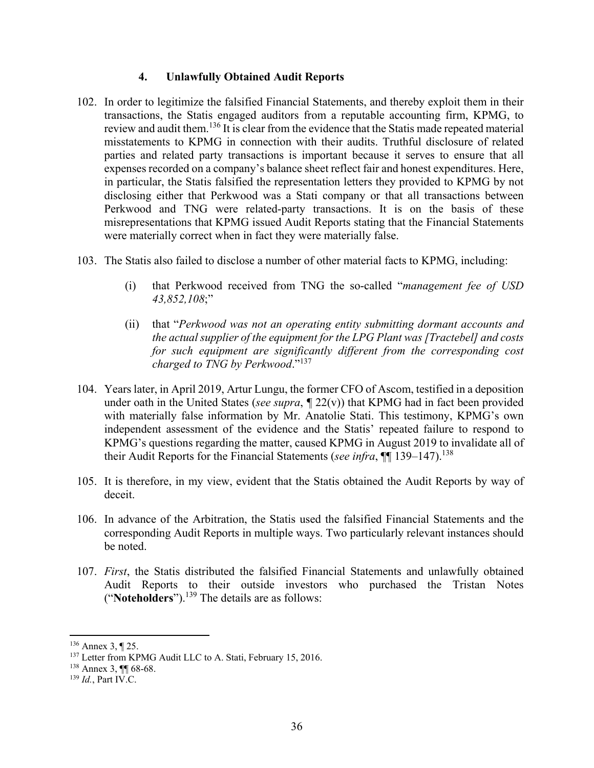#### **4. Unlawfully Obtained Audit Reports**

- 102. In order to legitimize the falsified Financial Statements, and thereby exploit them in their transactions, the Statis engaged auditors from a reputable accounting firm, KPMG, to review and audit them.136 It is clear from the evidence that the Statis made repeated material misstatements to KPMG in connection with their audits. Truthful disclosure of related parties and related party transactions is important because it serves to ensure that all expenses recorded on a company's balance sheet reflect fair and honest expenditures. Here, in particular, the Statis falsified the representation letters they provided to KPMG by not disclosing either that Perkwood was a Stati company or that all transactions between Perkwood and TNG were related-party transactions. It is on the basis of these misrepresentations that KPMG issued Audit Reports stating that the Financial Statements were materially correct when in fact they were materially false.
- 103. The Statis also failed to disclose a number of other material facts to KPMG, including:
	- (i) that Perkwood received from TNG the so-called "*management fee of USD 43,852,108*;"
	- (ii) that "*Perkwood was not an operating entity submitting dormant accounts and the actual supplier of the equipment for the LPG Plant was [Tractebel] and costs for such equipment are significantly different from the corresponding cost charged to TNG by Perkwood*."<sup>137</sup>
- 104. Years later, in April 2019, Artur Lungu, the former CFO of Ascom, testified in a deposition under oath in the United States (*see supra*, *¶* 22(v)) that KPMG had in fact been provided with materially false information by Mr. Anatolie Stati. This testimony, KPMG's own independent assessment of the evidence and the Statis' repeated failure to respond to KPMG's questions regarding the matter, caused KPMG in August 2019 to invalidate all of their Audit Reports for the Financial Statements (*see infra*, ¶¶ 139–147).138
- 105. It is therefore, in my view, evident that the Statis obtained the Audit Reports by way of deceit.
- 106. In advance of the Arbitration, the Statis used the falsified Financial Statements and the corresponding Audit Reports in multiple ways. Two particularly relevant instances should be noted.
- 107. *First*, the Statis distributed the falsified Financial Statements and unlawfully obtained Audit Reports to their outside investors who purchased the Tristan Notes ("**Noteholders**").139 The details are as follows:

<sup>136</sup> Annex 3, ¶ 25.

<sup>&</sup>lt;sup>137</sup> Letter from KPMG Audit LLC to A. Stati, February 15, 2016.

<sup>138</sup> Annex 3, ¶¶ 68-68.

<sup>139</sup> *Id.*, Part IV.C.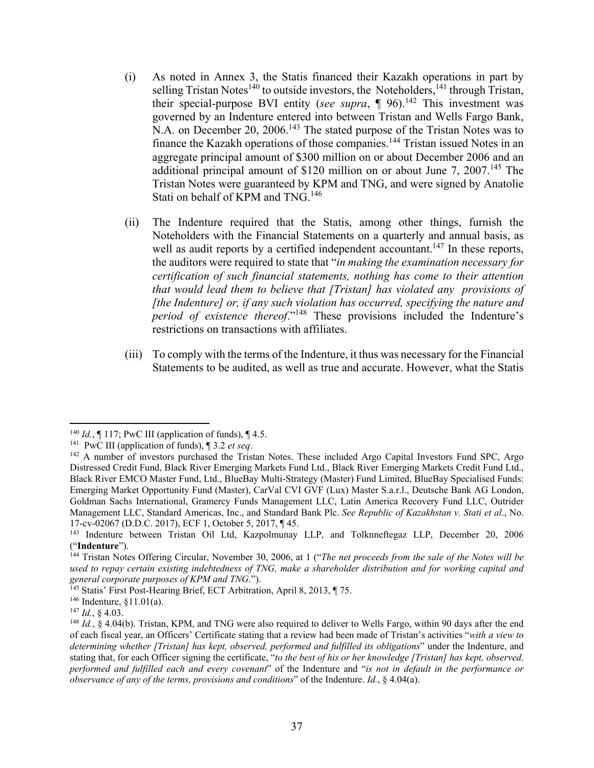- (i) As noted in Annex 3, the Statis financed their Kazakh operations in part by selling Tristan Notes<sup>140</sup> to outside investors, the Noteholders,  $141$  through Tristan, their special-purpose BVI entity (*see supra*,  $\P$  96).<sup>142</sup> This investment was governed by an Indenture entered into between Tristan and Wells Fargo Bank, N.A. on December 20, 2006.<sup>143</sup> The stated purpose of the Tristan Notes was to finance the Kazakh operations of those companies.<sup>144</sup> Tristan issued Notes in an aggregate principal amount of \$300 million on or about December 2006 and an additional principal amount of \$120 million on or about June 7,  $2007<sup>145</sup>$  The Tristan Notes were guaranteed by KPM and TNG, and were signed by Anatolie Stati on behalf of KPM and TNG.<sup>146</sup>
- (ii) The Indenture required that the Statis, among other things, furnish the Noteholders with the Financial Statements on a quarterly and annual basis, as well as audit reports by a certified independent accountant.<sup>147</sup> In these reports, the auditors were required to state that "*in making the examination necessary for certification of such financial statements, nothing has come to their attention that would lead them to believe that [Tristan] has violated any provisions of [the Indenture] or, if any such violation has occurred, specifying the nature and period of existence thereof*."148 These provisions included the Indenture's restrictions on transactions with affiliates.
- (iii) To comply with the terms of the Indenture, it thus was necessary for the Financial Statements to be audited, as well as true and accurate. However, what the Statis

<sup>&</sup>lt;sup>140</sup> *Id.*,  $\P$  117; PwC III (application of funds),  $\P$  4.5.

<sup>&</sup>lt;sup>141</sup> PwC III (application of funds),  $\parallel$  3.2 *et seq.*<br><sup>142</sup> A number of investors purchased the Tristan Notes. These included Argo Capital Investors Fund SPC, Argo Distressed Credit Fund, Black River Emerging Markets Fund Ltd., Black River Emerging Markets Credit Fund Ltd., Black River EMCO Master Fund, Ltd., BlueBay Multi-Strategy (Master) Fund Limited, BlueBay Specialised Funds: Emerging Market Opportunity Fund (Master), CarVal CVI GVF (Lux) Master S.a.r.l., Deutsche Bank AG London, Goldman Sachs International, Gramercy Funds Management LLC, Latin America Recovery Fund LLC, Outrider Management LLC, Standard Americas, Inc., and Standard Bank Plc. *See Republic of Kazakhstan v. Stati et al*., No. 17-cv-02067 (D.D.C. 2017), ECF 1, October 5, 2017, ¶ 45.

<sup>&</sup>lt;sup>143</sup> Indenture between Tristan Oil Ltd, Kazpolmunay LLP, and Tolknneftegaz LLP, December 20, 2006 ("Indenture").

<sup>&</sup>lt;sup>144</sup> Tristan Notes Offering Circular, November 30, 2006, at 1 ("*The net proceeds from the sale of the Notes will be* used to repay certain existing indebtedness of TNG, make a shareholder distribution and for working capital and *general corporate purposes of KPM and TNG*.").

<sup>&</sup>lt;sup>145</sup> Statis' First Post-Hearing Brief, ECT Arbitration, April 8, 2013, ¶ 75.

<sup>146</sup> Indenture, §11.01(a).

<sup>147</sup> *Id.*, § 4.03.

<sup>&</sup>lt;sup>148</sup> *Id.*, § 4.04(b). Tristan, KPM, and TNG were also required to deliver to Wells Fargo, within 90 days after the end of each fiscal year, an Officers' Certificate stating that a review had been made of Tristan's activities "*with a view to determining whether [Tristan] has kept, observed, performed and fulfilled its obligations*" under the Indenture, and stating that, for each Officer signing the certificate, "*to the best of his or her knowledge [Tristan] has kept, observed, performed and fulfilled each and every covenant*" of the Indenture and "*is not in default in the performance or observance of any of the terms, provisions and conditions*" of the Indenture. *Id.*, § 4.04(a).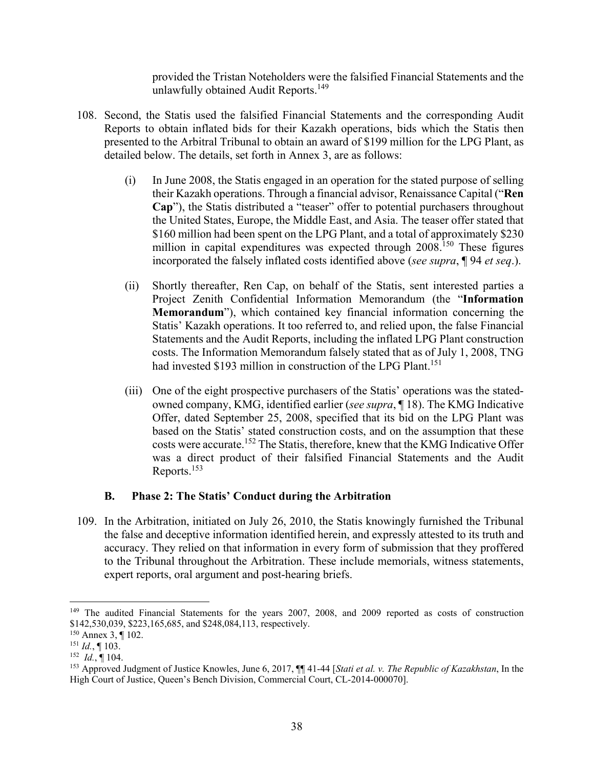provided the Tristan Noteholders were the falsified Financial Statements and the unlawfully obtained Audit Reports.<sup>149</sup>

- 108. Second, the Statis used the falsified Financial Statements and the corresponding Audit Reports to obtain inflated bids for their Kazakh operations, bids which the Statis then presented to the Arbitral Tribunal to obtain an award of \$199 million for the LPG Plant, as detailed below. The details, set forth in Annex 3, are as follows:
	- (i) In June 2008, the Statis engaged in an operation for the stated purpose of selling their Kazakh operations. Through a financial advisor, Renaissance Capital ("**Ren Cap**"), the Statis distributed a "teaser" offer to potential purchasers throughout the United States, Europe, the Middle East, and Asia. The teaser offer stated that \$160 million had been spent on the LPG Plant, and a total of approximately \$230 million in capital expenditures was expected through 2008.<sup>150</sup> These figures incorporated the falsely inflated costs identified above (*see supra*, ¶ 94 *et seq*.).
	- (ii) Shortly thereafter, Ren Cap, on behalf of the Statis, sent interested parties a Project Zenith Confidential Information Memorandum (the "**Information Memorandum**"), which contained key financial information concerning the Statis' Kazakh operations. It too referred to, and relied upon, the false Financial Statements and the Audit Reports, including the inflated LPG Plant construction costs. The Information Memorandum falsely stated that as of July 1, 2008, TNG had invested \$193 million in construction of the LPG Plant.<sup>151</sup>
	- (iii) One of the eight prospective purchasers of the Statis' operations was the statedowned company, KMG, identified earlier (*see supra*, ¶ 18). The KMG Indicative Offer, dated September 25, 2008, specified that its bid on the LPG Plant was based on the Statis' stated construction costs, and on the assumption that these costs were accurate.152 The Statis, therefore, knew that the KMG Indicative Offer was a direct product of their falsified Financial Statements and the Audit Reports.153

#### **B. Phase 2: The Statis' Conduct during the Arbitration**

109. In the Arbitration, initiated on July 26, 2010, the Statis knowingly furnished the Tribunal the false and deceptive information identified herein, and expressly attested to its truth and accuracy. They relied on that information in every form of submission that they proffered to the Tribunal throughout the Arbitration. These include memorials, witness statements, expert reports, oral argument and post-hearing briefs.

<sup>&</sup>lt;sup>149</sup> The audited Financial Statements for the years 2007, 2008, and 2009 reported as costs of construction \$142,530,039, \$223,165,685, and \$248,084,113, respectively.

<sup>150</sup> Annex 3, ¶ 102.

 $151$  *Id.*, ¶ 103.

 $152$  *Id.*, 104.

<sup>153</sup> Approved Judgment of Justice Knowles, June 6, 2017, ¶¶ 41-44 [*Stati et al. v. The Republic of Kazakhstan*, In the High Court of Justice, Queen's Bench Division, Commercial Court, CL-2014-000070].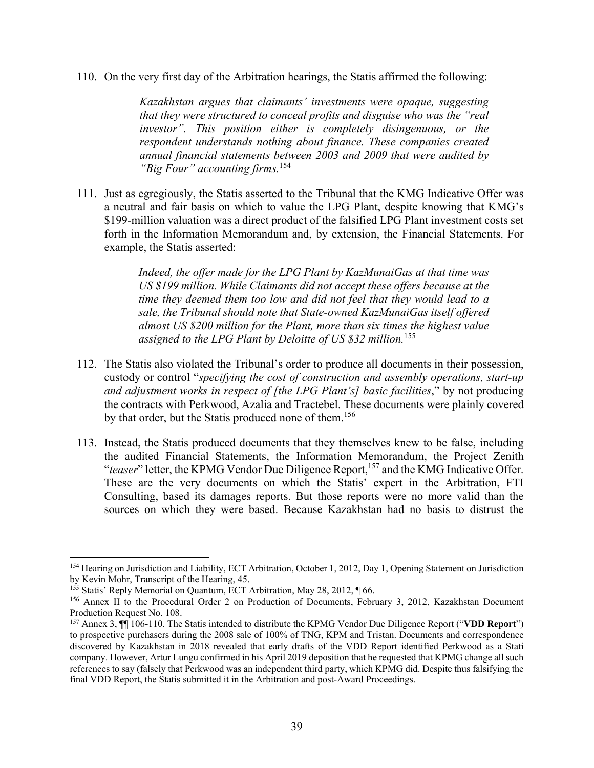110. On the very first day of the Arbitration hearings, the Statis affirmed the following:

*Kazakhstan argues that claimants' investments were opaque, suggesting that they were structured to conceal profits and disguise who was the "real investor". This position either is completely disingenuous, or the respondent understands nothing about finance. These companies created annual financial statements between 2003 and 2009 that were audited by "Big Four" accounting firms.*<sup>154</sup>

111. Just as egregiously, the Statis asserted to the Tribunal that the KMG Indicative Offer was a neutral and fair basis on which to value the LPG Plant, despite knowing that KMG's \$199-million valuation was a direct product of the falsified LPG Plant investment costs set forth in the Information Memorandum and, by extension, the Financial Statements. For example, the Statis asserted:

> *Indeed, the offer made for the LPG Plant by KazMunaiGas at that time was US \$199 million. While Claimants did not accept these offers because at the time they deemed them too low and did not feel that they would lead to a sale, the Tribunal should note that State-owned KazMunaiGas itself offered almost US \$200 million for the Plant, more than six times the highest value assigned to the LPG Plant by Deloitte of US \$32 million.*<sup>155</sup>

- 112. The Statis also violated the Tribunal's order to produce all documents in their possession, custody or control "*specifying the cost of construction and assembly operations, start-up and adjustment works in respect of [the LPG Plant's] basic facilities*," by not producing the contracts with Perkwood, Azalia and Tractebel. These documents were plainly covered by that order, but the Statis produced none of them.<sup>156</sup>
- 113. Instead, the Statis produced documents that they themselves knew to be false, including the audited Financial Statements, the Information Memorandum, the Project Zenith "*teaser*" letter, the KPMG Vendor Due Diligence Report,<sup>157</sup> and the KMG Indicative Offer. These are the very documents on which the Statis' expert in the Arbitration, FTI Consulting, based its damages reports. But those reports were no more valid than the sources on which they were based. Because Kazakhstan had no basis to distrust the

<sup>&</sup>lt;sup>154</sup> Hearing on Jurisdiction and Liability, ECT Arbitration, October 1, 2012, Day 1, Opening Statement on Jurisdiction by Kevin Mohr, Transcript of the Hearing, 45.

<sup>&</sup>lt;sup>155</sup> Statis' Reply Memorial on Quantum, ECT Arbitration, May 28, 2012, ¶ 66.

<sup>156</sup> Annex II to the Procedural Order 2 on Production of Documents, February 3, 2012, Kazakhstan Document Production Request No. 108.

<sup>157</sup> Annex 3, ¶¶ 106-110. The Statis intended to distribute the KPMG Vendor Due Diligence Report ("**VDD Report**") to prospective purchasers during the 2008 sale of 100% of TNG, KPM and Tristan. Documents and correspondence discovered by Kazakhstan in 2018 revealed that early drafts of the VDD Report identified Perkwood as a Stati company. However, Artur Lungu confirmed in his April 2019 deposition that he requested that KPMG change all such references to say (falsely that Perkwood was an independent third party, which KPMG did. Despite thus falsifying the final VDD Report, the Statis submitted it in the Arbitration and post-Award Proceedings.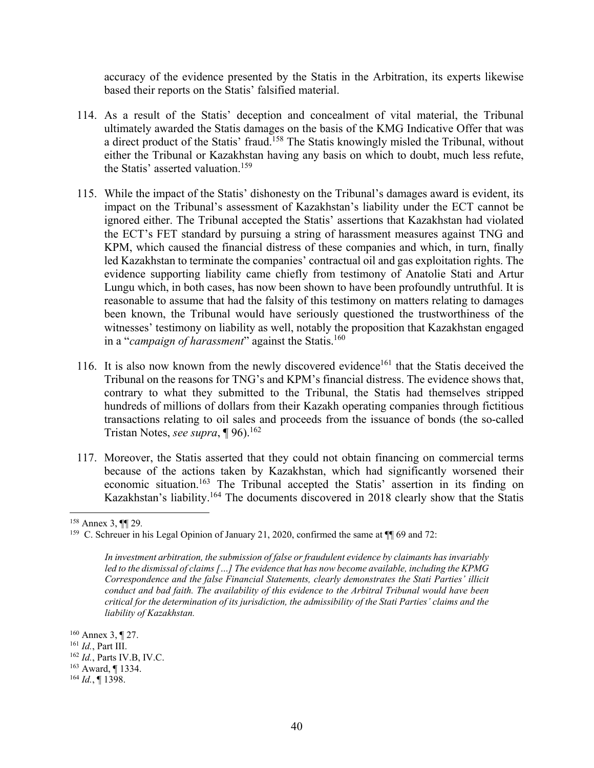accuracy of the evidence presented by the Statis in the Arbitration, its experts likewise based their reports on the Statis' falsified material.

- 114. As a result of the Statis' deception and concealment of vital material, the Tribunal ultimately awarded the Statis damages on the basis of the KMG Indicative Offer that was a direct product of the Statis' fraud.<sup>158</sup> The Statis knowingly misled the Tribunal, without either the Tribunal or Kazakhstan having any basis on which to doubt, much less refute, the Statis' asserted valuation.<sup>159</sup>
- 115. While the impact of the Statis' dishonesty on the Tribunal's damages award is evident, its impact on the Tribunal's assessment of Kazakhstan's liability under the ECT cannot be ignored either. The Tribunal accepted the Statis' assertions that Kazakhstan had violated the ECT's FET standard by pursuing a string of harassment measures against TNG and KPM, which caused the financial distress of these companies and which, in turn, finally led Kazakhstan to terminate the companies' contractual oil and gas exploitation rights. The evidence supporting liability came chiefly from testimony of Anatolie Stati and Artur Lungu which, in both cases, has now been shown to have been profoundly untruthful. It is reasonable to assume that had the falsity of this testimony on matters relating to damages been known, the Tribunal would have seriously questioned the trustworthiness of the witnesses' testimony on liability as well, notably the proposition that Kazakhstan engaged in a "*campaign of harassment*" against the Statis.<sup>160</sup>
- 116. It is also now known from the newly discovered evidence<sup>161</sup> that the Statis deceived the Tribunal on the reasons for TNG's and KPM's financial distress. The evidence shows that, contrary to what they submitted to the Tribunal, the Statis had themselves stripped hundreds of millions of dollars from their Kazakh operating companies through fictitious transactions relating to oil sales and proceeds from the issuance of bonds (the so-called Tristan Notes, *see supra*, **[96**).<sup>162</sup>
- 117. Moreover, the Statis asserted that they could not obtain financing on commercial terms because of the actions taken by Kazakhstan, which had significantly worsened their economic situation.163 The Tribunal accepted the Statis' assertion in its finding on Kazakhstan's liability.164 The documents discovered in 2018 clearly show that the Statis

<sup>158</sup> Annex 3, ¶¶ 29*.*

<sup>&</sup>lt;sup>159</sup> C. Schreuer in his Legal Opinion of January 21, 2020, confirmed the same at ¶ 69 and 72:

*In investment arbitration, the submission of false or fraudulent evidence by claimants has invariably led to the dismissal of claims […] The evidence that has now become available, including the KPMG Correspondence and the false Financial Statements, clearly demonstrates the Stati Parties' illicit conduct and bad faith. The availability of this evidence to the Arbitral Tribunal would have been critical for the determination of its jurisdiction, the admissibility of the Stati Parties' claims and the liability of Kazakhstan.* 

<sup>160</sup> Annex 3, ¶ 27. <sup>161</sup> *Id.*, Part III. <sup>162</sup> *Id.*, Parts IV.B, IV.C. 163 Award, ¶ 1334. <sup>164</sup> *Id.*, ¶ 1398.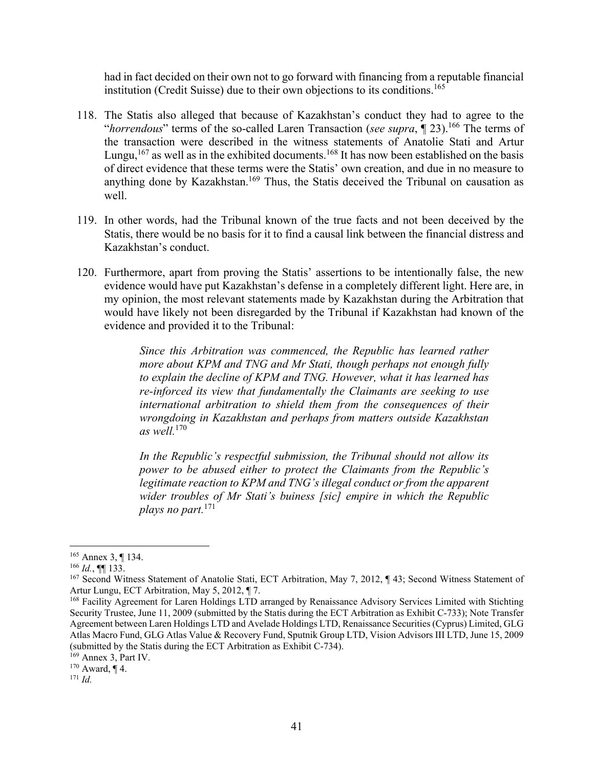had in fact decided on their own not to go forward with financing from a reputable financial institution (Credit Suisse) due to their own objections to its conditions.<sup>165</sup>

- 118. The Statis also alleged that because of Kazakhstan's conduct they had to agree to the "*horrendous*" terms of the so-called Laren Transaction (*see supra*,  $\P$  23).<sup>166</sup> The terms of the transaction were described in the witness statements of Anatolie Stati and Artur Lungu,<sup>167</sup> as well as in the exhibited documents.<sup>168</sup> It has now been established on the basis of direct evidence that these terms were the Statis' own creation, and due in no measure to anything done by Kazakhstan.<sup>169</sup> Thus, the Statis deceived the Tribunal on causation as well.
- 119. In other words, had the Tribunal known of the true facts and not been deceived by the Statis, there would be no basis for it to find a causal link between the financial distress and Kazakhstan's conduct.
- 120. Furthermore, apart from proving the Statis' assertions to be intentionally false, the new evidence would have put Kazakhstan's defense in a completely different light. Here are, in my opinion, the most relevant statements made by Kazakhstan during the Arbitration that would have likely not been disregarded by the Tribunal if Kazakhstan had known of the evidence and provided it to the Tribunal:

*Since this Arbitration was commenced, the Republic has learned rather more about KPM and TNG and Mr Stati, though perhaps not enough fully to explain the decline of KPM and TNG. However, what it has learned has re-inforced its view that fundamentally the Claimants are seeking to use international arbitration to shield them from the consequences of their wrongdoing in Kazakhstan and perhaps from matters outside Kazakhstan as well.*<sup>170</sup>

*In the Republic's respectful submission, the Tribunal should not allow its power to be abused either to protect the Claimants from the Republic's legitimate reaction to KPM and TNG's illegal conduct or from the apparent wider troubles of Mr Stati's buiness [sic] empire in which the Republic plays no part.*<sup>171</sup>

<sup>165</sup> Annex 3, ¶ 134.

<sup>166</sup> *Id.*, ¶¶ 133.

<sup>&</sup>lt;sup>167</sup> Second Witness Statement of Anatolie Stati, ECT Arbitration, May 7, 2012, ¶ 43; Second Witness Statement of Artur Lungu, ECT Arbitration, May 5, 2012, ¶ 7.

<sup>168</sup> Facility Agreement for Laren Holdings LTD arranged by Renaissance Advisory Services Limited with Stichting Security Trustee, June 11, 2009 (submitted by the Statis during the ECT Arbitration as Exhibit C-733); Note Transfer Agreement between Laren Holdings LTD and Avelade Holdings LTD, Renaissance Securities (Cyprus) Limited, GLG Atlas Macro Fund, GLG Atlas Value & Recovery Fund, Sputnik Group LTD, Vision Advisors III LTD, June 15, 2009 (submitted by the Statis during the ECT Arbitration as Exhibit C-734).

<sup>169</sup> Annex 3, Part IV.

 $170$  Award,  $\P$  4.

<sup>171</sup> *Id.*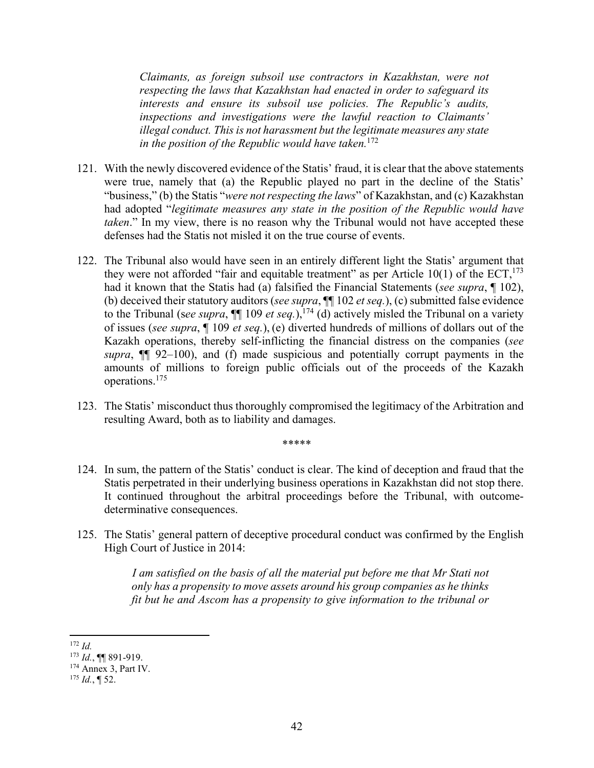*Claimants, as foreign subsoil use contractors in Kazakhstan, were not respecting the laws that Kazakhstan had enacted in order to safeguard its interests and ensure its subsoil use policies. The Republic's audits, inspections and investigations were the lawful reaction to Claimants' illegal conduct. This is not harassment but the legitimate measures any state in the position of the Republic would have taken.*<sup>172</sup>

- 121. With the newly discovered evidence of the Statis' fraud, it is clear that the above statements were true, namely that (a) the Republic played no part in the decline of the Statis' "business," (b) the Statis "*were not respecting the laws*" of Kazakhstan, and (c) Kazakhstan had adopted "*legitimate measures any state in the position of the Republic would have taken*." In my view, there is no reason why the Tribunal would not have accepted these defenses had the Statis not misled it on the true course of events.
- 122. The Tribunal also would have seen in an entirely different light the Statis' argument that they were not afforded "fair and equitable treatment" as per Article 10(1) of the  $ECT<sub>1</sub><sup>173</sup>$ had it known that the Statis had (a) falsified the Financial Statements (*see supra*, ¶ 102), (b) deceived their statutory auditors (*see supra*, ¶¶ 102 *et seq.*), (c) submitted false evidence to the Tribunal (see supra,  $\P\P$  109 et seq.), <sup>174</sup> (d) actively misled the Tribunal on a variety of issues (*see supra*, ¶ 109 *et seq.*), (e) diverted hundreds of millions of dollars out of the Kazakh operations, thereby self-inflicting the financial distress on the companies (*see supra*, ¶¶ 92–100), and (f) made suspicious and potentially corrupt payments in the amounts of millions to foreign public officials out of the proceeds of the Kazakh operations.175
- 123. The Statis' misconduct thus thoroughly compromised the legitimacy of the Arbitration and resulting Award, both as to liability and damages.

\*\*\*\*\*

124. In sum, the pattern of the Statis' conduct is clear. The kind of deception and fraud that the Statis perpetrated in their underlying business operations in Kazakhstan did not stop there. It continued throughout the arbitral proceedings before the Tribunal, with outcomedeterminative consequences.

125. The Statis' general pattern of deceptive procedural conduct was confirmed by the English High Court of Justice in 2014:

> *I am satisfied on the basis of all the material put before me that Mr Stati not only has a propensity to move assets around his group companies as he thinks fit but he and Ascom has a propensity to give information to the tribunal or*

 <sup>172</sup> *Id.*

<sup>173</sup> *Id.*, ¶¶ 891-919.

<sup>&</sup>lt;sup>174</sup> Annex 3, Part IV.

 $175$  *Id.*, **[** 52.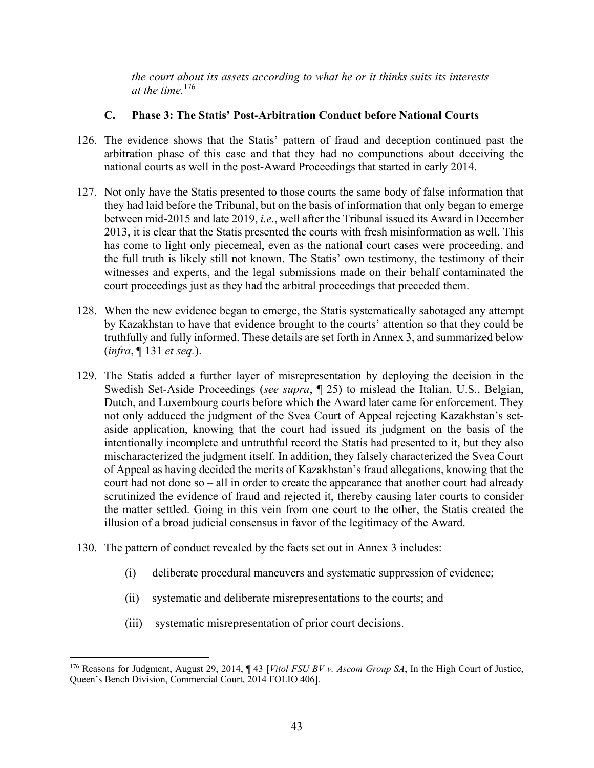*the court about its assets according to what he or it thinks suits its interests at the time.*176

#### **C. Phase 3: The Statis' Post-Arbitration Conduct before National Courts**

- 126. The evidence shows that the Statis' pattern of fraud and deception continued past the arbitration phase of this case and that they had no compunctions about deceiving the national courts as well in the post-Award Proceedings that started in early 2014.
- 127. Not only have the Statis presented to those courts the same body of false information that they had laid before the Tribunal, but on the basis of information that only began to emerge between mid-2015 and late 2019, *i.e.*, well after the Tribunal issued its Award in December 2013, it is clear that the Statis presented the courts with fresh misinformation as well. This has come to light only piecemeal, even as the national court cases were proceeding, and the full truth is likely still not known. The Statis' own testimony, the testimony of their witnesses and experts, and the legal submissions made on their behalf contaminated the court proceedings just as they had the arbitral proceedings that preceded them.
- 128. When the new evidence began to emerge, the Statis systematically sabotaged any attempt by Kazakhstan to have that evidence brought to the courts' attention so that they could be truthfully and fully informed. These details are set forth in Annex 3, and summarized below (*infra*, ¶ 131 *et seq.*).
- 129. The Statis added a further layer of misrepresentation by deploying the decision in the Swedish Set-Aside Proceedings (*see supra*, ¶ 25) to mislead the Italian, U.S., Belgian, Dutch, and Luxembourg courts before which the Award later came for enforcement. They not only adduced the judgment of the Svea Court of Appeal rejecting Kazakhstan's setaside application, knowing that the court had issued its judgment on the basis of the intentionally incomplete and untruthful record the Statis had presented to it, but they also mischaracterized the judgment itself. In addition, they falsely characterized the Svea Court of Appeal as having decided the merits of Kazakhstan's fraud allegations, knowing that the court had not done so – all in order to create the appearance that another court had already scrutinized the evidence of fraud and rejected it, thereby causing later courts to consider the matter settled. Going in this vein from one court to the other, the Statis created the illusion of a broad judicial consensus in favor of the legitimacy of the Award.
- 130. The pattern of conduct revealed by the facts set out in Annex 3 includes:
	- (i) deliberate procedural maneuvers and systematic suppression of evidence;
	- (ii) systematic and deliberate misrepresentations to the courts; and
	- (iii) systematic misrepresentation of prior court decisions.

 176 Reasons for Judgment, August 29, 2014, ¶ 43 [*Vitol FSU BV v. Ascom Group SA*, In the High Court of Justice, Queen's Bench Division, Commercial Court, 2014 FOLIO 406].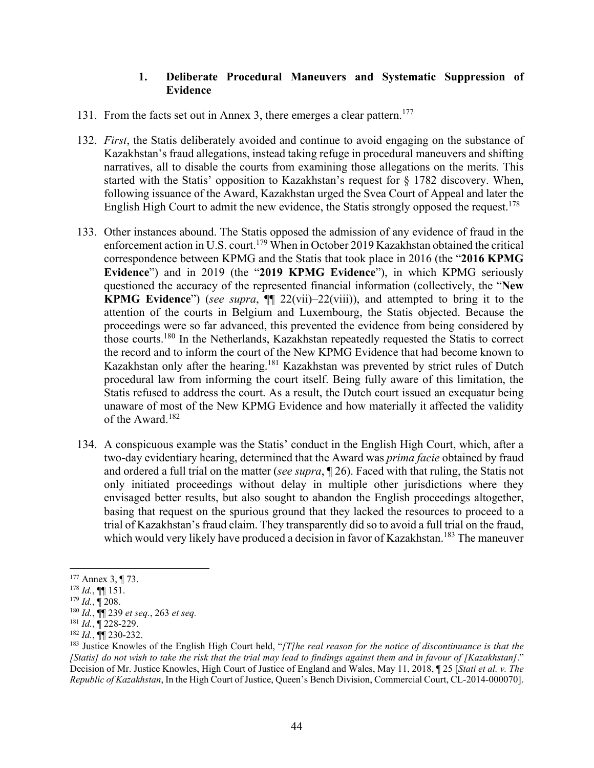#### **1. Deliberate Procedural Maneuvers and Systematic Suppression of Evidence**

- 131. From the facts set out in Annex 3, there emerges a clear pattern.<sup>177</sup>
- 132. *First*, the Statis deliberately avoided and continue to avoid engaging on the substance of Kazakhstan's fraud allegations, instead taking refuge in procedural maneuvers and shifting narratives, all to disable the courts from examining those allegations on the merits. This started with the Statis' opposition to Kazakhstan's request for § 1782 discovery. When, following issuance of the Award, Kazakhstan urged the Svea Court of Appeal and later the English High Court to admit the new evidence, the Statis strongly opposed the request.<sup>178</sup>
- 133. Other instances abound. The Statis opposed the admission of any evidence of fraud in the enforcement action in U.S. court.<sup>179</sup> When in October 2019 Kazakhstan obtained the critical correspondence between KPMG and the Statis that took place in 2016 (the "**2016 KPMG Evidence**") and in 2019 (the "**2019 KPMG Evidence**"), in which KPMG seriously questioned the accuracy of the represented financial information (collectively, the "**New KPMG Evidence**") (*see supra*, ¶¶ 22(vii)–22(viii)), and attempted to bring it to the attention of the courts in Belgium and Luxembourg, the Statis objected. Because the proceedings were so far advanced, this prevented the evidence from being considered by those courts.180 In the Netherlands, Kazakhstan repeatedly requested the Statis to correct the record and to inform the court of the New KPMG Evidence that had become known to Kazakhstan only after the hearing.<sup>181</sup> Kazakhstan was prevented by strict rules of Dutch procedural law from informing the court itself. Being fully aware of this limitation, the Statis refused to address the court. As a result, the Dutch court issued an exequatur being unaware of most of the New KPMG Evidence and how materially it affected the validity of the Award.<sup>182</sup>
- 134. A conspicuous example was the Statis' conduct in the English High Court, which, after a two-day evidentiary hearing, determined that the Award was *prima facie* obtained by fraud and ordered a full trial on the matter (*see supra*, ¶ 26). Faced with that ruling, the Statis not only initiated proceedings without delay in multiple other jurisdictions where they envisaged better results, but also sought to abandon the English proceedings altogether, basing that request on the spurious ground that they lacked the resources to proceed to a trial of Kazakhstan's fraud claim. They transparently did so to avoid a full trial on the fraud, which would very likely have produced a decision in favor of Kazakhstan.<sup>183</sup> The maneuver

<sup>177</sup> Annex 3, ¶ 73.

 $^{178}$  *Id.*, ¶[ 151.

 $179$  *Id.*,  $\P$  208.

<sup>180</sup> *Id.*, ¶¶ 239 *et seq.*, 263 *et seq.*

<sup>181</sup> *Id.*, ¶ 228-229.

<sup>182</sup> *Id.*, ¶¶ 230-232.

<sup>&</sup>lt;sup>183</sup> Justice Knowles of the English High Court held, "*[T]he real reason for the notice of discontinuance is that the [Statis] do not wish to take the risk that the trial may lead to findings against them and in favour of [Kazakhstan]*." Decision of Mr. Justice Knowles, High Court of Justice of England and Wales, May 11, 2018, ¶ 25 [*Stati et al. v. The Republic of Kazakhstan*, In the High Court of Justice, Queen's Bench Division, Commercial Court, CL-2014-000070].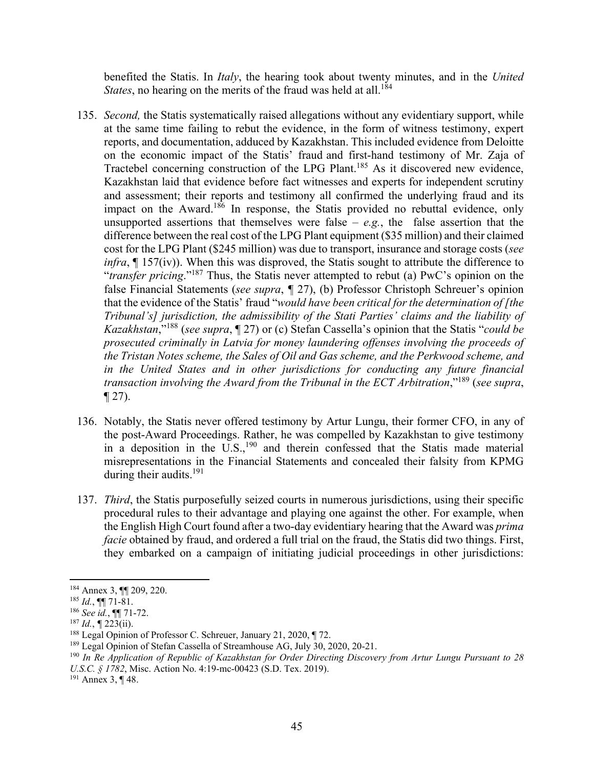benefited the Statis. In *Italy*, the hearing took about twenty minutes, and in the *United States*, no hearing on the merits of the fraud was held at all.<sup>184</sup>

- 135. *Second,* the Statis systematically raised allegations without any evidentiary support, while at the same time failing to rebut the evidence, in the form of witness testimony, expert reports, and documentation, adduced by Kazakhstan. This included evidence from Deloitte on the economic impact of the Statis' fraud and first-hand testimony of Mr. Zaja of Tractebel concerning construction of the LPG Plant.185 As it discovered new evidence, Kazakhstan laid that evidence before fact witnesses and experts for independent scrutiny and assessment; their reports and testimony all confirmed the underlying fraud and its impact on the Award.<sup>186</sup> In response, the Statis provided no rebuttal evidence, only unsupported assertions that themselves were false  $-e.g.,$  the false assertion that the difference between the real cost of the LPG Plant equipment (\$35 million) and their claimed cost for the LPG Plant (\$245 million) was due to transport, insurance and storage costs (*see infra*, ¶ 157(iv)). When this was disproved, the Statis sought to attribute the difference to "*transfer pricing*."187 Thus, the Statis never attempted to rebut (a) PwC's opinion on the false Financial Statements (*see supra*, *¶* 27), (b) Professor Christoph Schreuer's opinion that the evidence of the Statis' fraud "*would have been critical for the determination of [the Tribunal's] jurisdiction, the admissibility of the Stati Parties' claims and the liability of Kazakhstan*,"188 (*see supra*, ¶ 27) or (c) Stefan Cassella's opinion that the Statis "*could be prosecuted criminally in Latvia for money laundering offenses involving the proceeds of the Tristan Notes scheme, the Sales of Oil and Gas scheme, and the Perkwood scheme, and in the United States and in other jurisdictions for conducting any future financial transaction involving the Award from the Tribunal in the ECT Arbitration*,"189 (*see supra*, ¶ 27).
- 136. Notably, the Statis never offered testimony by Artur Lungu, their former CFO, in any of the post-Award Proceedings. Rather, he was compelled by Kazakhstan to give testimony in a deposition in the  $\overline{U}.S$ ,<sup>190</sup> and therein confessed that the Statis made material misrepresentations in the Financial Statements and concealed their falsity from KPMG during their audits.<sup>191</sup>
- 137. *Third*, the Statis purposefully seized courts in numerous jurisdictions, using their specific procedural rules to their advantage and playing one against the other. For example, when the English High Court found after a two-day evidentiary hearing that the Award was *prima facie* obtained by fraud, and ordered a full trial on the fraud, the Statis did two things. First, they embarked on a campaign of initiating judicial proceedings in other jurisdictions:

191 Annex 3, ¶ 48.

<sup>184</sup> Annex 3, ¶¶ 209, 220.

 $^{185}$  *Id.*, ¶[ 71-81.

<sup>186</sup> *See id.*, ¶¶ 71-72.

<sup>&</sup>lt;sup>187</sup> *Id.*,  $\P$  223(ii).<br><sup>188</sup> Legal Opinion of Professor C. Schreuer, January 21, 2020,  $\P$  72.

<sup>&</sup>lt;sup>189</sup> Legal Opinion of Stefan Cassella of Streamhouse AG, July 30, 2020, 20-21.

<sup>190</sup> *In Re Application of Republic of Kazakhstan for Order Directing Discovery from Artur Lungu Pursuant to 28 U.S.C. § 1782*, Misc. Action No. 4:19-mc-00423 (S.D. Tex. 2019).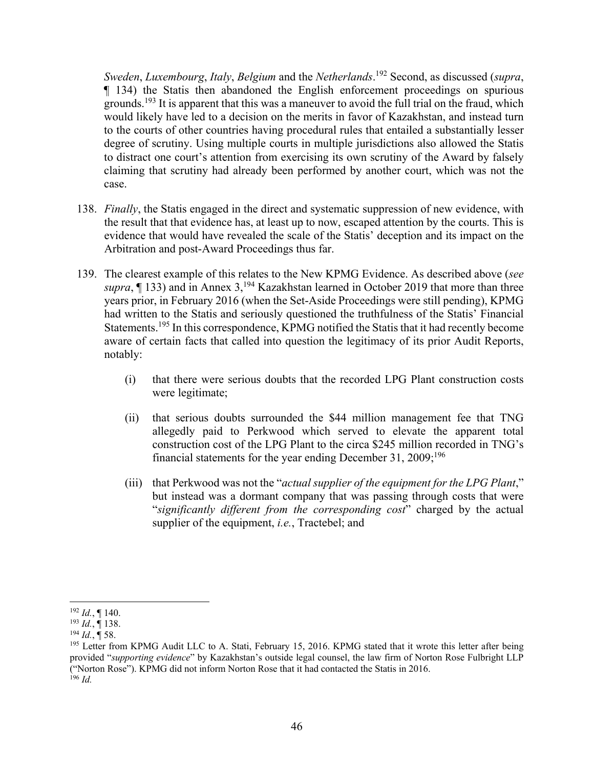*Sweden*, *Luxembourg*, *Italy*, *Belgium* and the *Netherlands*. 192 Second, as discussed (*supra*, ¶ 134) the Statis then abandoned the English enforcement proceedings on spurious grounds.<sup>193</sup> It is apparent that this was a maneuver to avoid the full trial on the fraud, which would likely have led to a decision on the merits in favor of Kazakhstan, and instead turn to the courts of other countries having procedural rules that entailed a substantially lesser degree of scrutiny. Using multiple courts in multiple jurisdictions also allowed the Statis to distract one court's attention from exercising its own scrutiny of the Award by falsely claiming that scrutiny had already been performed by another court, which was not the case.

- 138. *Finally*, the Statis engaged in the direct and systematic suppression of new evidence, with the result that that evidence has, at least up to now, escaped attention by the courts. This is evidence that would have revealed the scale of the Statis' deception and its impact on the Arbitration and post-Award Proceedings thus far.
- 139. The clearest example of this relates to the New KPMG Evidence. As described above (*see supra*,  $\P$  133) and in Annex 3,<sup>194</sup> Kazakhstan learned in October 2019 that more than three years prior, in February 2016 (when the Set-Aside Proceedings were still pending), KPMG had written to the Statis and seriously questioned the truthfulness of the Statis' Financial Statements.<sup>195</sup> In this correspondence, KPMG notified the Statis that it had recently become aware of certain facts that called into question the legitimacy of its prior Audit Reports, notably:
	- (i) that there were serious doubts that the recorded LPG Plant construction costs were legitimate;
	- (ii) that serious doubts surrounded the \$44 million management fee that TNG allegedly paid to Perkwood which served to elevate the apparent total construction cost of the LPG Plant to the circa \$245 million recorded in TNG's financial statements for the year ending December 31,  $2009$ ;<sup>196</sup>
	- (iii) that Perkwood was not the "*actual supplier of the equipment for the LPG Plant*," but instead was a dormant company that was passing through costs that were "*significantly different from the corresponding cost*" charged by the actual supplier of the equipment, *i.e.*, Tractebel; and

 <sup>192</sup> *Id.*, ¶ 140.

<sup>193</sup> *Id.*, ¶ 138.

 $^{194}$  *Id.*,  $\dot{$  58.

<sup>&</sup>lt;sup>195</sup> Letter from KPMG Audit LLC to A. Stati, February 15, 2016. KPMG stated that it wrote this letter after being provided "*supporting evidence*" by Kazakhstan's outside legal counsel, the law firm of Norton Rose Fulbright LLP ("Norton Rose"). KPMG did not inform Norton Rose that it had contacted the Statis in 2016. <sup>196</sup> *Id.*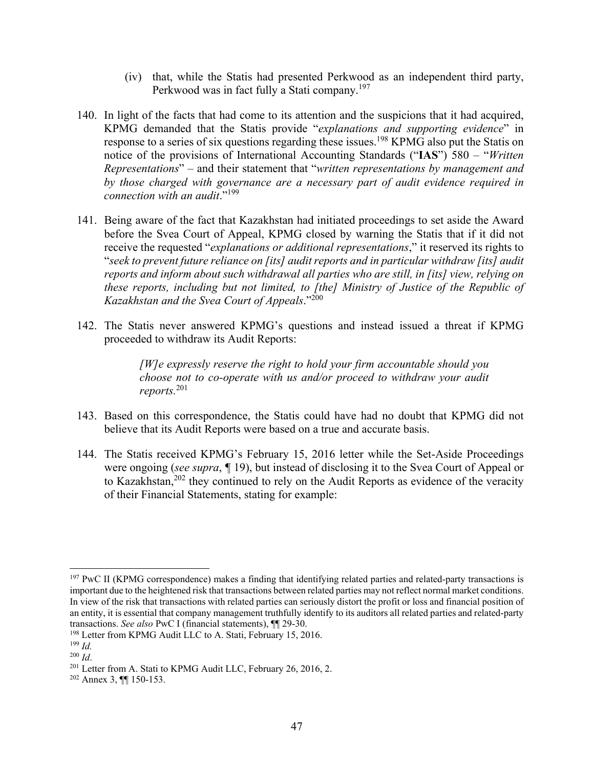- (iv) that, while the Statis had presented Perkwood as an independent third party, Perkwood was in fact fully a Stati company.<sup>197</sup>
- 140. In light of the facts that had come to its attention and the suspicions that it had acquired, KPMG demanded that the Statis provide "*explanations and supporting evidence*" in response to a series of six questions regarding these issues.<sup>198</sup> KPMG also put the Statis on notice of the provisions of International Accounting Standards ("**IAS**") 580 – "*Written Representations*" – and their statement that "*written representations by management and by those charged with governance are a necessary part of audit evidence required in connection with an audit*."199
- 141. Being aware of the fact that Kazakhstan had initiated proceedings to set aside the Award before the Svea Court of Appeal, KPMG closed by warning the Statis that if it did not receive the requested "*explanations or additional representations*," it reserved its rights to "*seek to prevent future reliance on [its] audit reports and in particular withdraw [its] audit reports and inform about such withdrawal all parties who are still, in [its] view, relying on these reports, including but not limited, to [the] Ministry of Justice of the Republic of Kazakhstan and the Svea Court of Appeals*."200
- 142. The Statis never answered KPMG's questions and instead issued a threat if KPMG proceeded to withdraw its Audit Reports:

*[W]e expressly reserve the right to hold your firm accountable should you choose not to co-operate with us and/or proceed to withdraw your audit reports.*<sup>201</sup>

- 143. Based on this correspondence, the Statis could have had no doubt that KPMG did not believe that its Audit Reports were based on a true and accurate basis.
- 144. The Statis received KPMG's February 15, 2016 letter while the Set-Aside Proceedings were ongoing (*see supra*, *¶* 19), but instead of disclosing it to the Svea Court of Appeal or to Kazakhstan,<sup>202</sup> they continued to rely on the Audit Reports as evidence of the veracity of their Financial Statements, stating for example:

<sup>&</sup>lt;sup>197</sup> PwC II (KPMG correspondence) makes a finding that identifying related parties and related-party transactions is important due to the heightened risk that transactions between related parties may not reflect normal market conditions. In view of the risk that transactions with related parties can seriously distort the profit or loss and financial position of an entity, it is essential that company management truthfully identify to its auditors all related parties and related-party transactions. *See also* PwC I (financial statements), ¶¶ 29-30.

<sup>&</sup>lt;sup>198</sup> Letter from KPMG Audit LLC to A. Stati, February 15, 2016.

 $199$  *Id.* 

<sup>200</sup> *Id*.

<sup>&</sup>lt;sup>201</sup> Letter from A. Stati to KPMG Audit LLC, February 26, 2016, 2.

<sup>202</sup> Annex 3, ¶¶ 150-153.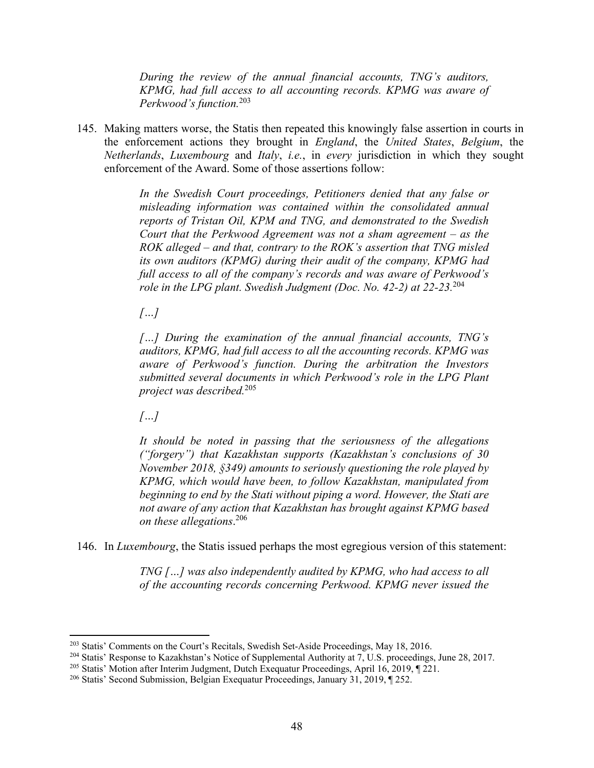*During the review of the annual financial accounts, TNG's auditors, KPMG, had full access to all accounting records. KPMG was aware of Perkwood's function.*<sup>203</sup>

145. Making matters worse, the Statis then repeated this knowingly false assertion in courts in the enforcement actions they brought in *England*, the *United States*, *Belgium*, the *Netherlands*, *Luxembourg* and *Italy*, *i.e.*, in *every* jurisdiction in which they sought enforcement of the Award. Some of those assertions follow:

> *In the Swedish Court proceedings, Petitioners denied that any false or misleading information was contained within the consolidated annual reports of Tristan Oil, KPM and TNG, and demonstrated to the Swedish Court that the Perkwood Agreement was not a sham agreement – as the ROK alleged – and that, contrary to the ROK's assertion that TNG misled its own auditors (KPMG) during their audit of the company, KPMG had full access to all of the company's records and was aware of Perkwood's role in the LPG plant. Swedish Judgment (Doc. No. 42-2) at 22-23.*<sup>204</sup>

*[…]* 

*[…] During the examination of the annual financial accounts, TNG's auditors, KPMG, had full access to all the accounting records. KPMG was aware of Perkwood's function. During the arbitration the Investors submitted several documents in which Perkwood's role in the LPG Plant project was described.*<sup>205</sup>

*[…]* 

*It should be noted in passing that the seriousness of the allegations ("forgery") that Kazakhstan supports (Kazakhstan's conclusions of 30 November 2018, §349) amounts to seriously questioning the role played by KPMG, which would have been, to follow Kazakhstan, manipulated from beginning to end by the Stati without piping a word. However, the Stati are not aware of any action that Kazakhstan has brought against KPMG based on these allegations*. 206

146. In *Luxembourg*, the Statis issued perhaps the most egregious version of this statement:

*TNG […] was also independently audited by KPMG, who had access to all of the accounting records concerning Perkwood. KPMG never issued the* 

<sup>203</sup> Statis' Comments on the Court's Recitals, Swedish Set-Aside Proceedings, May 18, 2016.

<sup>&</sup>lt;sup>204</sup> Statis' Response to Kazakhstan's Notice of Supplemental Authority at 7, U.S. proceedings, June 28, 2017.

<sup>&</sup>lt;sup>205</sup> Statis' Motion after Interim Judgment, Dutch Exequatur Proceedings, April 16, 2019, ¶ 221.

<sup>206</sup> Statis' Second Submission, Belgian Exequatur Proceedings, January 31, 2019, ¶ 252.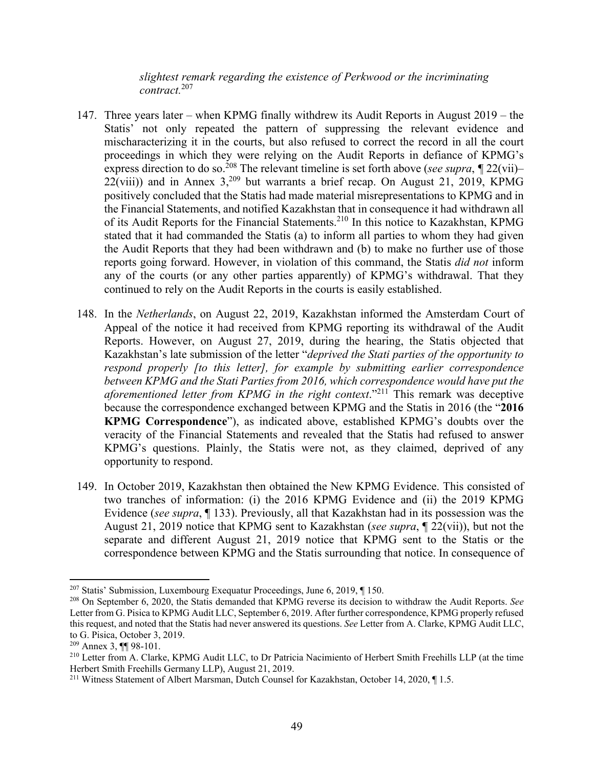*slightest remark regarding the existence of Perkwood or the incriminating contract.*<sup>207</sup>

- 147. Three years later when KPMG finally withdrew its Audit Reports in August 2019 the Statis' not only repeated the pattern of suppressing the relevant evidence and mischaracterizing it in the courts, but also refused to correct the record in all the court proceedings in which they were relying on the Audit Reports in defiance of KPMG's express direction to do so.<sup>208</sup> The relevant timeline is set forth above (*see supra*,  $\sqrt{\frac{22(vii)}{n}}$  $22(viii)$ ) and in Annex  $3,^{209}$  but warrants a brief recap. On August 21, 2019, KPMG positively concluded that the Statis had made material misrepresentations to KPMG and in the Financial Statements, and notified Kazakhstan that in consequence it had withdrawn all of its Audit Reports for the Financial Statements.<sup>210</sup> In this notice to Kazakhstan, KPMG stated that it had commanded the Statis (a) to inform all parties to whom they had given the Audit Reports that they had been withdrawn and (b) to make no further use of those reports going forward. However, in violation of this command, the Statis *did not* inform any of the courts (or any other parties apparently) of KPMG's withdrawal. That they continued to rely on the Audit Reports in the courts is easily established.
- 148. In the *Netherlands*, on August 22, 2019, Kazakhstan informed the Amsterdam Court of Appeal of the notice it had received from KPMG reporting its withdrawal of the Audit Reports. However, on August 27, 2019, during the hearing, the Statis objected that Kazakhstan's late submission of the letter "*deprived the Stati parties of the opportunity to respond properly [to this letter], for example by submitting earlier correspondence between KPMG and the Stati Parties from 2016, which correspondence would have put the aforementioned letter from KPMG in the right context*."<sup>211</sup> This remark was deceptive because the correspondence exchanged between KPMG and the Statis in 2016 (the "**2016 KPMG Correspondence**"), as indicated above, established KPMG's doubts over the veracity of the Financial Statements and revealed that the Statis had refused to answer KPMG's questions. Plainly, the Statis were not, as they claimed, deprived of any opportunity to respond.
- 149. In October 2019, Kazakhstan then obtained the New KPMG Evidence. This consisted of two tranches of information: (i) the 2016 KPMG Evidence and (ii) the 2019 KPMG Evidence (*see supra*, ¶ 133). Previously, all that Kazakhstan had in its possession was the August 21, 2019 notice that KPMG sent to Kazakhstan (*see supra*, ¶ 22(vii)), but not the separate and different August 21, 2019 notice that KPMG sent to the Statis or the correspondence between KPMG and the Statis surrounding that notice. In consequence of

<sup>207</sup> Statis' Submission, Luxembourg Exequatur Proceedings, June 6, 2019, ¶ 150.

<sup>208</sup> On September 6, 2020, the Statis demanded that KPMG reverse its decision to withdraw the Audit Reports. *See* Letter from G. Pisica to KPMG Audit LLC, September 6, 2019. After further correspondence, KPMG properly refused this request, and noted that the Statis had never answered its questions. *See* Letter from A. Clarke, KPMG Audit LLC, to G. Pisica, October 3, 2019.

<sup>209</sup> Annex 3, ¶¶ 98-101.

<sup>&</sup>lt;sup>210</sup> Letter from A. Clarke, KPMG Audit LLC, to Dr Patricia Nacimiento of Herbert Smith Freehills LLP (at the time Herbert Smith Freehills Germany LLP), August 21, 2019.

<sup>&</sup>lt;sup>211</sup> Witness Statement of Albert Marsman, Dutch Counsel for Kazakhstan, October 14, 2020,  $\P$  1.5.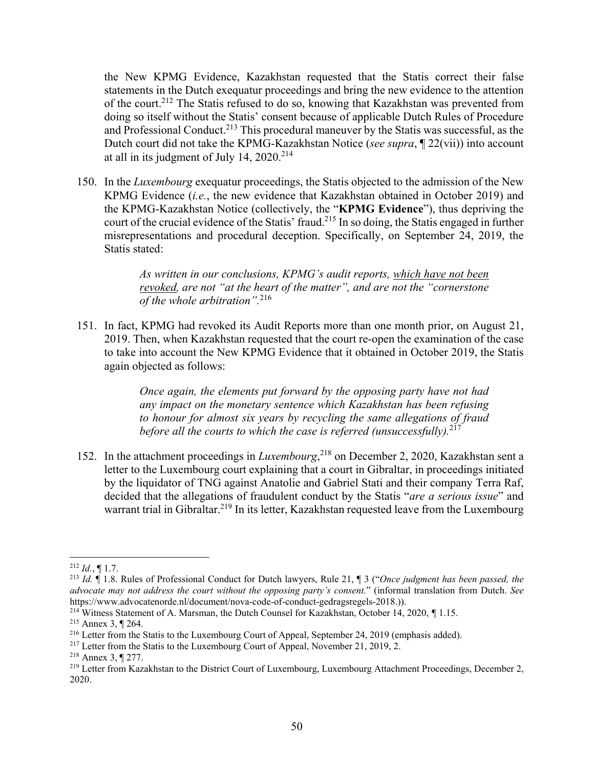the New KPMG Evidence, Kazakhstan requested that the Statis correct their false statements in the Dutch exequatur proceedings and bring the new evidence to the attention of the court.212 The Statis refused to do so, knowing that Kazakhstan was prevented from doing so itself without the Statis' consent because of applicable Dutch Rules of Procedure and Professional Conduct.<sup>213</sup> This procedural maneuver by the Statis was successful, as the Dutch court did not take the KPMG-Kazakhstan Notice (*see supra*, ¶ 22(vii)) into account at all in its judgment of July 14,  $2020^{214}$ 

150. In the *Luxembourg* exequatur proceedings, the Statis objected to the admission of the New KPMG Evidence (*i.e.*, the new evidence that Kazakhstan obtained in October 2019) and the KPMG-Kazakhstan Notice (collectively, the "**KPMG Evidence**"), thus depriving the court of the crucial evidence of the Statis' fraud.<sup>215</sup> In so doing, the Statis engaged in further misrepresentations and procedural deception. Specifically, on September 24, 2019, the Statis stated:

> *As written in our conclusions, KPMG's audit reports, which have not been revoked, are not "at the heart of the matter", and are not the "cornerstone of the whole arbitration".*<sup>216</sup>

151. In fact, KPMG had revoked its Audit Reports more than one month prior, on August 21, 2019. Then, when Kazakhstan requested that the court re-open the examination of the case to take into account the New KPMG Evidence that it obtained in October 2019, the Statis again objected as follows:

> *Once again, the elements put forward by the opposing party have not had any impact on the monetary sentence which Kazakhstan has been refusing to honour for almost six years by recycling the same allegations of fraud before all the courts to which the case is referred (unsuccessfully).*<sup>217</sup>

152. In the attachment proceedings in *Luxembourg*, 218 on December 2, 2020, Kazakhstan sent a letter to the Luxembourg court explaining that a court in Gibraltar, in proceedings initiated by the liquidator of TNG against Anatolie and Gabriel Stati and their company Terra Raf, decided that the allegations of fraudulent conduct by the Statis "*are a serious issue*" and warrant trial in Gibraltar.<sup>219</sup> In its letter, Kazakhstan requested leave from the Luxembourg

  $^{212}$  *Id.*, ¶ 1.7.

<sup>213</sup> *Id.* ¶ 1.8. Rules of Professional Conduct for Dutch lawyers, Rule 21, ¶ 3 ("*Once judgment has been passed, the advocate may not address the court without the opposing party's consent.*" (informal translation from Dutch. *See* https://www.advocatenorde.nl/document/nova-code-of-conduct-gedragsregels-2018.)). 214 Witness Statement of A. Marsman, the Dutch Counsel for Kazakhstan, October 14, 2020, *¶* 1.15.

<sup>215</sup> Annex 3, ¶ 264.

<sup>&</sup>lt;sup>216</sup> Letter from the Statis to the Luxembourg Court of Appeal, September 24, 2019 (emphasis added).

<sup>&</sup>lt;sup>217</sup> Letter from the Statis to the Luxembourg Court of Appeal, November 21, 2019, 2.

<sup>218</sup> Annex 3, ¶ 277.

<sup>&</sup>lt;sup>219</sup> Letter from Kazakhstan to the District Court of Luxembourg, Luxembourg Attachment Proceedings, December 2, 2020.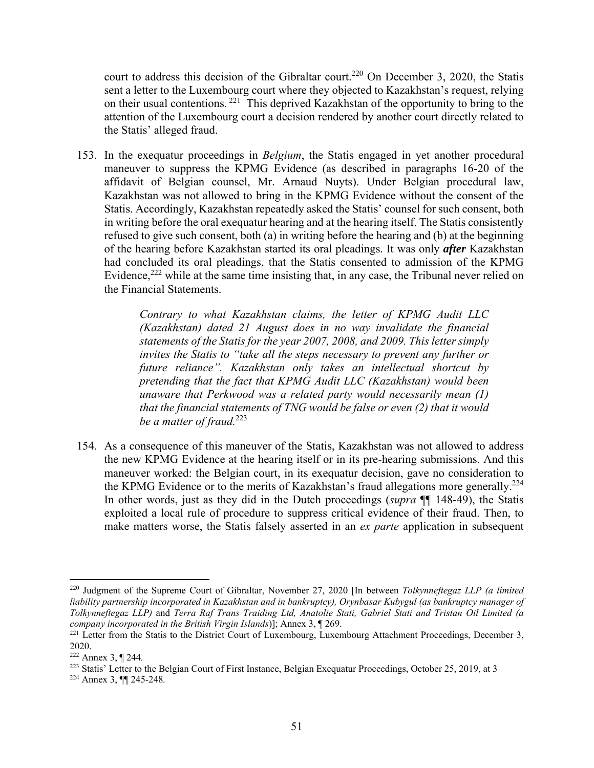court to address this decision of the Gibraltar court.<sup>220</sup> On December 3, 2020, the Statis sent a letter to the Luxembourg court where they objected to Kazakhstan's request, relying on their usual contentions. 221 This deprived Kazakhstan of the opportunity to bring to the attention of the Luxembourg court a decision rendered by another court directly related to the Statis' alleged fraud.

153. In the exequatur proceedings in *Belgium*, the Statis engaged in yet another procedural maneuver to suppress the KPMG Evidence (as described in paragraphs 16-20 of the affidavit of Belgian counsel, Mr. Arnaud Nuyts). Under Belgian procedural law, Kazakhstan was not allowed to bring in the KPMG Evidence without the consent of the Statis. Accordingly, Kazakhstan repeatedly asked the Statis' counsel for such consent, both in writing before the oral exequatur hearing and at the hearing itself. The Statis consistently refused to give such consent, both (a) in writing before the hearing and (b) at the beginning of the hearing before Kazakhstan started its oral pleadings. It was only *after* Kazakhstan had concluded its oral pleadings, that the Statis consented to admission of the KPMG Evidence,  $222$  while at the same time insisting that, in any case, the Tribunal never relied on the Financial Statements.

> *Contrary to what Kazakhstan claims, the letter of KPMG Audit LLC (Kazakhstan) dated 21 August does in no way invalidate the financial statements of the Statis for the year 2007, 2008, and 2009. This letter simply invites the Statis to "take all the steps necessary to prevent any further or future reliance". Kazakhstan only takes an intellectual shortcut by pretending that the fact that KPMG Audit LLC (Kazakhstan) would been unaware that Perkwood was a related party would necessarily mean (1) that the financial statements of TNG would be false or even (2) that it would be a matter of fraud.*<sup>223</sup>

154. As a consequence of this maneuver of the Statis, Kazakhstan was not allowed to address the new KPMG Evidence at the hearing itself or in its pre-hearing submissions. And this maneuver worked: the Belgian court, in its exequatur decision, gave no consideration to the KPMG Evidence or to the merits of Kazakhstan's fraud allegations more generally.<sup>224</sup> In other words, just as they did in the Dutch proceedings (*supra* ¶¶ 148-49), the Statis exploited a local rule of procedure to suppress critical evidence of their fraud. Then, to make matters worse, the Statis falsely asserted in an *ex parte* application in subsequent

<sup>220</sup> Judgment of the Supreme Court of Gibraltar, November 27, 2020 [In between *Tolkynneftegaz LLP (a limited liability partnership incorporated in Kazakhstan and in bankruptcy), Orynbasar Kubygul (as bankruptcy manager of Tolkynneftegaz LLP)* and *Terra Raf Trans Traiding Ltd, Anatolie Stati, Gabriel Stati and Tristan Oil Limited (a company incorporated in the British Virgin Islands*)]; Annex 3, ¶ 269.<br><sup>221</sup> Letter from the Statis to the District Court of Luxembourg, Luxembourg Attachment Proceedings, December 3,

<sup>2020.</sup> 

<sup>222</sup> Annex 3, ¶ 244*.*

<sup>223</sup> Statis' Letter to the Belgian Court of First Instance, Belgian Exequatur Proceedings, October 25, 2019, at 3 224 Annex 3, ¶¶ 245-248*.*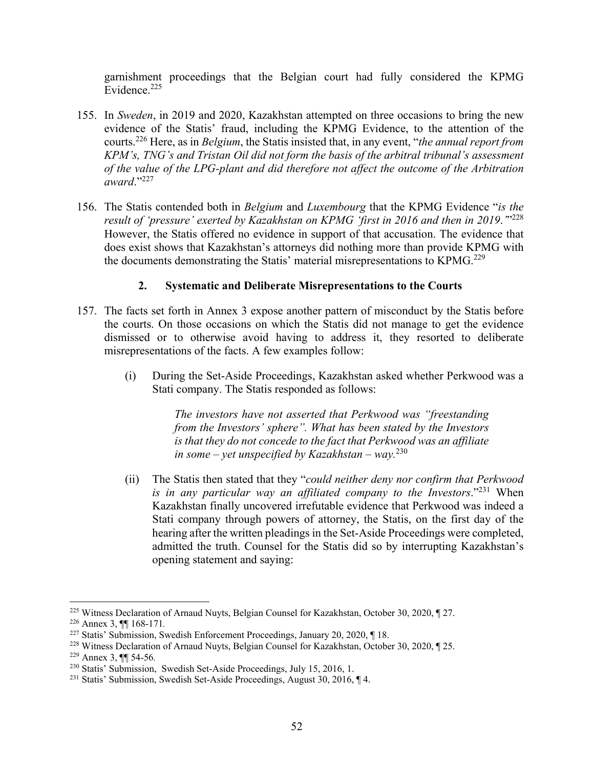garnishment proceedings that the Belgian court had fully considered the KPMG Evidence.<sup>225</sup>

- 155. In *Sweden*, in 2019 and 2020, Kazakhstan attempted on three occasions to bring the new evidence of the Statis' fraud, including the KPMG Evidence, to the attention of the courts.226 Here, as in *Belgium*, the Statis insisted that, in any event, "*the annual report from KPM's, TNG's and Tristan Oil did not form the basis of the arbitral tribunal's assessment of the value of the LPG-plant and did therefore not affect the outcome of the Arbitration award*."<sup>227</sup>
- 156. The Statis contended both in *Belgium* and *Luxembourg* that the KPMG Evidence "*is the result of 'pressure' exerted by Kazakhstan on KPMG 'first in 2016 and then in 2019*.*'*"228 However, the Statis offered no evidence in support of that accusation. The evidence that does exist shows that Kazakhstan's attorneys did nothing more than provide KPMG with the documents demonstrating the Statis' material misrepresentations to KPMG.<sup>229</sup>

#### **2. Systematic and Deliberate Misrepresentations to the Courts**

- 157. The facts set forth in Annex 3 expose another pattern of misconduct by the Statis before the courts. On those occasions on which the Statis did not manage to get the evidence dismissed or to otherwise avoid having to address it, they resorted to deliberate misrepresentations of the facts. A few examples follow:
	- (i) During the Set-Aside Proceedings, Kazakhstan asked whether Perkwood was a Stati company. The Statis responded as follows:

*The investors have not asserted that Perkwood was "freestanding from the Investors' sphere". What has been stated by the Investors is that they do not concede to the fact that Perkwood was an affiliate in some – yet unspecified by Kazakhstan – way.*<sup>230</sup>

(ii) The Statis then stated that they "*could neither deny nor confirm that Perkwood is in any particular way an affiliated company to the Investors*."231 When Kazakhstan finally uncovered irrefutable evidence that Perkwood was indeed a Stati company through powers of attorney, the Statis, on the first day of the hearing after the written pleadings in the Set-Aside Proceedings were completed, admitted the truth. Counsel for the Statis did so by interrupting Kazakhstan's opening statement and saying:

<sup>225</sup> Witness Declaration of Arnaud Nuyts, Belgian Counsel for Kazakhstan, October 30, 2020, ¶ 27.

<sup>226</sup> Annex 3, ¶¶ 168-171*.*

<sup>227</sup> Statis' Submission, Swedish Enforcement Proceedings, January 20, 2020, ¶ 18.

<sup>228</sup> Witness Declaration of Arnaud Nuyts, Belgian Counsel for Kazakhstan, October 30, 2020, ¶ 25.

<sup>229</sup> Annex 3, ¶¶ 54-56*.*

<sup>230</sup> Statis' Submission, Swedish Set-Aside Proceedings, July 15, 2016, 1.

<sup>231</sup> Statis' Submission, Swedish Set-Aside Proceedings, August 30, 2016, ¶ 4.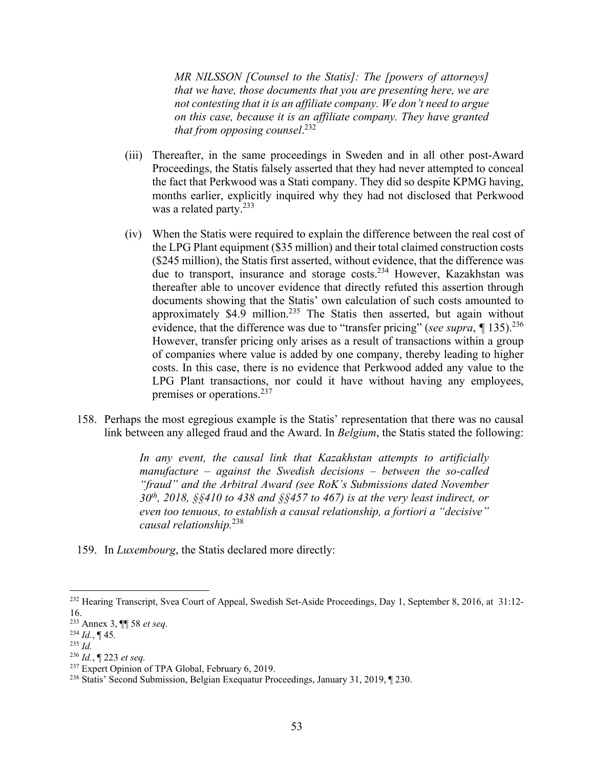*MR NILSSON [Counsel to the Statis]: The [powers of attorneys] that we have, those documents that you are presenting here, we are not contesting that it is an affiliate company. We don't need to argue on this case, because it is an affiliate company. They have granted that from opposing counsel*. 232

- (iii) Thereafter, in the same proceedings in Sweden and in all other post-Award Proceedings, the Statis falsely asserted that they had never attempted to conceal the fact that Perkwood was a Stati company. They did so despite KPMG having, months earlier, explicitly inquired why they had not disclosed that Perkwood was a related party. $233$
- (iv) When the Statis were required to explain the difference between the real cost of the LPG Plant equipment (\$35 million) and their total claimed construction costs (\$245 million), the Statis first asserted, without evidence, that the difference was due to transport, insurance and storage costs.234 However, Kazakhstan was thereafter able to uncover evidence that directly refuted this assertion through documents showing that the Statis' own calculation of such costs amounted to approximately \$4.9 million.<sup>235</sup> The Statis then asserted, but again without evidence, that the difference was due to "transfer pricing" (*see supra*,  $\P$  135).<sup>236</sup> However, transfer pricing only arises as a result of transactions within a group of companies where value is added by one company, thereby leading to higher costs. In this case, there is no evidence that Perkwood added any value to the LPG Plant transactions, nor could it have without having any employees, premises or operations.237
- 158. Perhaps the most egregious example is the Statis' representation that there was no causal link between any alleged fraud and the Award. In *Belgium*, the Statis stated the following:

*In any event, the causal link that Kazakhstan attempts to artificially manufacture – against the Swedish decisions – between the so-called "fraud" and the Arbitral Award (see RoK's Submissions dated November 30th, 2018, §§410 to 438 and §§457 to 467) is at the very least indirect, or even too tenuous, to establish a causal relationship, a fortiori a "decisive" causal relationship.*238

159. In *Luxembourg*, the Statis declared more directly:

<sup>&</sup>lt;sup>232</sup> Hearing Transcript, Svea Court of Appeal, Swedish Set-Aside Proceedings, Day 1, September 8, 2016, at 31:12-16.

<sup>233</sup> Annex 3, ¶¶ 58 *et seq.*

<sup>234</sup> *Id.*, ¶ 45*.*

<sup>235</sup> *Id.*

<sup>236</sup> *Id.*, ¶ 223 *et seq.*

<sup>&</sup>lt;sup>237</sup> Expert Opinion of TPA Global, February 6, 2019.

<sup>238</sup> Statis' Second Submission, Belgian Exequatur Proceedings, January 31, 2019, ¶ 230.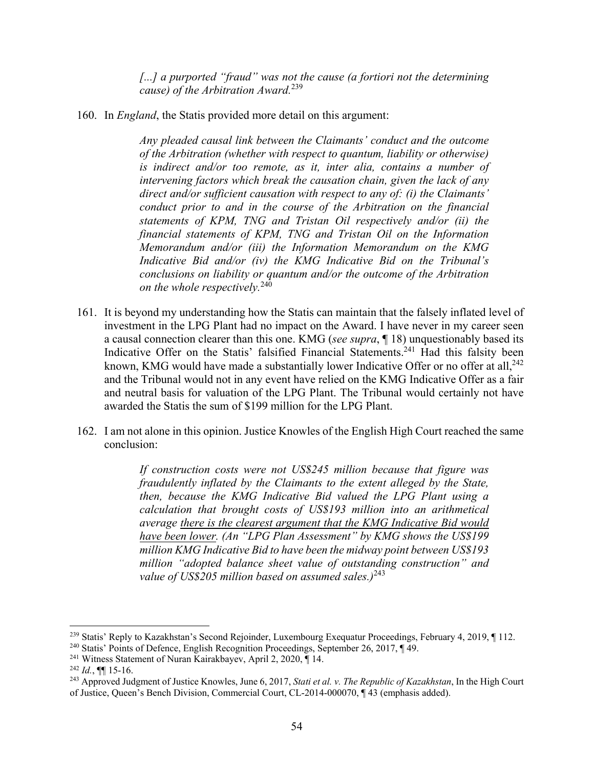*[...] a purported "fraud" was not the cause (a fortiori not the determining cause) of the Arbitration Award.*239

160. In *England*, the Statis provided more detail on this argument:

*Any pleaded causal link between the Claimants' conduct and the outcome of the Arbitration (whether with respect to quantum, liability or otherwise) is indirect and/or too remote, as it, inter alia, contains a number of intervening factors which break the causation chain, given the lack of any direct and/or sufficient causation with respect to any of: (i) the Claimants' conduct prior to and in the course of the Arbitration on the financial statements of KPM, TNG and Tristan Oil respectively and/or (ii) the financial statements of KPM, TNG and Tristan Oil on the Information Memorandum and/or (iii) the Information Memorandum on the KMG Indicative Bid and/or (iv) the KMG Indicative Bid on the Tribunal's conclusions on liability or quantum and/or the outcome of the Arbitration on the whole respectively.*<sup>240</sup>

- 161. It is beyond my understanding how the Statis can maintain that the falsely inflated level of investment in the LPG Plant had no impact on the Award. I have never in my career seen a causal connection clearer than this one. KMG (*see supra*, ¶ 18) unquestionably based its Indicative Offer on the Statis' falsified Financial Statements.<sup>241</sup> Had this falsity been known, KMG would have made a substantially lower Indicative Offer or no offer at all,<sup>242</sup> and the Tribunal would not in any event have relied on the KMG Indicative Offer as a fair and neutral basis for valuation of the LPG Plant. The Tribunal would certainly not have awarded the Statis the sum of \$199 million for the LPG Plant.
- 162. I am not alone in this opinion. Justice Knowles of the English High Court reached the same conclusion:

*If construction costs were not US\$245 million because that figure was fraudulently inflated by the Claimants to the extent alleged by the State, then, because the KMG Indicative Bid valued the LPG Plant using a calculation that brought costs of US\$193 million into an arithmetical average there is the clearest argument that the KMG Indicative Bid would have been lower. (An "LPG Plan Assessment" by KMG shows the US\$199 million KMG Indicative Bid to have been the midway point between US\$193 million "adopted balance sheet value of outstanding construction" and value of US\$205 million based on assumed sales.)*<sup>243</sup>

<sup>&</sup>lt;sup>239</sup> Statis' Reply to Kazakhstan's Second Rejoinder, Luxembourg Exequatur Proceedings, February 4, 2019, ¶ 112.

<sup>&</sup>lt;sup>240</sup> Statis' Points of Defence, English Recognition Proceedings, September 26, 2017, ¶ 49.<br><sup>241</sup> Witness Statement of Nuran Kairakbayev, April 2, 2020, ¶ 14.<br><sup>242</sup> *Id.*, ¶¶ 15-16.

<sup>243</sup> Approved Judgment of Justice Knowles, June 6, 2017, *Stati et al. v. The Republic of Kazakhstan*, In the High Court of Justice, Queen's Bench Division, Commercial Court, CL-2014-000070, ¶ 43 (emphasis added).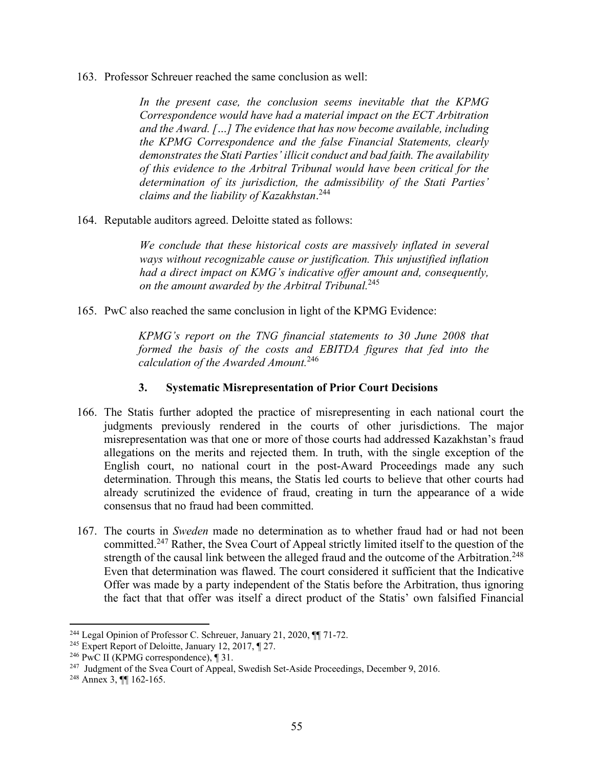163. Professor Schreuer reached the same conclusion as well:

In the present case, the conclusion seems inevitable that the KPMG *Correspondence would have had a material impact on the ECT Arbitration and the Award. […] The evidence that has now become available, including the KPMG Correspondence and the false Financial Statements, clearly demonstrates the Stati Parties' illicit conduct and bad faith. The availability of this evidence to the Arbitral Tribunal would have been critical for the determination of its jurisdiction, the admissibility of the Stati Parties' claims and the liability of Kazakhstan*. 244

164. Reputable auditors agreed. Deloitte stated as follows:

*We conclude that these historical costs are massively inflated in several ways without recognizable cause or justification. This unjustified inflation had a direct impact on KMG's indicative offer amount and, consequently, on the amount awarded by the Arbitral Tribunal.*<sup>245</sup>

165. PwC also reached the same conclusion in light of the KPMG Evidence:

*KPMG's report on the TNG financial statements to 30 June 2008 that formed the basis of the costs and EBITDA figures that fed into the calculation of the Awarded Amount.*<sup>246</sup>

#### **3. Systematic Misrepresentation of Prior Court Decisions**

- 166. The Statis further adopted the practice of misrepresenting in each national court the judgments previously rendered in the courts of other jurisdictions. The major misrepresentation was that one or more of those courts had addressed Kazakhstan's fraud allegations on the merits and rejected them. In truth, with the single exception of the English court, no national court in the post-Award Proceedings made any such determination. Through this means, the Statis led courts to believe that other courts had already scrutinized the evidence of fraud, creating in turn the appearance of a wide consensus that no fraud had been committed.
- 167. The courts in *Sweden* made no determination as to whether fraud had or had not been committed.247 Rather, the Svea Court of Appeal strictly limited itself to the question of the strength of the causal link between the alleged fraud and the outcome of the Arbitration.<sup>248</sup> Even that determination was flawed. The court considered it sufficient that the Indicative Offer was made by a party independent of the Statis before the Arbitration, thus ignoring the fact that that offer was itself a direct product of the Statis' own falsified Financial

<sup>&</sup>lt;sup>244</sup> Legal Opinion of Professor C. Schreuer, January 21, 2020,  $\P$  71-72.

<sup>&</sup>lt;sup>245</sup> Expert Report of Deloitte, January 12, 2017, ¶ 27.

<sup>&</sup>lt;sup>246</sup> PwC II (KPMG correspondence),  $\P$  31.

<sup>247</sup> Judgment of the Svea Court of Appeal, Swedish Set-Aside Proceedings, December 9, 2016.

<sup>248</sup> Annex 3, ¶¶ 162-165.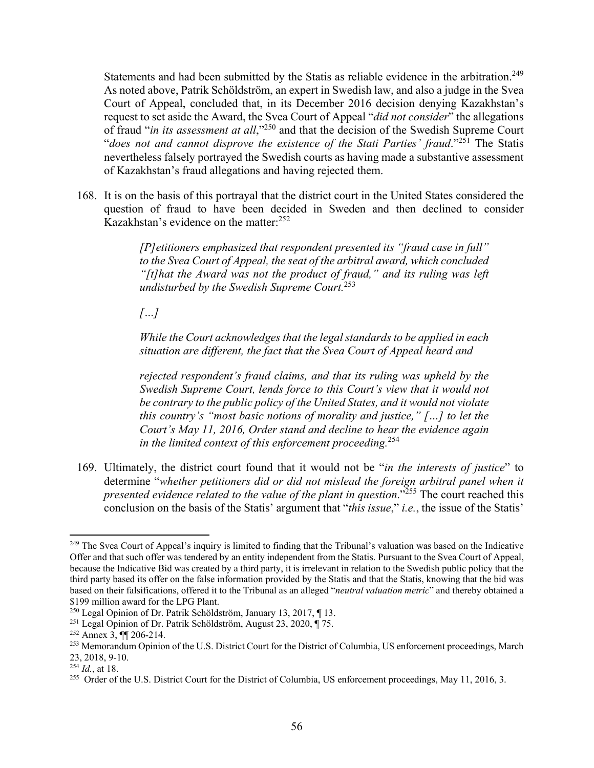Statements and had been submitted by the Statis as reliable evidence in the arbitration.<sup>249</sup> As noted above, Patrik Schöldström, an expert in Swedish law, and also a judge in the Svea Court of Appeal, concluded that, in its December 2016 decision denying Kazakhstan's request to set aside the Award, the Svea Court of Appeal "*did not consider*" the allegations of fraud "*in its assessment at all*,"250 and that the decision of the Swedish Supreme Court "*does not and cannot disprove the existence of the Stati Parties' fraud*."251 The Statis nevertheless falsely portrayed the Swedish courts as having made a substantive assessment of Kazakhstan's fraud allegations and having rejected them.

168. It is on the basis of this portrayal that the district court in the United States considered the question of fraud to have been decided in Sweden and then declined to consider Kazakhstan's evidence on the matter:<sup>252</sup>

> *[P]etitioners emphasized that respondent presented its "fraud case in full" to the Svea Court of Appeal, the seat of the arbitral award, which concluded "[t]hat the Award was not the product of fraud," and its ruling was left undisturbed by the Swedish Supreme Court.*<sup>253</sup>

*[…]* 

*While the Court acknowledges that the legal standards to be applied in each situation are different, the fact that the Svea Court of Appeal heard and* 

*rejected respondent's fraud claims, and that its ruling was upheld by the Swedish Supreme Court, lends force to this Court's view that it would not be contrary to the public policy of the United States, and it would not violate this country's "most basic notions of morality and justice," […] to let the Court's May 11, 2016, Order stand and decline to hear the evidence again in the limited context of this enforcement proceeding.*254

169. Ultimately, the district court found that it would not be "*in the interests of justice*" to determine "*whether petitioners did or did not mislead the foreign arbitral panel when it presented evidence related to the value of the plant in question.*"<sup>255</sup> The court reached this conclusion on the basis of the Statis' argument that "*this issue*," *i.e.*, the issue of the Statis'

 $^{249}$  The Svea Court of Appeal's inquiry is limited to finding that the Tribunal's valuation was based on the Indicative Offer and that such offer was tendered by an entity independent from the Statis. Pursuant to the Svea Court of Appeal, because the Indicative Bid was created by a third party, it is irrelevant in relation to the Swedish public policy that the third party based its offer on the false information provided by the Statis and that the Statis, knowing that the bid was based on their falsifications, offered it to the Tribunal as an alleged "*neutral valuation metric*" and thereby obtained a \$199 million award for the LPG Plant.

<sup>250</sup> Legal Opinion of Dr. Patrik Schöldström, January 13, 2017, ¶ 13.

<sup>&</sup>lt;sup>251</sup> Legal Opinion of Dr. Patrik Schöldström, August 23, 2020,  $\P$  75.<br><sup>252</sup> Annex 3,  $\P$  1206-214.

<sup>253</sup> Memorandum Opinion of the U.S. District Court for the District of Columbia, US enforcement proceedings, March 23, 2018, 9-10.

<sup>254</sup> *Id.*, at 18.

<sup>&</sup>lt;sup>255</sup> Order of the U.S. District Court for the District of Columbia, US enforcement proceedings, May 11, 2016, 3.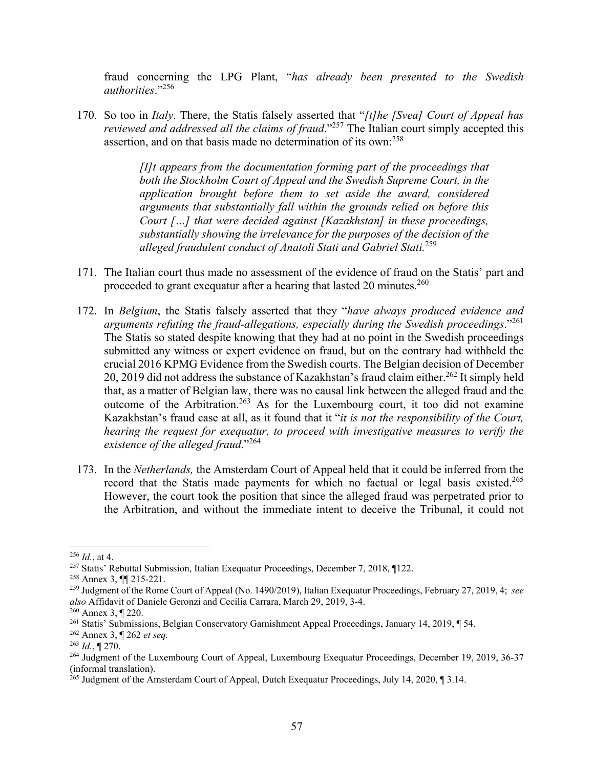fraud concerning the LPG Plant, "*has already been presented to the Swedish authorities*."256

170. So too in *Italy*. There, the Statis falsely asserted that "*[t]he [Svea] Court of Appeal has reviewed and addressed all the claims of fraud*."257 The Italian court simply accepted this assertion, and on that basis made no determination of its own:258

> *[I]t appears from the documentation forming part of the proceedings that both the Stockholm Court of Appeal and the Swedish Supreme Court, in the application brought before them to set aside the award, considered arguments that substantially fall within the grounds relied on before this Court […] that were decided against [Kazakhstan] in these proceedings, substantially showing the irrelevance for the purposes of the decision of the alleged fraudulent conduct of Anatoli Stati and Gabriel Stati.*<sup>259</sup>

- 171. The Italian court thus made no assessment of the evidence of fraud on the Statis' part and proceeded to grant exequatur after a hearing that lasted 20 minutes. $260$
- 172. In *Belgium*, the Statis falsely asserted that they "*have always produced evidence and arguments refuting the fraud-allegations, especially during the Swedish proceedings*."261 The Statis so stated despite knowing that they had at no point in the Swedish proceedings submitted any witness or expert evidence on fraud, but on the contrary had withheld the crucial 2016 KPMG Evidence from the Swedish courts. The Belgian decision of December 20, 2019 did not address the substance of Kazakhstan's fraud claim either.<sup>262</sup> It simply held that, as a matter of Belgian law, there was no causal link between the alleged fraud and the outcome of the Arbitration.263 As for the Luxembourg court, it too did not examine Kazakhstan's fraud case at all, as it found that it "*it is not the responsibility of the Court, hearing the request for exequatur, to proceed with investigative measures to verify the existence of the alleged fraud*."<sup>264</sup>
- 173. In the *Netherlands,* the Amsterdam Court of Appeal held that it could be inferred from the record that the Statis made payments for which no factual or legal basis existed.<sup>265</sup> However, the court took the position that since the alleged fraud was perpetrated prior to the Arbitration, and without the immediate intent to deceive the Tribunal, it could not

<sup>256</sup> *Id.*, at 4.

<sup>257</sup> Statis' Rebuttal Submission, Italian Exequatur Proceedings, December 7, 2018, ¶122.

<sup>258</sup> Annex 3, ¶¶ 215-221.

<sup>259</sup> Judgment of the Rome Court of Appeal (No. 1490/2019), Italian Exequatur Proceedings, February 27, 2019, 4; *see also* Affidavit of Daniele Geronzi and Cecilia Carrara, March 29, 2019, 3-4.

<sup>260</sup> Annex 3, ¶ 220.

<sup>&</sup>lt;sup>261</sup> Statis' Submissions, Belgian Conservatory Garnishment Appeal Proceedings, January 14, 2019, ¶ 54.

<sup>262</sup> Annex 3, ¶ 262 *et seq.*

<sup>263</sup> *Id.*, ¶ 270.

<sup>&</sup>lt;sup>264</sup> Judgment of the Luxembourg Court of Appeal, Luxembourg Exequatur Proceedings, December 19, 2019, 36-37 (informal translation).

<sup>&</sup>lt;sup>265</sup> Judgment of the Amsterdam Court of Appeal, Dutch Exequatur Proceedings, July 14, 2020, ¶ 3.14.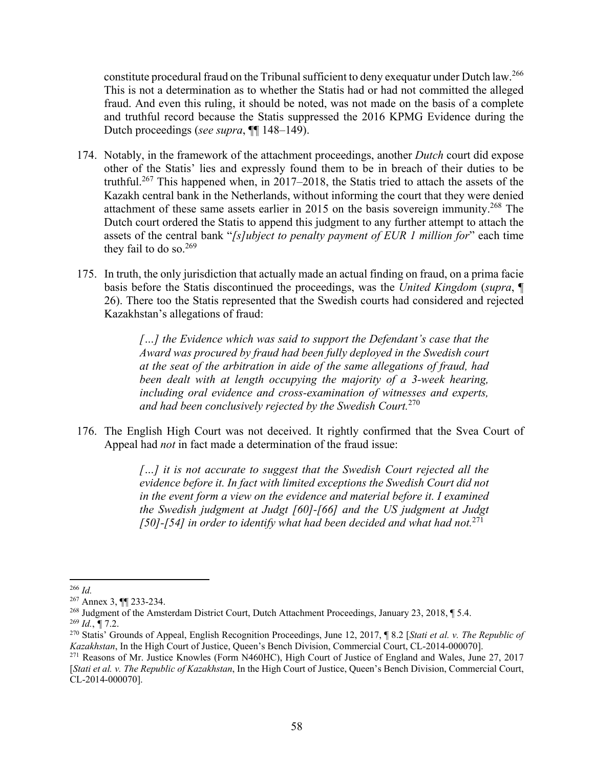constitute procedural fraud on the Tribunal sufficient to deny exequatur under Dutch law.266 This is not a determination as to whether the Statis had or had not committed the alleged fraud. And even this ruling, it should be noted, was not made on the basis of a complete and truthful record because the Statis suppressed the 2016 KPMG Evidence during the Dutch proceedings (*see supra*, ¶¶ 148–149).

- 174. Notably, in the framework of the attachment proceedings, another *Dutch* court did expose other of the Statis' lies and expressly found them to be in breach of their duties to be truthful.<sup>267</sup> This happened when, in 2017–2018, the Statis tried to attach the assets of the Kazakh central bank in the Netherlands, without informing the court that they were denied attachment of these same assets earlier in 2015 on the basis sovereign immunity.<sup>268</sup> The Dutch court ordered the Statis to append this judgment to any further attempt to attach the assets of the central bank "*[s]ubject to penalty payment of EUR 1 million for*" each time they fail to do so. $269$
- 175. In truth, the only jurisdiction that actually made an actual finding on fraud, on a prima facie basis before the Statis discontinued the proceedings, was the *United Kingdom* (*supra*, ¶ 26). There too the Statis represented that the Swedish courts had considered and rejected Kazakhstan's allegations of fraud:

*[…] the Evidence which was said to support the Defendant's case that the Award was procured by fraud had been fully deployed in the Swedish court at the seat of the arbitration in aide of the same allegations of fraud, had been dealt with at length occupying the majority of a 3-week hearing, including oral evidence and cross-examination of witnesses and experts, and had been conclusively rejected by the Swedish Court.*<sup>270</sup>

176. The English High Court was not deceived. It rightly confirmed that the Svea Court of Appeal had *not* in fact made a determination of the fraud issue:

> *[…] it is not accurate to suggest that the Swedish Court rejected all the evidence before it. In fact with limited exceptions the Swedish Court did not in the event form a view on the evidence and material before it. I examined the Swedish judgment at Judgt [60]-[66] and the US judgment at Judgt [50]-[54] in order to identify what had been decided and what had not.*<sup>271</sup>

<sup>266</sup> *Id.* 

<sup>267</sup> Annex 3, ¶¶ 233-234.

<sup>268</sup> Judgment of the Amsterdam District Court, Dutch Attachment Proceedings, January 23, 2018, ¶ 5.4.  $^{269}$  *Id.*, ¶ 7.2.

<sup>270</sup> Statis' Grounds of Appeal, English Recognition Proceedings, June 12, 2017, ¶ 8.2 [*Stati et al. v. The Republic of Kazakhstan*, In the High Court of Justice, Queen's Bench Division, Commercial Court, CL-2014-000070].

<sup>271</sup> Reasons of Mr. Justice Knowles (Form N460HC), High Court of Justice of England and Wales, June 27, 2017 [*Stati et al. v. The Republic of Kazakhstan*, In the High Court of Justice, Queen's Bench Division, Commercial Court, CL-2014-000070].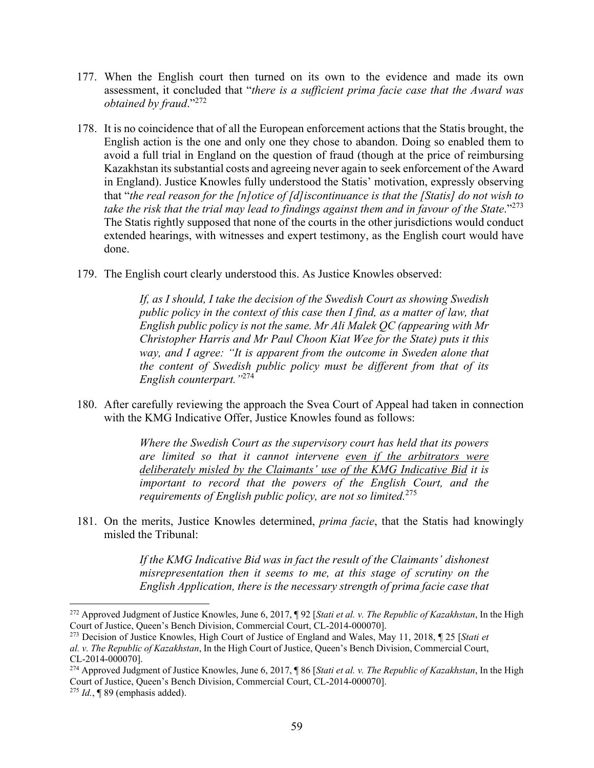- 177. When the English court then turned on its own to the evidence and made its own assessment, it concluded that "*there is a sufficient prima facie case that the Award was obtained by fraud*."272
- 178. It is no coincidence that of all the European enforcement actions that the Statis brought, the English action is the one and only one they chose to abandon. Doing so enabled them to avoid a full trial in England on the question of fraud (though at the price of reimbursing Kazakhstan its substantial costs and agreeing never again to seek enforcement of the Award in England). Justice Knowles fully understood the Statis' motivation, expressly observing that "*the real reason for the [n]otice of [d]iscontinuance is that the [Statis] do not wish to take the risk that the trial may lead to findings against them and in favour of the State*."273 The Statis rightly supposed that none of the courts in the other jurisdictions would conduct extended hearings, with witnesses and expert testimony, as the English court would have done.
- 179. The English court clearly understood this. As Justice Knowles observed:

*If, as I should, I take the decision of the Swedish Court as showing Swedish public policy in the context of this case then I find, as a matter of law, that English public policy is not the same. Mr Ali Malek QC (appearing with Mr Christopher Harris and Mr Paul Choon Kiat Wee for the State) puts it this way, and I agree: "It is apparent from the outcome in Sweden alone that the content of Swedish public policy must be different from that of its English counterpart."*<sup>274</sup>

180. After carefully reviewing the approach the Svea Court of Appeal had taken in connection with the KMG Indicative Offer, Justice Knowles found as follows:

> *Where the Swedish Court as the supervisory court has held that its powers are limited so that it cannot intervene even if the arbitrators were deliberately misled by the Claimants' use of the KMG Indicative Bid it is important to record that the powers of the English Court, and the requirements of English public policy, are not so limited.*<sup>275</sup>

181. On the merits, Justice Knowles determined, *prima facie*, that the Statis had knowingly misled the Tribunal:

> *If the KMG Indicative Bid was in fact the result of the Claimants' dishonest misrepresentation then it seems to me, at this stage of scrutiny on the English Application, there is the necessary strength of prima facie case that*

<sup>272</sup> Approved Judgment of Justice Knowles, June 6, 2017, ¶ 92 [*Stati et al. v. The Republic of Kazakhstan*, In the High Court of Justice, Queen's Bench Division, Commercial Court, CL-2014-000070].

<sup>273</sup> Decision of Justice Knowles, High Court of Justice of England and Wales, May 11, 2018, ¶ 25 [*Stati et* 

*al. v. The Republic of Kazakhstan*, In the High Court of Justice, Queen's Bench Division, Commercial Court, CL-2014-000070].

<sup>274</sup> Approved Judgment of Justice Knowles, June 6, 2017, ¶ 86 [*Stati et al. v. The Republic of Kazakhstan*, In the High Court of Justice, Queen's Bench Division, Commercial Court, CL-2014-000070]. <sup>275</sup> *Id.*, ¶ 89 (emphasis added).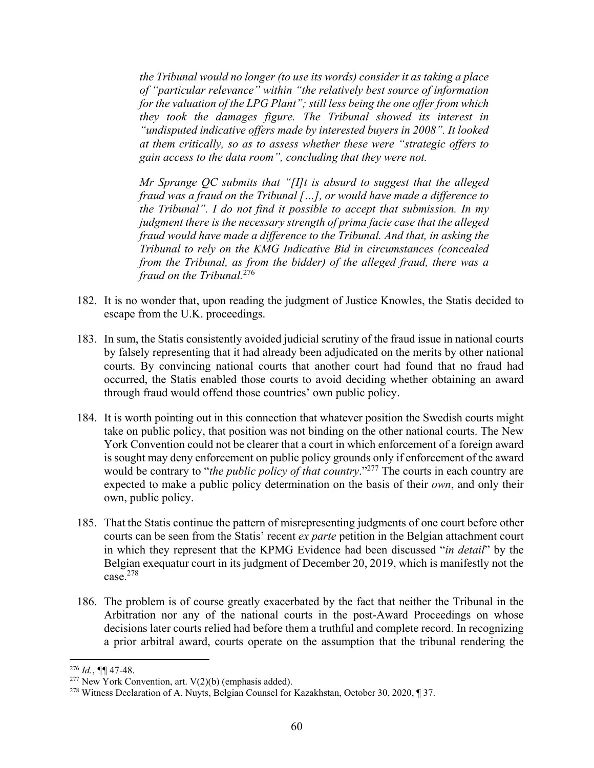*the Tribunal would no longer (to use its words) consider it as taking a place of "particular relevance" within "the relatively best source of information for the valuation of the LPG Plant"; still less being the one offer from which they took the damages figure. The Tribunal showed its interest in "undisputed indicative offers made by interested buyers in 2008". It looked at them critically, so as to assess whether these were "strategic offers to gain access to the data room", concluding that they were not.* 

*Mr Sprange QC submits that "[I]t is absurd to suggest that the alleged fraud was a fraud on the Tribunal […], or would have made a difference to the Tribunal". I do not find it possible to accept that submission. In my judgment there is the necessary strength of prima facie case that the alleged fraud would have made a difference to the Tribunal. And that, in asking the Tribunal to rely on the KMG Indicative Bid in circumstances (concealed from the Tribunal, as from the bidder) of the alleged fraud, there was a fraud on the Tribunal.*<sup>276</sup>

- 182. It is no wonder that, upon reading the judgment of Justice Knowles, the Statis decided to escape from the U.K. proceedings.
- 183. In sum, the Statis consistently avoided judicial scrutiny of the fraud issue in national courts by falsely representing that it had already been adjudicated on the merits by other national courts. By convincing national courts that another court had found that no fraud had occurred, the Statis enabled those courts to avoid deciding whether obtaining an award through fraud would offend those countries' own public policy.
- 184. It is worth pointing out in this connection that whatever position the Swedish courts might take on public policy, that position was not binding on the other national courts. The New York Convention could not be clearer that a court in which enforcement of a foreign award is sought may deny enforcement on public policy grounds only if enforcement of the award would be contrary to "*the public policy of that country*."<sup>277</sup> The courts in each country are expected to make a public policy determination on the basis of their *own*, and only their own, public policy.
- 185. That the Statis continue the pattern of misrepresenting judgments of one court before other courts can be seen from the Statis' recent *ex parte* petition in the Belgian attachment court in which they represent that the KPMG Evidence had been discussed "*in detail*" by the Belgian exequatur court in its judgment of December 20, 2019, which is manifestly not the  $\overline{\text{case}}^{278}$
- 186. The problem is of course greatly exacerbated by the fact that neither the Tribunal in the Arbitration nor any of the national courts in the post-Award Proceedings on whose decisions later courts relied had before them a truthful and complete record. In recognizing a prior arbitral award, courts operate on the assumption that the tribunal rendering the

<sup>276</sup> *Id.*, *¶¶* 47-48.

 $277$  New York Convention, art. V(2)(b) (emphasis added).

<sup>278</sup> Witness Declaration of A. Nuyts, Belgian Counsel for Kazakhstan, October 30, 2020, ¶ 37.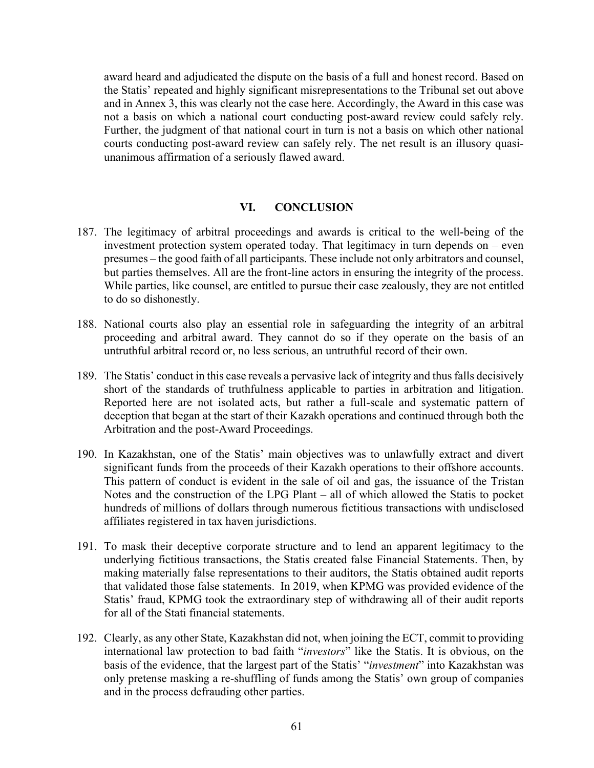award heard and adjudicated the dispute on the basis of a full and honest record. Based on the Statis' repeated and highly significant misrepresentations to the Tribunal set out above and in Annex 3, this was clearly not the case here. Accordingly, the Award in this case was not a basis on which a national court conducting post-award review could safely rely. Further, the judgment of that national court in turn is not a basis on which other national courts conducting post-award review can safely rely. The net result is an illusory quasiunanimous affirmation of a seriously flawed award.

#### **VI. CONCLUSION**

- 187. The legitimacy of arbitral proceedings and awards is critical to the well-being of the investment protection system operated today. That legitimacy in turn depends on – even presumes – the good faith of all participants. These include not only arbitrators and counsel, but parties themselves. All are the front-line actors in ensuring the integrity of the process. While parties, like counsel, are entitled to pursue their case zealously, they are not entitled to do so dishonestly.
- 188. National courts also play an essential role in safeguarding the integrity of an arbitral proceeding and arbitral award. They cannot do so if they operate on the basis of an untruthful arbitral record or, no less serious, an untruthful record of their own.
- 189. The Statis' conduct in this case reveals a pervasive lack of integrity and thus falls decisively short of the standards of truthfulness applicable to parties in arbitration and litigation. Reported here are not isolated acts, but rather a full-scale and systematic pattern of deception that began at the start of their Kazakh operations and continued through both the Arbitration and the post-Award Proceedings.
- 190. In Kazakhstan, one of the Statis' main objectives was to unlawfully extract and divert significant funds from the proceeds of their Kazakh operations to their offshore accounts. This pattern of conduct is evident in the sale of oil and gas, the issuance of the Tristan Notes and the construction of the LPG Plant – all of which allowed the Statis to pocket hundreds of millions of dollars through numerous fictitious transactions with undisclosed affiliates registered in tax haven jurisdictions.
- 191. To mask their deceptive corporate structure and to lend an apparent legitimacy to the underlying fictitious transactions, the Statis created false Financial Statements. Then, by making materially false representations to their auditors, the Statis obtained audit reports that validated those false statements. In 2019, when KPMG was provided evidence of the Statis' fraud, KPMG took the extraordinary step of withdrawing all of their audit reports for all of the Stati financial statements.
- 192. Clearly, as any other State, Kazakhstan did not, when joining the ECT, commit to providing international law protection to bad faith "*investors*" like the Statis. It is obvious, on the basis of the evidence, that the largest part of the Statis' "*investment*" into Kazakhstan was only pretense masking a re-shuffling of funds among the Statis' own group of companies and in the process defrauding other parties.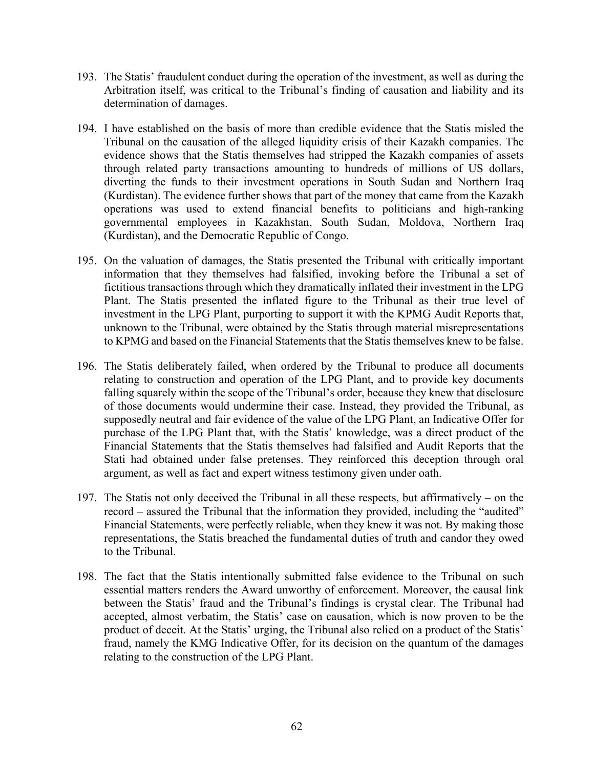- 193. The Statis' fraudulent conduct during the operation of the investment, as well as during the Arbitration itself, was critical to the Tribunal's finding of causation and liability and its determination of damages.
- 194. I have established on the basis of more than credible evidence that the Statis misled the Tribunal on the causation of the alleged liquidity crisis of their Kazakh companies. The evidence shows that the Statis themselves had stripped the Kazakh companies of assets through related party transactions amounting to hundreds of millions of US dollars, diverting the funds to their investment operations in South Sudan and Northern Iraq (Kurdistan). The evidence further shows that part of the money that came from the Kazakh operations was used to extend financial benefits to politicians and high-ranking governmental employees in Kazakhstan, South Sudan, Moldova, Northern Iraq (Kurdistan), and the Democratic Republic of Congo.
- 195. On the valuation of damages, the Statis presented the Tribunal with critically important information that they themselves had falsified, invoking before the Tribunal a set of fictitious transactions through which they dramatically inflated their investment in the LPG Plant. The Statis presented the inflated figure to the Tribunal as their true level of investment in the LPG Plant, purporting to support it with the KPMG Audit Reports that, unknown to the Tribunal, were obtained by the Statis through material misrepresentations to KPMG and based on the Financial Statements that the Statis themselves knew to be false.
- 196. The Statis deliberately failed, when ordered by the Tribunal to produce all documents relating to construction and operation of the LPG Plant, and to provide key documents falling squarely within the scope of the Tribunal's order, because they knew that disclosure of those documents would undermine their case. Instead, they provided the Tribunal, as supposedly neutral and fair evidence of the value of the LPG Plant, an Indicative Offer for purchase of the LPG Plant that, with the Statis' knowledge, was a direct product of the Financial Statements that the Statis themselves had falsified and Audit Reports that the Stati had obtained under false pretenses. They reinforced this deception through oral argument, as well as fact and expert witness testimony given under oath.
- 197. The Statis not only deceived the Tribunal in all these respects, but affirmatively on the record – assured the Tribunal that the information they provided, including the "audited" Financial Statements, were perfectly reliable, when they knew it was not. By making those representations, the Statis breached the fundamental duties of truth and candor they owed to the Tribunal.
- 198. The fact that the Statis intentionally submitted false evidence to the Tribunal on such essential matters renders the Award unworthy of enforcement. Moreover, the causal link between the Statis' fraud and the Tribunal's findings is crystal clear. The Tribunal had accepted, almost verbatim, the Statis' case on causation, which is now proven to be the product of deceit. At the Statis' urging, the Tribunal also relied on a product of the Statis' fraud, namely the KMG Indicative Offer, for its decision on the quantum of the damages relating to the construction of the LPG Plant.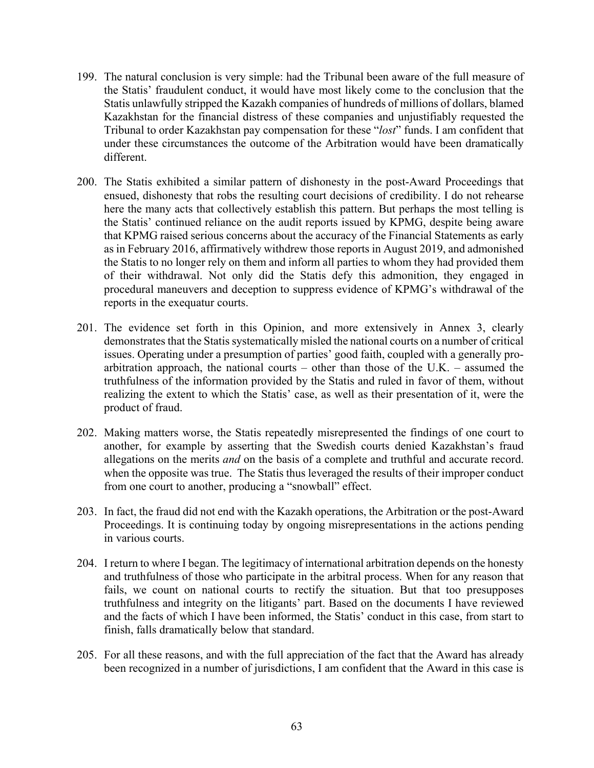- 199. The natural conclusion is very simple: had the Tribunal been aware of the full measure of the Statis' fraudulent conduct, it would have most likely come to the conclusion that the Statis unlawfully stripped the Kazakh companies of hundreds of millions of dollars, blamed Kazakhstan for the financial distress of these companies and unjustifiably requested the Tribunal to order Kazakhstan pay compensation for these "*lost*" funds. I am confident that under these circumstances the outcome of the Arbitration would have been dramatically different.
- 200. The Statis exhibited a similar pattern of dishonesty in the post-Award Proceedings that ensued, dishonesty that robs the resulting court decisions of credibility. I do not rehearse here the many acts that collectively establish this pattern. But perhaps the most telling is the Statis' continued reliance on the audit reports issued by KPMG, despite being aware that KPMG raised serious concerns about the accuracy of the Financial Statements as early as in February 2016, affirmatively withdrew those reports in August 2019, and admonished the Statis to no longer rely on them and inform all parties to whom they had provided them of their withdrawal. Not only did the Statis defy this admonition, they engaged in procedural maneuvers and deception to suppress evidence of KPMG's withdrawal of the reports in the exequatur courts.
- 201. The evidence set forth in this Opinion, and more extensively in Annex 3, clearly demonstrates that the Statis systematically misled the national courts on a number of critical issues. Operating under a presumption of parties' good faith, coupled with a generally proarbitration approach, the national courts – other than those of the U.K. – assumed the truthfulness of the information provided by the Statis and ruled in favor of them, without realizing the extent to which the Statis' case, as well as their presentation of it, were the product of fraud.
- 202. Making matters worse, the Statis repeatedly misrepresented the findings of one court to another, for example by asserting that the Swedish courts denied Kazakhstan's fraud allegations on the merits *and* on the basis of a complete and truthful and accurate record. when the opposite was true. The Statis thus leveraged the results of their improper conduct from one court to another, producing a "snowball" effect.
- 203. In fact, the fraud did not end with the Kazakh operations, the Arbitration or the post-Award Proceedings. It is continuing today by ongoing misrepresentations in the actions pending in various courts.
- 204. I return to where I began. The legitimacy of international arbitration depends on the honesty and truthfulness of those who participate in the arbitral process. When for any reason that fails, we count on national courts to rectify the situation. But that too presupposes truthfulness and integrity on the litigants' part. Based on the documents I have reviewed and the facts of which I have been informed, the Statis' conduct in this case, from start to finish, falls dramatically below that standard.
- 205. For all these reasons, and with the full appreciation of the fact that the Award has already been recognized in a number of jurisdictions, I am confident that the Award in this case is